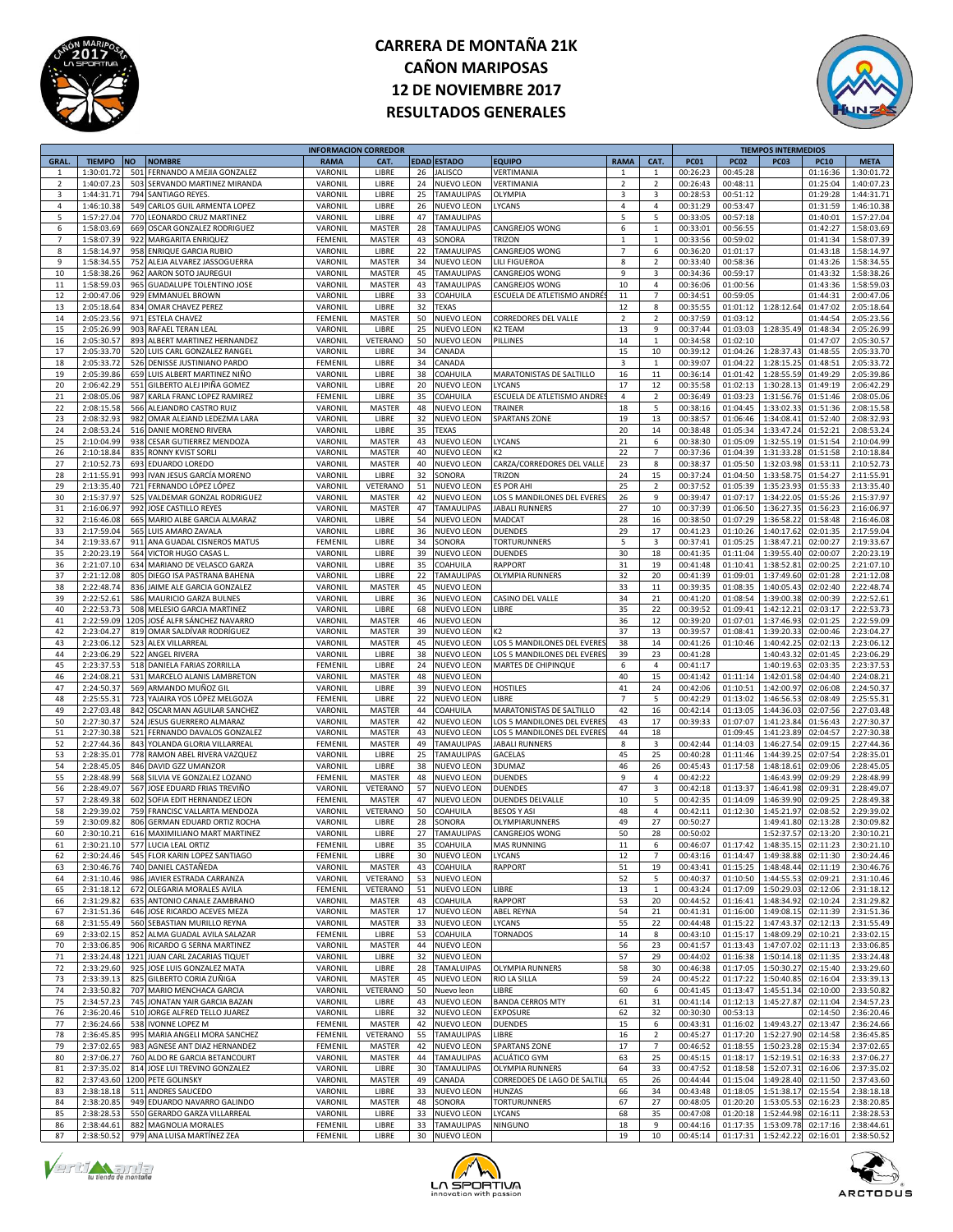



|                |               |      |                                  | <b>INFORMACION CORREDOR</b> |               |    |                    |                             |                |                |             |                              | <b>TIEMPOS INTERMEDIOS</b> |             |             |
|----------------|---------------|------|----------------------------------|-----------------------------|---------------|----|--------------------|-----------------------------|----------------|----------------|-------------|------------------------------|----------------------------|-------------|-------------|
| <b>GRAL</b>    | <b>TIEMPO</b> | ΝO   | <b>NOMBRE</b>                    | <b>RAMA</b>                 | CAT.          |    | <b>EDAD ESTADO</b> | <b>EQUIPO</b>               | <b>RAMA</b>    | CAT.           | <b>PC01</b> | <b>PC02</b>                  | <b>PC03</b>                | <b>PC10</b> | <b>META</b> |
| $\overline{1}$ | 1:30:01.72    | 501  | FERNANDO A MEJIA GONZALEZ        | VARONII                     | LIBRE         | 26 | <b>JALISCO</b>     | VERTIMANIA                  | $\mathbf{1}$   | $\mathbf{1}$   | 00:26:23    | 00:45:28                     |                            | 01:16:36    | 1:30:01.72  |
| $\overline{2}$ | 1:40:07.23    | 503  | SERVANDO MARTINEZ MIRANDA        | VARONIL                     | LIBRE         | 24 | NUEVO LEON         | VERTIMANIA                  | $\overline{2}$ | $\overline{2}$ | 00:26:43    | 00:48:11                     |                            | 01:25:04    | 1:40:07.23  |
|                | 1:44:31.7     |      |                                  |                             |               |    |                    |                             |                |                |             |                              |                            |             |             |
| 3              |               | 794  | SANTIAGO REYES                   | VARONIL                     | LIBRE         | 25 | TAMAULIPAS         | OLYMPIA                     | 3              | 3              | 00:28:53    | 00:51:12                     |                            | 01:29:28    | 1:44:31.71  |
| 4              | 1:46:10.38    | 549  | CARLOS GUIL ARMENTA LOPEZ        | VARONII                     | LIBRE         | 26 | <b>NUEVO LEON</b>  | LYCANS                      | 4              | $\overline{4}$ | 00:31:29    | 00:53:47                     |                            | 01:31:59    | 1:46:10.38  |
| 5              | 1:57:27.04    | 770  | LEONARDO CRUZ MARTINEZ           | VARONII                     | LIBRE         | 47 | TAMAULIPAS         |                             | 5              | 5              | 00:33:05    | 00:57:18                     |                            | 01:40:01    | 1:57:27.04  |
| 6              | 1:58:03.69    | 669  | OSCAR GONZALEZ RODRIGUEZ         | VARONII                     | <b>MASTER</b> | 28 | TAMAULIPAS         | CANGREJOS WONG              | 6              | $\mathbf 1$    | 00:33:01    | 00:56:55                     |                            | 01:42:27    | 1:58:03.69  |
| $\overline{7}$ | 1:58:07.39    | 922  | MARGARITA ENRIQUEZ               | FEMENIL                     | <b>MASTER</b> | 43 | SONORA             | trizon                      | $\mathbf{1}$   | $\mathbf{1}$   | 00:33:56    | 00:59:02                     |                            | 01:41:34    | 1:58:07.39  |
|                |               |      |                                  |                             |               |    |                    |                             |                |                |             |                              |                            |             |             |
| 8              | 1:58:14.97    | 958  | <b>ENRIQUE GARCIA RUBIC</b>      | VARONIL                     | LIBRE         | 22 | <b>TAMAULIPAS</b>  | CANGREJOS WONG              | $\overline{7}$ | 6              | 00:36:20    | 01:01:17                     |                            | 01:43:18    | 1:58:14.97  |
| 9              | 1:58:34.5     | 752  | ALEJA ALVAREZ JASSOGUERRA        | VARONII                     | <b>MASTER</b> | 34 | NUEVO LEON         | LILI FIGUEROA               | 8              | $\overline{2}$ | 00:33:40    | 00:58:36                     |                            | 01:43:26    | 1:58:34.55  |
| 10             | 1:58:38.26    | 962  | AARON SOTO JAUREGUI              | VARONII                     | MASTER        | 45 | TAMAULIPAS         | CANGREJOS WONG              | 9              | 3              | 00:34:36    | 00:59:17                     |                            | 01:43:32    | 1:58:38.26  |
| $11\,$         | 1:58:59.03    | 965  | GUADALUPE TOLENTINO JOSE         | VARONII                     | <b>MASTER</b> | 43 | <b>TAMAULIPAS</b>  | CANGREJOS WONG              | $10\,$         | $\sqrt{4}$     | 00:36:06    | 01:00:56                     |                            | 01:43:36    | 1:58:59.03  |
|                |               |      |                                  |                             |               |    |                    |                             |                |                |             |                              |                            |             |             |
| 12             | 2:00:47.06    | 929  | <b>EMMANUEL BROWN</b>            | VARONIL                     | LIBRE         | 33 | COAHUILA           | ESCUELA DE ATLETISMO ANDRÉ  | 11             | $\overline{7}$ | 00:34:51    | 00:59:05                     |                            | 01:44:31    | 2:00:47.06  |
| 13             | 2:05:18.64    | 834  | OMAR CHAVEZ PEREZ                | VARONIL                     | LIBRE         | 32 | TEXAS              |                             | 12             | 8              | 00:35:55    | 01:01:12                     | 1:28:12.64                 | 01:47:02    | 2:05:18.64  |
| $14\,$         | 2:05:23.56    | 971  | <b>ESTELA CHAVEZ</b>             | FEMENII                     | <b>MASTER</b> | 50 | NUEVO LEON         | CORREDORES DEL VALLE        | $\mathbf 2$    | $\overline{2}$ | 00:37:59    | 01:03:12                     |                            | 01:44:54    | 2:05:23.56  |
| 15             | 2:05:26.99    |      | 903 RAFAEL TERAN LEAL            | VARONIL                     | LIBRE         | 25 | NUEVO LEON         | K2 TEAM                     | 13             | 9              | 00:37:44    | 01:03:03                     | 1:28:35.49                 | 01:48:34    | 2:05:26.99  |
| 16             |               | 893  |                                  |                             |               |    |                    |                             | $14\,$         | $\mathbf 1$    | 00:34:58    | 01:02:10                     |                            | 01:47:07    |             |
|                | 2:05:30.5     |      | ALBERT MARTINEZ HERNANDEZ        | VARONII                     | VETERANO      | 50 | NUEVO LEON         | PILLINES                    |                |                |             |                              |                            |             | 2:05:30.57  |
| 17             | 2:05:33.70    | 520  | LUIS CARL GONZALEZ RANGEL        | VARONIL                     | LIBRE         | 34 | CANADA             |                             | 15             | 10             | 00:39:12    | 01:04:26                     | 1:28:37.4                  | 01:48:55    | 2:05:33.70  |
| 18             | 2:05:33.72    | 526  | DENISSE JUSTINIANO PARDO         | FEMENIL                     | LIBRE         | 34 | CANADA             |                             | 3              | $\mathbf{1}$   | 00:39:07    | 01:04:22                     | 1:28:15.29                 | 01:48:51    | 2:05:33.72  |
| 19             | 2:05:39.86    | 659  | LUIS ALBERT MARTINEZ NIÑO        | VARONI                      | LIBRE         | 38 | COAHUILA           | MARATONISTAS DE SALTILLO    | 16             | 11             | 00:36:14    | 01:01:42                     | 1:28:55.59                 | 01:49:29    | 2:05:39.86  |
| 20             | 2:06:42.29    | 551  | GILBERTO ALEJ IPIÑA GOMEZ        | VARONII                     | LIBRE         | 20 | <b>NUEVO LEON</b>  | LYCANS                      | 17             | 12             | 00:35:58    | 01:02:13                     | 1:30:28.13                 | 01:49:19    | 2:06:42.29  |
|                |               |      |                                  |                             |               |    |                    |                             |                |                |             |                              |                            |             |             |
| 21             | 2:08:05.06    | 987  | KARLA FRANC LOPEZ RAMIREZ        | FEMENII                     | LIBRE         | 35 | COAHUILA           | ESCUELA DE ATLETISMO ANDRI  | $\pmb{4}$      | $\overline{2}$ | 00:36:49    | 01:03:23                     | 1:31:56.76                 | 01:51:46    | 2:08:05.06  |
| 22             | 2:08:15.58    | 566  | ALEJANDRO CASTRO RUIZ            | VARONIL                     | <b>MASTER</b> | 48 | NUEVO LEON         | TRAINER                     | 18             | 5              | 00:38:16    | 01:04:45                     | 1:33:02.33                 | 01:51:36    | 2:08:15.58  |
| 23             | 2:08:32.93    | 982  | OMAR ALEJAND LEDEZMA LARA        | VARONIL                     | LIBRE         | 32 | NUEVO LEON         | <b>SPARTANS ZONE</b>        | 19             | 13             | 00:38:57    | 01:06:46                     | 1:34:08.41                 | 01:52:40    | 2:08:32.93  |
| 24             | 2:08:53.2     | 516  | DANIE MORENO RIVERA              | VARONI                      | LIBRE         | 35 | TEXAS              |                             | 20             | 14             | 00:38:48    | 01:05:34                     | 1:33:47.2                  | 01:52:21    | 2:08:53.24  |
| 25             |               | 938  |                                  |                             |               |    |                    |                             | 21             |                |             |                              | 1:32:55.19                 |             |             |
|                | 2:10:04.99    |      | CESAR GUTIERREZ MENDOZA          | VARONII                     | MASTER        | 43 | <b>NUEVO LEON</b>  | LYCANS                      |                | 6              | 00:38:30    | 01:05:09                     |                            | 01:51:54    | 2:10:04.99  |
| 26             | 2:10:18.84    | 835  | <b>RONNY KVIST SORLI</b>         | VARONII                     | MASTER        | 40 | NUEVO LEON         | K2                          | 22             | $\overline{7}$ | 00:37:36    | 01:04:39                     | 1:31:33.2                  | 01:51:58    | 2:10:18.84  |
| 27             | 2:10:52.73    | 693  | EDUARDO LOREDO                   | VARONIL                     | MASTER        | 40 | NUEVO LEON         | CARZA/CORREDORES DEL VALLE  | 23             | 8              | 00:38:37    | 01:05:50                     | 1:32:03.9                  | 01:53:11    | 2:10:52.73  |
| 28             | 2:11:55.9     | 993  | IVAN JESUS GARCÍA MORENO         | VARONIL                     | LIBRE         | 32 | SONORA             | trizon                      | 24             | 15             | 00:37:24    | 01:04:50                     | 1:33:58.7                  | 01:54:27    | 2:11:55.91  |
| 29             | 2:13:35.40    | 721  | FERNANDO LÓPEZ LÓPEZ             | VARONII                     | VETERANO      | 51 | NUEVO LEON         | ES POR AHI                  | 25             | $\overline{2}$ | 00:37:52    | 01:05:39                     | 1:35:23.9                  | 01:55:33    | 2:13:35.40  |
|                |               |      |                                  |                             |               |    |                    |                             |                |                |             |                              |                            |             |             |
| 30             | 2:15:37.97    |      | 525 VALDEMAR GONZAL RODRIGUEZ    | VARONII                     | MASTER        | 42 | <b>NUEVO LEON</b>  | LOS 5 MANDILONES DEL EVERES | 26             | 9              | 00:39:47    | 01:07:17                     | 1:34:22.05                 | 01:55:26    | 2:15:37.97  |
| 31             | 2:16:06.97    | 992  | JOSE CASTILLO REYES              | VARONIL                     | MASTER        | 47 | <b>TAMAULIPAS</b>  | <b>JABALI RUNNERS</b>       | 27             | 10             | 00:37:39    | 01:06:50                     | 1:36:27.35                 | 01:56:23    | 2:16:06.97  |
| 32             | 2:16:46.08    | 665  | MARIO ALBE GARCIA ALMARAZ        | VARONIL                     | LIBRE         | 54 | NUEVO LEON         | MADCAT                      | 28             | 16             | 00:38:50    | 01:07:29                     | 1:36:58.2                  | 01:58:48    | 2:16:46.08  |
| 33             | 2:17:59.04    | 565  | LUIS AMARO ZAVALA                | VARONII                     | LIBRE         | 36 | NUEVO LEON         | <b>DUENDES</b>              | 29             | 17             | 00:41:23    | 01:10:26                     | 1:40:17.6                  | 02:01:35    | 2:17:59.04  |
| 34             | 2:19:33.67    | 911  | ANA GUADAL CISNEROS MATUS        | FEMENII                     | LIBRE         | 34 |                    | TORTURUNNERS                | 5              | $\mathsf 3$    | 00:37:41    | 01:05:25                     | 1:38:47.2                  | 02:00:27    | 2:19:33.67  |
|                |               |      |                                  |                             |               |    | SONORA             |                             |                |                |             |                              |                            |             |             |
| 35             | 2:20:23.19    |      | 564 VICTOR HUGO CASAS L          | VARONII                     | LIBRE         | 39 | <b>NUEVO LEON</b>  | DUENDES                     | 30             | 18             | 00:41:35    | 01:11:04                     | 1:39:55.40                 | 02:00:07    | 2:20:23.19  |
| 36             | 2:21:07.10    | 634  | MARIANO DE VELASCO GARZA         | VARONII                     | LIBRE         | 35 | COAHUILA           | RAPPORT                     | 31             | 19             | 00:41:48    | 01:10:41                     | 1:38:52.8                  | 02:00:25    | 2:21:07.10  |
| 37             | 2:21:12.08    | 805  | DIEGO ISA PASTRANA BAHENA        | VARONIL                     | LIBRE         | 22 | <b>TAMAULIPAS</b>  | OLYMPIA RUNNERS             | 32             | 20             | 00:41:39    | 01:09:01                     | 1:37:49.6                  | 02:01:28    | 2:21:12.08  |
| 38             | 2:22:48.74    | 836  | JAIME ALE GARCIA GONZALEZ        | VARONIL                     | MASTER        | 45 | <b>NUEVO LEON</b>  |                             | 33             | 11             | 00:39:35    | 01:08:35                     | 1:40:05.4                  | 02:02:40    | 2:22:48.74  |
|                |               |      |                                  |                             |               |    |                    |                             |                |                |             |                              |                            |             |             |
| 39             | 2:22:52.6     | 586  | MAURICIO GARZA BULNES            | VARONI                      | LIBRE         | 36 | NUEVO LEON         | CASINO DEL VALLE            | 34             | 21             | 00:41:20    | 01:08:54                     | 1:39:00.38                 | 02:00:39    | 2:22:52.61  |
| 40             | 2:22:53.73    | 508  | MELESIO GARCIA MARTINEZ          | VARONIL                     | LIBRE         | 68 | <b>NUEVO LEON</b>  | LIBRE                       | 35             | 22             | 00:39:52    | 01:09:41                     | 1:42:12.21                 | 02:03:17    | 2:22:53.73  |
| 41             | 2:22:59.09    | 1205 | JOSÉ ALFR SÁNCHEZ NAVARRO        | VARONIL                     | <b>MASTER</b> | 46 | NUEVO LEON         |                             | 36             | 12             | 00:39:20    | 01:07:01                     | 1:37:46.9                  | 02:01:25    | 2:22:59.09  |
| 42             | 2:23:04.27    | 819  | OMAR SALDÍVAR RODRÍGUEZ          | VARONIL                     | MASTER        | 39 | <b>NUEVO LEON</b>  | K2                          | 37             | 13             | 00:39:57    | 01:08:41                     | 1:39:20.33                 | 02:00:46    | 2:23:04.27  |
|                |               |      |                                  |                             |               |    |                    |                             |                |                |             |                              |                            |             |             |
| 43             | 2:23:06.12    | 523  | ALEX VILLARREAL                  | VARONII                     | MASTER        | 45 | NUEVO LEON         | LOS 5 MANDILONES DEL EVERE  | 38             | 14             | 00:41:26    | 01:10:46                     | 1:40:42.2                  | 02:02:13    | 2:23:06.12  |
| 44             | 2:23:06.29    | 522  | ANGEL RIVERA                     | VARONII                     | LIBRE         | 38 | NUEVO LEON         | LOS 5 MANDILONES DEL EVERE  | 39             | 23             | 00:41:28    |                              | 1:40:43.32                 | 02:01:45    | 2:23:06.29  |
| 45             | 2:23:37.53    | 518  | DANIELA FARIAS ZORRILLA          | FEMENIL                     | LIBRE         | 24 | NUEVO LEON         | MARTES DE CHIPINQUE         | 6              | 4              | 00:41:17    |                              | 1:40:19.63                 | 02:03:35    | 2:23:37.53  |
| 46             | 2:24:08.2     | 531  | MARCELO ALANIS LAMBRETON         | VARONIL                     | <b>MASTER</b> | 48 | NUEVO LEON         |                             | 40             | 15             | 00:41:42    | 01:11:14                     | 1:42:01.58                 | 02:04:40    | 2:24:08.21  |
| 47             | 2:24:50.37    | 569  | ARMANDO MUÑOZ GIL                | VARONIL                     | LIBRE         | 39 | <b>NUEVO LEON</b>  | HOSTILES                    | 41             | 24             | 00:42:06    | 01:10:51                     | 1:42:00.97                 | 02:06:08    | 2:24:50.37  |
|                |               |      |                                  |                             |               |    |                    |                             |                |                |             |                              |                            |             |             |
| 48             | 2:25:55.3     | 723  | YAJAIRA YOS LÓPEZ MELGOZA        | FEMENII                     | LIBRE         | 22 | NUEVO LEON         | LIBRE                       | $\overline{7}$ | 5              | 00:42:29    | 01:13:02                     | 1:46:56.5                  | 02:08:49    | 2:25:55.31  |
| 49             | 2:27:03.48    | 842  | OSCAR MAN AGUILAR SANCHEZ        | VARONII                     | <b>MASTER</b> | 44 | COAHUILA           | MARATONISTAS DE SALTILLO    | 42             | 16             | 00:42:14    | 01:13:05                     | 1:44:36.03                 | 02:07:56    | 2:27:03.48  |
| 50             | 2:27:30.37    | 524  | JESUS GUERRERO ALMARAZ           | VARONII                     | MASTER        | 42 | NUEVO LEON         | LOS 5 MANDILONES DEL EVERE  | 43             | 17             | 00:39:33    | 01:07:07                     | 1:41:23.84                 | 01:56:43    | 2:27:30.37  |
| 51             | 2:27:30.38    | 521  | FERNANDO DAVALOS GONZALEZ        | VARONIL                     | MASTER        | 43 | NUEVO LEON         | LOS 5 MANDILONES DEL EVERES | 44             | 18             |             | 01:09:45                     | 1:41:23.89                 | 02:04:57    | 2:27:30.38  |
| 52             | 2:27:44.36    | 843  | YOLANDA GLORIA VILLARREAL        |                             |               | 49 | <b>TAMAULIPAS</b>  | JABALI RUNNERS              | 8              |                |             | 01:14:03                     |                            |             | 2:27:44.36  |
|                |               |      |                                  | FEMENIL                     | MASTER        |    |                    |                             |                | 3              | 00:42:44    |                              | 1:46:27.54                 | 02:09:15    |             |
| 53             | 2:28:35.03    | 778  | RAMON ABEL RIVERA VAZQUEZ        | VARONII                     | LIBRE         | 25 | <b>TAMAULIPAS</b>  | GACELAS                     | 45             | 25             | 00:40:28    | 01:11:46                     | 1:44:39.2                  | 02:07:54    | 2:28:35.01  |
| 54             | 2:28:45.05    | 846  | DAVID GZZ UMANZOR                | VARONII                     | LIBRE         | 38 | NUEVO LEON         | 3DUMAZ                      | 46             | 26             | 00:45:43    | 01:17:58                     | 1:48:18.61                 | 02:09:06    | 2:28:45.05  |
| 55             | 2:28:48.99    | 568  | SILVIA VE GONZALEZ LOZANO        | FEMENIL                     | MASTER        | 48 | <b>NUEVO LEON</b>  | <b>DUENDES</b>              | 9              | 4              | 00:42:22    |                              | 1:46:43.99                 | 02:09:29    | 2:28:48.99  |
| 56             | 2:28:49.07    | 567  | JOSE EDUARD FRIAS TREVIÑO        | VARONIL                     | VETERANO      | 57 | NUEVO LEON         | <b>DUENDES</b>              | 47             | 3              | 00:42:18    | 01:13:37                     | 1:46:41.98                 | 02:09:31    | 2:28:49.07  |
|                |               |      |                                  |                             |               |    |                    |                             |                |                |             |                              |                            |             |             |
| 57             | 2:28:49.38    | 602  | SOFIA EDIT HERNANDEZ LEON        | FEMENIL                     | MASTER        | 47 | NUEVO LEON         | DUENDES DELVALLE            | 10             | 5              | 00:42:35    | 01:14:09                     | 1:46:39.90                 | 02:09:25    | 2:28:49.38  |
| 58             | 2:29:39.0     | 759  | <b>FRANCISC VALLARTA MENDOZA</b> | VARONII                     | VETERANO      | 50 | COAHUILA           | <b>BESOS Y ASI</b>          | 48             | $\overline{4}$ | 00:42:11    | 01:12:30                     | 1:45:21.97                 | 02:08:52    | 2:29:39.02  |
| 59             | 2:30:09.8     | 806  | GERMAN EDUARD ORTIZ ROCHA        | VARONII                     | LIBRE         | 28 | SONORA             | OLYMPIARUNNERS              | 49             | 27             | 00:50:27    |                              | 1:49:41.80                 | 02:13:28    | 2:30:09.82  |
| 60             | 2:30:10.21    |      | 616 MAXIMILIANO MART MARTINEZ    | VARONIL                     | LIBRE         | 27 | TAMAULIPAS         | <b>CANGREJOS WONG</b>       | 50             | 28             | 00:50:02    |                              | 1:52:37.57                 | 02:13:20    | 2:30:10.21  |
| 61             | 2.30.21       |      | 577 ILICIA LEAL ORTIZ            | FEMENII                     | LIBRE         | 35 | COAHLILLA          | MAS RUNNING                 |                |                |             | 00:46:07 01:17:42 1:48:35.15 |                            | 02:11:23    | 2:30:21.10  |
| 62             | 2:30:24.46    |      | 545 FLOR KARIN LOPEZ SANTIAGO    | <b>FEMENIL</b>              | LIBRE         |    | 30 NUEVO LEON      | LYCANS                      | 12             | 7              | 00:43:16    | 01:14:47                     | 1:49:38.88                 | 02:11:30    | 2:30:24.46  |
|                |               |      |                                  |                             |               |    |                    |                             |                |                |             |                              |                            |             |             |
| 63             | 2:30:46.76    |      | 740 DANIEL CASTAÑEDA             | VARONIL                     | MASTER        | 43 | COAHUILA           | RAPPORT                     | 51             | 19             | 00:43:41    | 01:15:25                     | 1:48:48.44                 | 02:11:19    | 2:30:46.76  |
| 64             | 2:31:10.46    |      | 986 JAVIER ESTRADA CARRANZA      | VARONIL                     | VETERANO      | 53 | <b>NUEVO LEON</b>  |                             | 52             | 5              | 00:40:37    | 01:10:50                     | 1:44:55.53                 | 02:09:21    | 2:31:10.46  |
| 65             | 2:31:18.12    |      | 672 OLEGARIA MORALES AVILA       | FEMENIL                     | VETERANO      | 51 | <b>NUEVO LEON</b>  | LIBRE                       | 13             | $\mathbf{1}$   | 00:43:24    | 01:17:09                     | 1:50:29.03                 | 02:12:06    | 2:31:18.12  |
| 66             | 2:31:29.82    |      | 635 ANTONIO CANALE ZAMBRANO      | VARONIL                     | MASTER        | 43 | COAHUILA           | <b>RAPPORT</b>              | 53             | 20             | 00:44:52    | 01:16:41                     | 1:48:34.9                  | 02:10:24    | 2:31:29.82  |
| 67             | 2:31:51.36    |      | 646 JOSE RICARDO ACEVES MEZA     | VARONIL                     | MASTER        | 17 | <b>NUEVO LEON</b>  | <b>ABEL REYNA</b>           | 54             | 21             | 00:41:31    | 01:16:00                     | 1:49:08.15                 | 02:11:39    | 2:31:51.36  |
|                |               |      |                                  |                             |               |    |                    |                             |                |                |             |                              |                            |             |             |
| 68             | 2:31:55.49    | 560  | SEBASTIAN MURILLO REYNA          | VARONIL                     | MASTER        | 33 | <b>NUEVO LEON</b>  | LYCANS                      | 55             | 22             | 00:44:48    | 01:15:22                     | 1:47:43.3                  | 02:12:13    | 2:31:55.49  |
| 69             | 2:33:02.15    | 852  | ALMA GUADAL AVILA SALAZAR        | FEMENIL                     | LIBRE         | 53 | COAHUILA           | TORNADOS                    | 14             | $\bf 8$        | 00:43:10    | 01:15:17                     | 1:48:09.29                 | 02:10:21    | 2:33:02.15  |
| 70             | 2:33:06.85    |      | 906 RICARDO G SERNA MARTINEZ     | VARONIL                     | MASTER        | 44 | <b>NUEVO LEON</b>  |                             | 56             | 23             | 00:41:57    | 01:13:43                     | 1:47:07.02                 | 02:11:13    | 2:33:06.85  |
| $71\,$         | 2:33:24.48    | 1221 | JUAN CARL ZACARIAS TIQUET        | VARONIL                     | LIBRE         | 32 | <b>NUEVO LEON</b>  |                             | 57             | 29             | 00:44:02    | 01:16:38                     | 1:50:14.1                  | 02:11:35    | 2:33:24.48  |
|                |               |      |                                  | VARONIL                     |               |    |                    | <b>OLYMPIA RUNNERS</b>      |                |                |             |                              |                            |             |             |
| 72             | 2:33:29.60    | 925  | JOSE LUIS GONZALEZ MATA          |                             | LIBRE         | 28 | <b>TAMALUIPAS</b>  |                             | 58             | 30             | 00:46:38    | 01:17:05                     | 1:50:30.27                 | 02:15:40    | 2:33:29.60  |
| 73             | 2:33:39.13    | 825  | GILBERTO CORIA ZUÑIGA            | VARONIL                     | MASTER        | 45 | <b>NUEVO LEON</b>  | RIO LA SILLA                | 59             | 24             | 00:45:22    | 01:17:22                     | 1:50:40.8                  | 02:16:04    | 2:33:39.13  |
| 74             | 2:33:50.82    | 707  | MARIO MENCHACA GARCIA            | VARONIL                     | VETERANO      | 50 | Nuevo leon         | LIBRE                       | 60             | $\,$ 6 $\,$    | 00:41:45    | 01:13:47                     | 1:45:51.34                 | 02:10:00    | 2:33:50.82  |
| 75             | 2:34:57.23    | 745  | JONATAN YAIR GARCIA BAZAN        | VARONIL                     | LIBRE         | 43 | <b>NUEVO LEON</b>  | <b>BANDA CERROS MTY</b>     | 61             | 31             | 00:41:14    | 01:12:13                     | 1:45:27.87                 | 02:11:04    | 2:34:57.23  |
| 76             | 2:36:20.46    | 510  | JORGE ALFRED TELLO JUAREZ        | VARONIL                     | LIBRE         | 32 | <b>NUEVO LEON</b>  | <b>EXPOSURE</b>             | 62             | 32             | 00:30:30    | 00:53:13                     |                            | 02:14:50    | 2:36:20.46  |
|                |               |      |                                  |                             |               |    |                    |                             |                |                |             |                              |                            |             |             |
| 77             | 2:36:24.66    | 538  | <b>IVONNE LOPEZ M</b>            | FEMENIL                     | MASTER        | 42 | <b>NUEVO LEON</b>  | <b>DUENDES</b>              | 15             | 6              | 00:43:31    | 01:16:02                     | 1:49:43.27                 | 02:13:47    | 2:36:24.66  |
| 78             | 2:36:45.85    |      | 995 MARIA ANGELI MORA SANCHEZ    | FEMENIL                     | VETERANO      | 55 | <b>TAMAULIPAS</b>  | LIBRE                       | 16             | $\overline{2}$ | 00:45:27    | 01:17:20                     | 1:52:27.90                 | 02:14:58    | 2:36:45.85  |
| 79             | 2:37:02.65    | 983  | AGNESE ANT DIAZ HERNANDEZ        | FEMENIL                     | MASTER        | 42 | NUEVO LEON         | <b>SPARTANS ZONE</b>        | 17             | $\overline{7}$ | 00:46:52    | 01:18:55                     | 1:50:23.28                 | 02:15:34    | 2:37:02.65  |
| 80             | 2:37:06.27    |      | 760 ALDO RE GARCIA BETANCOURT    | VARONIL                     | MASTER        | 44 | TAMAULIPAS         | ACUÁTICO GYM                | 63             | 25             | 00:45:15    | 01:18:17                     | 1:52:19.51                 | 02:16:33    | 2:37:06.27  |
| 81             | 2:37:35.02    | 814  | JOSE LUI TREVINO GONZALEZ        | VARONIL                     | LIBRE         | 30 | TAMAULIPAS         | <b>OLYMPIA RUNNERS</b>      | 64             | 33             | 00:47:52    | 01:18:58                     | 1:52:07.31                 | 02:16:06    | 2:37:35.02  |
|                |               |      |                                  |                             |               |    |                    |                             |                |                |             |                              |                            |             |             |
| 82             | 2:37:43.60    |      | 1200 PETE GOLINSKY               | VARONIL                     | MASTER        | 49 | CANADA             | CORREDOES DE LAGO DE SALTIL | 65             | 26             | 00:44:44    | 01:15:04                     | 1:49:28.40                 | 02:11:50    | 2:37:43.60  |
| 83             | 2:38:18.18    | 511  | <b>ANDRES SAUCEDO</b>            | VARONIL                     | LIBRE         | 33 | NUEVO LEON         | <b>HUNZAS</b>               | 66             | 34             | 00:43:48    | 01:18:05                     | 1:51:38.17                 | 02:15:54    | 2:38:18.18  |
| 84             | 2:38:20.85    |      | 949 EDUARDO NAVARRO GALINDO      | VARONIL                     | MASTER        | 48 | SONORA             | TORTURUNNERS                | 67             | 27             | 00:48:05    | 01:20:20                     | 1:53:05.53                 | 02:16:23    | 2:38:20.85  |
| 85             | 2:38:28.53    |      | 550 GERARDO GARZA VILLARREAL     | VARONIL                     | LIBRE         | 33 | <b>NUEVO LEON</b>  | LYCANS                      | 68             | 35             | 00:47:08    | 01:20:18                     | 1:52:44.98                 | 02:16:11    | 2:38:28.53  |
|                |               |      |                                  |                             |               |    |                    |                             |                | 9              |             |                              |                            |             |             |
| 86             | 2:38:44.61    | 882  | MAGNOLIA MORALES                 | FEMENIL                     | LIBRE         | 33 | TAMAULIPAS         | NINGUNO                     | 18             |                | 00:44:16    | 01:17:35                     | 1:53:09.78                 | 02:17:16    | 2:38:44.61  |
| 87             | 2:38:50.52    |      | 979 ANA LUISA MARTÍNEZ ZEA       | FEMENIL                     | LIBRE         |    | 30 NUEVO LEON      |                             | 19             | 10             | 00:45:14    | 01:17:31 1:52:42.22          |                            | 02:16:01    | 2:38:50.52  |





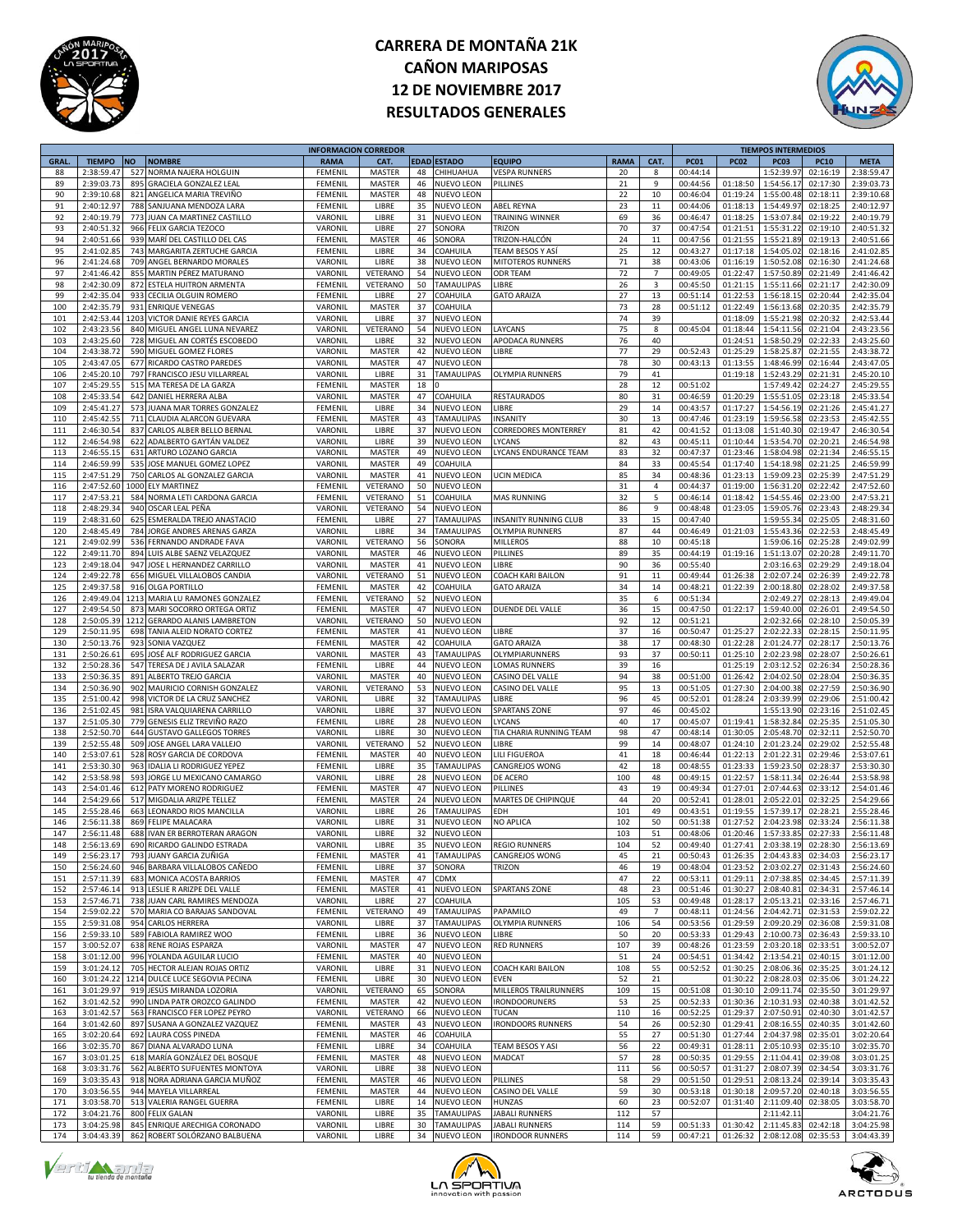



|             |               |           |                                | <b>INFORMACION CORREDOR</b> |               |    |                   |                              |             |                |             |             | <b>TIEMPOS INTERMEDIOS</b> |             |             |
|-------------|---------------|-----------|--------------------------------|-----------------------------|---------------|----|-------------------|------------------------------|-------------|----------------|-------------|-------------|----------------------------|-------------|-------------|
| <b>GRAL</b> | <b>TIEMPO</b> | <b>NO</b> | <b>NOMBRE</b>                  | <b>RAMA</b>                 | CAT.          |    | EDAD ESTADO       | EQUIPO                       | <b>RAMA</b> | CAT.           | <b>PC01</b> | <b>PC02</b> | <b>PC03</b>                | <b>PC10</b> | <b>META</b> |
| 88          | 2:38:59.47    | 527       | NORMA NAJERA HOLGUIN           | FEMENII                     | <b>MASTER</b> | 48 | CHIHUAHUA         | <b>VESPA RUNNERS</b>         | 20          | 8              | 00:44:14    |             | 1:52:39.9                  | 02:16:19    | 2:38:59.47  |
| 89          | 2:39:03.73    | 895       | <b>GRACIELA GONZALEZ LEAL</b>  | FEMENIL                     | <b>MASTER</b> | 46 | NUEVO LEON        | PILLINES                     | 21          | 9              | 00:44:56    | 01:18:50    | 1:54:56.17                 | 02:17:30    | 2:39:03.73  |
|             |               |           |                                |                             |               |    |                   |                              |             |                |             |             |                            |             |             |
| 90          | 2:39:10.68    | 821       | ANGELICA MARIA TREVIÑO         | FEMENIL                     | MASTER        | 48 | <b>NUEVO LEON</b> |                              | 22          | 10             | 00:46:04    | 01:19:24    | 1:55:00.48                 | 02:18:11    | 2:39:10.68  |
| 91          | 2:40:12.97    |           | 788 SANJUANA MENDOZA LARA      | FEMENII                     | LIBRE         | 35 | <b>NUEVO LEON</b> | <b>ABEL REYNA</b>            | 23          | 11             | 00:44:06    | 01:18:13    | 1:54:49.9                  | 02:18:25    | 2:40:12.97  |
| 92          | 2:40:19.79    |           | 773 JUAN CA MARTINEZ CASTILLO  | VARONIL                     | LIBRE         | 31 | NUEVO LEON        | TRAINING WINNER              | 69          | 36             | 00:46:47    | 01:18:25    | 1:53:07.84                 | 02:19:22    | 2:40:19.79  |
| 93          | 2:40:51.32    |           | 966 FELIX GARCIA TEZOCO        | VARONIL                     | LIBRE         | 27 | SONORA            | TRIZON                       | 70          | 37             | 00:47:54    | 01:21:51    | 1:55:31.22                 | 02:19:10    | 2:40:51.32  |
|             |               |           |                                |                             |               |    |                   |                              |             |                |             |             |                            |             | 2:40:51.66  |
| 94          | 2:40:51.66    |           | 939 MARÍ DEL CASTILLO DEL CAS  | FEMENIL                     | <b>MASTER</b> | 46 | SONORA            | TRIZON-HALCÓN                | 24          | 11             | 00:47:56    | 01:21:55    | 1:55:21.89                 | 02:19:13    |             |
| 95          | 2:41:02.8     |           | 743 MARGARITA ZERTUCHE GARCIA  | FEMENIL                     | LIBRE         | 34 | COAHUILA          | TEAM BESOS Y AS              | 25          | 12             | 00:43:27    | 01:17:18    | 1:54:05.02                 | 02:18:16    | 2:41:02.85  |
| 96          | 2:41:24.68    |           | 709 ANGEL BERNARDO MORALES     | VARONII                     | LIBRE         | 38 | NUEVO LEON        | MITOTEROS RUNNERS            | 71          | 38             | 00:43:06    | 01:16:19    | 1:50:52.08                 | 02:16:30    | 2:41:24.68  |
| 97          | 2:41:46.42    |           | 855 MARTIN PÉREZ MATURANO      | VARONIL                     | VETERANO      | 54 | NUEVO LEON        | ODR TEAM                     | 72          | 7              | 00:49:05    | 01:22:47    | 1:57:50.89                 | 02:21:49    | 2:41:46.42  |
| 98          |               |           |                                |                             |               |    |                   | LIBRE                        | 26          |                |             |             | 1:55:11.66                 |             | 2:42:30.09  |
|             | 2:42:30.09    |           | 872 ESTELA HUITRON ARMENTA     | FEMENIL                     | VETERANO      | 50 | <b>TAMAULIPAS</b> |                              |             | 3              | 00:45:50    | 01:21:15    |                            | 02:21:17    |             |
| 99          | 2:42:35.04    | 933       | CECILIA OLGUIN ROMERO          | FEMENIL                     | LIBRE         | 27 | COAHUILA          | <b>GATO ARAIZA</b>           | 27          | 13             | 00:51:14    | 01:22:53    | 1:56:18.1                  | 02:20:44    | 2:42:35.04  |
| 100         | 2:42:35.79    | 931       | <b>ENRIQUE VENEGAS</b>         | VARONIL                     | <b>MASTER</b> | 37 | COAHUILA          |                              | 73          | 28             | 00:51:12    | 01:22:49    | 1:56:13.68                 | 02:20:35    | 2:42:35.79  |
| 101         | 2:42:53.44    |           | 1203 VICTOR DANIE REYES GARCIA | VARONII                     | LIBRE         | 37 | NUEVO LEON        |                              | 74          | 39             |             | 01:18:09    | 1:55:21.98                 | 02:20:32    | 2:42:53.44  |
|             |               |           |                                |                             |               |    |                   |                              |             |                |             |             |                            |             |             |
| 102         | 2:43:23.56    |           | 840 MIGUEL ANGEL LUNA NEVAREZ  | VARONIL                     | VETERANO      | 54 | NUEVO LEON        | LAYCANS                      | 75          | 8              | 00:45:04    | 01:18:44    | 1:54:11.56                 | 02:21:04    | 2:43:23.56  |
| 103         | 2:43:25.60    |           | 728 MIGUEL AN CORTÉS ESCOBEDO  | VARONIL                     | LIBRE         | 32 | NUEVO LEON        | APODACA RUNNERS              | 76          | 40             |             | 01:24:51    | 1:58:50.29                 | 02:22:33    | 2:43:25.60  |
| 104         | 2:43:38.72    |           | 590 MIGUEL GOMEZ FLORES        | VARONIL                     | <b>MASTER</b> | 42 | NUEVO LEON        | LIBRE                        | 77          | 29             | 00:52:43    | 01:25:29    | 1:58:25.8                  | 02:21:55    | 2:43:38.72  |
| 105         | 2:43:47.05    |           | 677 RICARDO CASTRO PAREDES     | VARONIL                     | MASTER        | 47 | <b>NUEVO LEON</b> |                              | 78          | 30             | 00:43:13    | 01:13:55    | 1:48:46.99                 | 02:16:44    | 2:43:47.05  |
| 106         | 2:45:20.10    |           |                                |                             | LIBRE         | 31 |                   |                              | 79          | 41             |             | 01:19:18    |                            | 02:21:31    |             |
|             |               |           | 797 FRANCISCO JESU VILLARREA   | VARONII                     |               |    | TAMAULIPAS        | <b>OLYMPIA RUNNERS</b>       |             |                |             |             | 1:52:43.2                  |             | 2:45:20.10  |
| 107         | 2:45:29.55    |           | 515 MA TERESA DE LA GARZA      | FEMENII                     | MASTER        | 18 |                   |                              | 28          | 12             | 00:51:02    |             | 1:57:49.42                 | 02:24:27    | 2:45:29.55  |
| 108         | 2:45:33.54    |           | 642 DANIEL HERRERA ALBA        | VARONIL                     | <b>MASTER</b> | 47 | COAHUILA          | <b>RESTAURADOS</b>           | 80          | 31             | 00:46:59    | 01:20:29    | 1:55:51.09                 | 02:23:18    | 2:45:33.54  |
| 109         | 2:45:41.27    | 573       | JUANA MAR TORRES GONZALEZ      | FEMENIL                     | LIBRE         | 34 | NUEVO LEON        | LIBRE                        | 29          | 14             | 00:43:57    | 01:17:27    | 1:54:56.19                 | 02:21:26    | 2:45:41.27  |
| 110         | 2:45:42.5     |           | 711 CLAUDIA ALARCON GUEVARA    | FEMENIL                     |               | 43 | TAMAULIPAS        | INSANITY                     | 30          | 13             | 00:47:46    | 01:23:19    | 1:59:56.5                  | 02:23:53    | 2:45:42.55  |
|             |               |           |                                |                             | <b>MASTER</b> |    |                   |                              |             |                |             |             |                            |             |             |
| 111         | 2:46:30.5     |           | 837 CARLOS ALBER BELLO BERNAI  | VARONII                     | LIBRE         | 37 | NUEVO LEON        | CORREDORES MONTERREY         | 81          | 42             | 00:41:52    | 01:13:08    | 1:51:40.3                  | 02:19:47    | 2:46:30.54  |
| 112         | 2:46:54.98    |           | 622 ADALBERTO GAYTÁN VALDEZ    | VARONII                     | LIBRE         | 39 | <b>NUEVO LEON</b> | LYCANS                       | 82          | 43             | 00:45:11    | 01:10:44    | 1:53:54.70                 | 02:20:21    | 2:46:54.98  |
| 113         | 2:46:55.15    |           | 631 ARTURO LOZANO GARCIA       | VARONIL                     | <b>MASTER</b> | 49 | NUEVO LEON        | YCANS ENDURANCE TEAM         | 83          | 32             | 00:47:37    | 01:23:46    | 1:58:04.98                 | 02:21:34    | 2:46:55.15  |
| 114         | 2:46:59.99    |           | 535 JOSE MANUEL GOMEZ LOPEZ    | VARONIL                     | MASTER        | 49 | COAHUILA          |                              | 84          | 33             | 00:45:54    | 01:17:40    | 1:54:18.98                 | 02:21:25    | 2:46:59.99  |
|             |               |           |                                |                             |               |    |                   |                              |             |                |             |             |                            |             |             |
| 115         | 2:47:51.29    | 750       | CARLOS AL GONZALEZ GARCIA      | <b>VARONIL</b>              | MASTER        | 41 | <b>NUEVO LEON</b> | <b>UCIN MEDICA</b>           | 85          | 34             | 00:48:36    | 01:23:13    | 1:59:09.2                  | 02:25:39    | 2:47:51.29  |
| 116         | 2:47:52.60    | 1000      | <b>ELY MARTINEZ</b>            | FEMENII                     | VETERANO      | 50 | <b>NUEVO LEON</b> |                              | 31          | $\overline{4}$ | 00:44:37    | 01:19:00    | 1:56:31.2                  | 02:22:42    | 2:47:52.60  |
| 117         | 2:47:53.21    |           | 584 NORMA LETI CARDONA GARCIA  | FEMENII                     | VETERANO      | 51 | COAHUILA          | <b>MAS RUNNING</b>           | 32          | 5              | 00:46:14    | 01:18:42    | 1:54:55.46                 | 02:23:00    | 2:47:53.21  |
|             |               |           |                                |                             |               |    |                   |                              |             |                |             |             |                            |             |             |
| 118         | 2:48:29.34    |           | 940 OSCAR LEAL PEÑA            | VARONIL                     | VETERANO      | 54 | NUEVO LEON        |                              | 86          | 9              | 00:48:48    | 01:23:05    | 1:59:05.76                 | 02:23:43    | 2:48:29.34  |
| 119         | 2:48:31.60    | 625       | ESMERALDA TREJO ANASTACIO      | FEMENIL                     | LIBRE         | 27 | <b>TAMAULIPAS</b> | <b>INSANITY RUNNING CLUB</b> | 33          | 15             | 00:47:40    |             | 1:59:55.34                 | 02:25:05    | 2:48:31.60  |
| 120         | 2:48:45.49    |           | 784 JORGE ANDRES ARENAS GARZA  | VARONIL                     | LIBRE         | 34 | <b>TAMAULIPAS</b> | OLYMPIA RUNNERS              | 87          | 44             | 00:46:49    | 01:21:03    | 1:55:43.36                 | 02:22:53    | 2:48:45.49  |
| 121         | 2:49:02.99    | 536       | <b>FERNANDO ANDRADE FAVA</b>   | VARONII                     | VETERANO      | 56 | SONORA            | MILLEROS                     | 88          | 10             | 00:45:18    |             | 1:59:06.16                 | 02:25:28    | 2:49:02.99  |
|             |               |           |                                |                             |               |    |                   |                              |             |                |             |             |                            |             |             |
| 122         | 2:49:11.70    |           | 894 LUIS ALBE SAENZ VELAZQUEZ  | VARONII                     | MASTER        | 46 | NUEVO LEON        | PILLINES                     | 89          | 35             | 00:44:19    | 01:19:16    | 1:51:13.07                 | 02:20:28    | 2:49:11.70  |
| 123         | 2:49:18.04    |           | 947 JOSE L HERNANDEZ CARRILLO  | VARONIL                     | MASTER        | 41 | <b>NUEVO LEON</b> | LIBRE                        | 90          | 36             | 00:55:40    |             | 2:03:16.63                 | 02:29:29    | 2:49:18.04  |
| 124         | 2:49:22.78    |           | 656 MIGUEL VILLALOBOS CANDIA   | VARONIL                     | VETERANO      | 51 | NUEVO LEON        | COACH KARI BAILON            | 91          | 11             | 00:49:44    | 01:26:38    | 2:02:07.24                 | 02:26:39    | 2:49:22.78  |
| 125         | 2:49:37.58    | 916       | <b>OLGA PORTILLO</b>           | FEMENII                     | MASTER        | 42 | COAHUILA          | <b>GATO ARAIZA</b>           | 34          | 14             | 00:48:21    | 01:22:39    | 2:00:18.80                 | 02:28:02    | 2:49:37.58  |
|             |               |           |                                |                             |               |    |                   |                              |             |                |             |             |                            |             |             |
| 126         | 2:49:49.04    |           | 1213 MARIA LU RAMONES GONZALEZ | FEMENII                     | VETERANO      | 52 | <b>NUEVO LEON</b> |                              | 35          | 6              | 00:51:34    |             | 2:02:49.2                  | 02:28:13    | 2:49:49.04  |
| 127         | 2:49:54.50    |           | 873 MARI SOCORRO ORTEGA ORTIZ  | FEMENII                     | <b>MASTER</b> | 47 | NUEVO LEON        | DUENDE DEL VALLE             | 36          | 15             | 00:47:50    | 01:22:17    | 1:59:40.00                 | 02:26:01    | 2:49:54.50  |
| 128         | 2:50:05.39    |           | 1212 GERARDO ALANIS LAMBRETON  | VARONIL                     | VETERANO      | 50 | <b>NUEVO LEON</b> |                              | 92          | 12             | 00:51:21    |             | 2:02:32.66                 | 02:28:10    | 2:50:05.39  |
|             |               |           |                                |                             |               |    |                   |                              |             |                |             |             |                            |             |             |
| 129         | 2:50:11.95    | 698       | TANIA ALEID NORATO CORTEZ      | FEMENIL                     | <b>MASTER</b> | 41 | NUEVO LEON        | LIBRE                        | 37          | 16             | 00:50:47    | 01:25:27    | 2:02:22.33                 | 02:28:15    | 2:50:11.95  |
| 130         | 2:50:13.76    | 923       | SONIA VAZQUEZ                  | FEMENII                     | <b>MASTER</b> | 42 | COAHUILA          | <b>GATO ARAIZA</b>           | 38          | 17             | 00:48:30    | 01:22:28    | 2:01:24.77                 | 02:28:17    | 2:50:13.76  |
| 131         | 2:50:26.6     | 695       | JOSÉ ALF RODRIGUEZ GARCIA      | VARONII                     | MASTER        | 43 | TAMAULIPAS        | OLYMPIARUNNERS               | 93          | 37             | 00:50:11    | 01:25:10    | 2:02:23.98                 | 02:28:07    | 2:50:26.61  |
| 132         | 2:50:28.36    |           | 547 TERESA DE J AVILA SALAZAR  | FEMENII                     | LIBRE         | 44 | NUEVO LEON        | LOMAS RUNNERS                | 39          | 16             |             | 01:25:19    | 2:03:12.52                 | 02:26:34    | 2:50:28.36  |
|             |               |           |                                |                             |               |    |                   |                              |             |                |             |             |                            |             |             |
| 133         | 2:50:36.35    | 891       | ALBERTO TREJO GARCIA           | VARONIL                     | <b>MASTER</b> | 40 | NUEVO LEON        | CASINO DEL VALLE             | 94          | 38             | 00:51:00    | 01:26:42    | 2:04:02.50                 | 02:28:04    | 2:50:36.35  |
| 134         | 2:50:36.90    | 902       | MAURICIO CORNISH GONZALEZ      | VARONIL                     | VETERANO      | 53 | NUEVO LEON        | CASINO DEL VALLE             | 95          | 13             | 00:51:05    | 01:27:30    | 2:04:00.38                 | 02:27:59    | 2:50:36.90  |
| 135         | 2:51:00.42    | 998       | VICTOR DE LA CRUZ SANCHEZ      | VARONIL                     | LIBRE         | 32 | <b>TAMAULIPAS</b> | LIBRE                        | 96          | 45             | 00:52:01    | 01:28:24    | 2:03:39.99                 | 02:29:06    | 2:51:00.42  |
| 136         | 2:51:02.4     | 981       |                                | VARONIL                     | LIBRE         | 37 | NUEVO LEON        | <b>SPARTANS ZONE</b>         | 97          | 46             | 00:45:02    |             | 1:55:13.90                 | 02:23:16    | 2:51:02.45  |
|             |               |           | ISRA VALQUIARENA CARRILLO      |                             |               |    |                   |                              |             |                |             |             |                            |             |             |
| 137         | 2:51:05.30    |           | 779 GENESIS ELIZ TREVIÑO RAZO  | FEMENIL                     | LIBRE         | 28 | NUEVO LEON        | LYCANS                       | 40          | 17             | 00:45:07    | 01:19:41    | 1:58:32.84                 | 02:25:35    | 2:51:05.30  |
| 138         | 2:52:50.70    |           | 644 GUSTAVO GALLEGOS TORRES    | VARONIL                     | LIBRE         | 30 | NUEVO LEON        | TIA CHARIA RUNNING TEAM      | 98          | 47             | 00:48:14    | 01:30:05    | 2:05:48.70                 | 02:32:11    | 2:52:50.70  |
| 139         | 2:52:55.48    |           | 509 JOSE ANGEL LARA VALLEJO    | VARONIL                     | VETERANO      | 52 | NUEVO LEON        | LIBRE                        | 99          | 14             | 00:48:07    | 01:24:10    | 2:01:23.24                 | 02:29:02    | 2:52:55.48  |
| 140         | 2:53:07.6     | 528       | ROSY GARCIA DE CORDOVA         | FEMENII                     | MASTER        | 40 | NUEVO LEON        | LILI FIGUEROA                | 41          | 18             | 00:46:44    | 01:22:13    | 2:01:22.31                 | 02:29:46    | 2:53:07.61  |
|             |               |           |                                |                             |               |    |                   |                              |             |                |             |             |                            |             |             |
| 141         | 2:53:30.30    |           | 963 IDALIA LI RODRIGUEZ YEPEZ  | FEMENII                     | LIBRE         | 35 | TAMAULIPAS        | CANGREJOS WONG               | 42          | 18             | 00:48:55    | 01:23:33    | 1:59:23.50                 | 02:28:37    | 2:53:30.30  |
| 142         | 2:53:58.98    |           | 593 JORGE LU MEXICANO CAMARGO  | VARONIL                     | LIBRE         | 28 | NUEVO LEON        | DE ACERO                     | 100         | 48             | 00:49:15    | 01:22:57    | 1:58:11.34                 | 02:26:44    | 2:53:58.98  |
| 143         | 2:54:01.46    |           | 612 PATY MORENO RODRIGUEZ      | FEMENIL                     | <b>MASTER</b> | 47 | NUEVO LEON        | PILLINES                     | 43          | 19             | 00:49:34    | 01:27:01    | 2:07:44.63                 | 02:33:12    | 2:54:01.46  |
| 144         | 2:54:29.66    |           | 517 MIGDALIA ARIZPE TELLEZ     | FEMENIL                     | <b>MASTER</b> | 24 | NUEVO LEON        | MARTES DE CHIPINQUE          | 44          | 20             | 00:52:41    | 01:28:01    | 2:05:22.01                 | 02:32:25    | 2:54:29.66  |
|             |               |           |                                |                             |               |    |                   |                              |             |                |             |             |                            |             |             |
| 145         | 2:55:28.46    | 663       | LEONARDO RIOS MANCILLA         | VARONIL                     | LIBRE         | 26 | <b>TAMAULIPAS</b> | EDH                          | 101         | 49             | 00:43:51    | 01:19:55    | 1:57:39.17                 | 02:28:21    | 2:55:28.46  |
| 146         | 2:56:11.38    |           | 869 FELIPE MALACARA            | VARONIL                     | LIBRE         | 31 | NUEVO LEON        | NO APLICA                    | 102         | 50             | 00:51:38    | 01:27:52    | 2:04:23.98                 | 02:33:24    | 2:56:11.38  |
| 147         | 2:56:11.48    |           | 688 IVAN ER BERROTERAN ARAGON  | VARONIL                     | LIBRE         | 32 | NUEVO LEON        |                              | 103         | 51             | 00:48:06    | 01:20:46    | 1:57:33.85                 | 02:27:33    | 2:56:11.48  |
| 148         | 2.56.1369     |           | 690 RICARDO GALINDO ESTRADA    | VARONII                     | LIBRE         | 35 | NUEVO LEON        | <b>REGIO RUNNERS</b>         | 104         | 52             | 00.49.40    | 01:27:41    | 2.03.3819                  | 02.28.30    | 2:56:13.69  |
| 149         |               |           |                                |                             |               | 41 |                   |                              |             | 21             |             |             |                            |             |             |
|             | 2:56:23.17    |           | 793 JUANY GARCIA ZUÑIGA        | FEMENIL                     | MASTER        |    | TAMAULIPAS        | CANGREJOS WONG               | 45          |                | 00:50:43    | 01:26:35    | 2:04:43.83                 | 02:34:03    | 2:56:23.17  |
| 150         | 2:56:24.60    |           | 946 BARBARA VILLALOBOS CAÑEDO  | FEMENIL                     | LIBRE         | 37 | SONORA            | TRIZON                       | 46          | 19             | 00:48:04    | 01:23:52    | 2:03:02.27                 | 02:31:43    | 2:56:24.60  |
| 151         | 2:57:11.39    |           | 683 MONICA ACOSTA BARRIOS      | FEMENIL                     | MASTER        | 47 | CDMX              |                              | 47          | 22             | 00:53:11    | 01:29:11    | 2:07:38.85                 | 02:34:45    | 2:57:11.39  |
| 152         | 2:57:46.14    |           | 913 LESLIE R ARIZPE DEL VALLE  | FEMENIL                     | MASTER        | 41 | NUEVO LEON        | <b>SPARTANS ZONE</b>         | 48          | 23             | 00:51:46    | 01:30:27    | 2:08:40.81                 | 02:34:31    | 2:57:46.14  |
| 153         | 2:57:46.71    |           | 738 JUAN CARL RAMIRES MENDOZA  | VARONIL                     | LIBRE         | 27 | COAHUILA          |                              | 105         | 53             | 00:49:48    | 01:28:17    | 2:05:13.21                 | 02:33:16    | 2:57:46.71  |
|             |               |           |                                |                             |               |    |                   |                              |             |                |             |             |                            |             |             |
| 154         | 2:59:02.22    |           | 570 MARIA CO BARAJAS SANDOVAL  | FEMENIL                     | VETERANO      | 49 | TAMAULIPAS        | PAPAMILO                     | 49          | $\overline{7}$ | 00:48:11    | 01:24:56    | 2:04:42.71                 | 02:31:53    | 2:59:02.22  |
| 155         | 2:59:31.08    |           | 954 CARLOS HERRERA             | VARONIL                     | LIBRE         | 37 | <b>TAMAULIPAS</b> | <b>OLYMPIA RUNNERS</b>       | 106         | 54             | 00:53:56    | 01:29:59    | 2:09:20.29                 | 02:36:08    | 2:59:31.08  |
| 156         | 2:59:33.10    |           | 589 FABIOLA RAMIREZ WOO        | FEMENIL                     | LIBRE         | 36 | NUEVO LEON        | LIBRE                        | 50          | 20             | 00:53:33    | 01:29:43    | 2:10:00.73                 | 02:36:43    | 2:59:33.10  |
|             |               |           |                                |                             |               |    |                   |                              |             |                |             |             |                            |             |             |
| 157         | 3:00:52.07    |           | 638 RENE ROJAS ESPARZA         | VARONIL                     | MASTER        | 47 | NUEVO LEON        | <b>RED RUNNERS</b>           | 107         | 39             | 00:48:26    | 01:23:59    | 2:03:20.18                 | 02:33:51    | 3:00:52.07  |
| 158         | 3:01:12.00    |           | 996 YOLANDA AGUILAR LUCIO      | FEMENIL                     | <b>MASTER</b> | 40 | NUEVO LEON        |                              | 51          | 24             | 00:54:51    | 01:34:42    | 2:13:54.21                 | 02:40:15    | 3:01:12.00  |
| 159         | 3:01:24.12    |           | 705 HECTOR ALEJAN ROJAS ORTIZ  | VARONIL                     | LIBRE         | 31 | NUEVO LEON        | COACH KARI BAILON            | 108         | 55             | 00:52:52    | 01:30:25    | 2:08:06.36                 | 02:35:25    | 3:01:24.12  |
| 160         | 3:01:24.22    |           | 1214 DULCE LUCE SEGOVIA PECINA | FEMENIL                     | LIBRE         | 30 | NUEVO LEON        | <b>EVEN</b>                  | 52          | 21             |             | 01:30:22    | 2:08:28.03                 | 02:35:06    | 3:01:24.22  |
|             |               |           |                                |                             |               |    |                   |                              |             |                |             |             |                            |             |             |
| 161         | 3:01:29.97    |           | 919 JESÚS MIRANDA LOZORIA      | VARONIL                     | VETERANO      | 65 | SONORA            | MILLEROS TRAILRUNNERS        | 109         | 15             | 00:51:08    | 01:30:10    | 2:09:11.74                 | 02:35:50    | 3:01:29.97  |
| 162         | 3:01:42.52    |           | 990 LINDA PATR OROZCO GALINDO  | FEMENIL                     | MASTER        | 42 | NUEVO LEON        | <b>IRONDOORUNERS</b>         | 53          | 25             | 00:52:33    | 01:30:36    | 2:10:31.93                 | 02:40:38    | 3:01:42.52  |
| 163         | 3:01:42.57    |           | 563 FRANCISCO FER LOPEZ PEYRO  | VARONIL                     | VETERANO      | 66 | NUEVO LEON        | TUCAN                        | 110         | 16             | 00:52:25    | 01:29:37    | 2:07:50.91                 | 02:40:30    | 3:01:42.57  |
|             |               |           |                                |                             |               |    | <b>NUEVO LEON</b> |                              |             |                |             |             |                            |             |             |
| 164         | 3:01:42.60    |           | 897 SUSANA A GONZALEZ VAZQUEZ  | FEMENIL                     | MASTER        | 43 |                   | <b>IRONDOORS RUNNERS</b>     | 54          | 26             | 00:52:30    | 01:29:41    | 2:08:16.55                 | 02:40:35    | 3:01:42.60  |
| 165         | 3:02:20.64    |           | 692 LAURA COSS PINEDA          | FEMENIL                     | MASTER        | 46 | COAHUILA          |                              | 55          | 27             | 00:51:30    | 01:27:44    | 2:04:37.98                 | 02:35:01    | 3:02:20.64  |
| 166         | 3:02:35.70    |           | 867 DIANA ALVARADO LUNA        | FEMENIL                     | LIBRE         | 34 | COAHUILA          | TEAM BESOS Y ASI             | 56          | 22             | 00:49:31    | 01:28:11    | 2:05:10.93                 | 02:35:10    | 3:02:35.70  |
| 167         | 3:03:01.25    |           | 618 MARÍA GONZÁLEZ DEL BOSQUE  | FEMENIL                     | MASTER        | 48 | NUEVO LEON        | MADCAT                       | 57          | 28             | 00:50:35    | 01:29:55    | 2:11:04.41                 | 02:39:08    | 3:03:01.25  |
|             |               |           |                                |                             |               | 38 |                   |                              |             |                |             |             |                            |             |             |
| 168         | 3:03:31.76    |           | 562 ALBERTO SUFUENTES MONTOYA  | VARONIL                     | LIBRE         |    | NUEVO LEON        |                              | 111         | 56             | 00:50:57    | 01:31:27    | 2:08:07.39                 | 02:34:54    | 3:03:31.76  |
| 169         | 3:03:35.43    |           | 918 NORA ADRIANA GARCIA MUÑOZ  | FEMENIL                     | <b>MASTER</b> | 46 | NUEVO LEON        | PILLINES                     | 58          | 29             | 00:51:50    | 01:29:51    | 2:08:13.24                 | 02:39:14    | 3:03:35.43  |
| 170         | 3:03:56.55    |           | 944 MAYELA VILLARREAL          | FEMENIL                     | <b>MASTER</b> | 44 | NUEVO LEON        | CASINO DEL VALLE             | 59          | 30             | 00:53:18    | 01:30:18    | 2:09:57.20                 | 02:40:18    | 3:03:56.55  |
| 171         | 3:03:58.70    |           | 513 VALERIA RANGEL GUERRA      | FEMENIL                     | LIBRE         | 14 | NUEVO LEON        | HUNZAS                       | 60          | 23             | 00:52:07    | 01:31:40    | 2:11:09.40                 | 02:38:05    | 3:03:58.70  |
|             |               |           |                                |                             |               |    |                   |                              |             |                |             |             |                            |             |             |
| 172         | 3:04:21.76    |           | 800 FELIX GALAN                | VARONIL                     | LIBRE         | 35 | TAMAULIPAS        | JABALI RUNNERS               | 112         | 57             |             |             | 2:11:42.11                 |             | 3:04:21.76  |
| 173         | 3:04:25.98    |           | 845 ENRIQUE ARECHIGA CORONADO  | VARONIL                     | LIBRE         | 30 | TAMAULIPAS        | JABALI RUNNERS               | 114         | 59             | 00:51:33    | 01:30:42    | 2:11:45.83                 | 02:42:18    | 3:04:25.98  |
| 174         | 3:04:43.39    |           | 862 ROBERT SOLÓRZANO BALBUENA  | VARONIL                     | LIBRE         |    | 34 NUEVO LEON     | <b>IRONDOOR RUNNERS</b>      | 114         | 59             | 00:47:21    | 01:26:32    | 2:08:12.08                 | 02:35:53    | 3:04:43.39  |





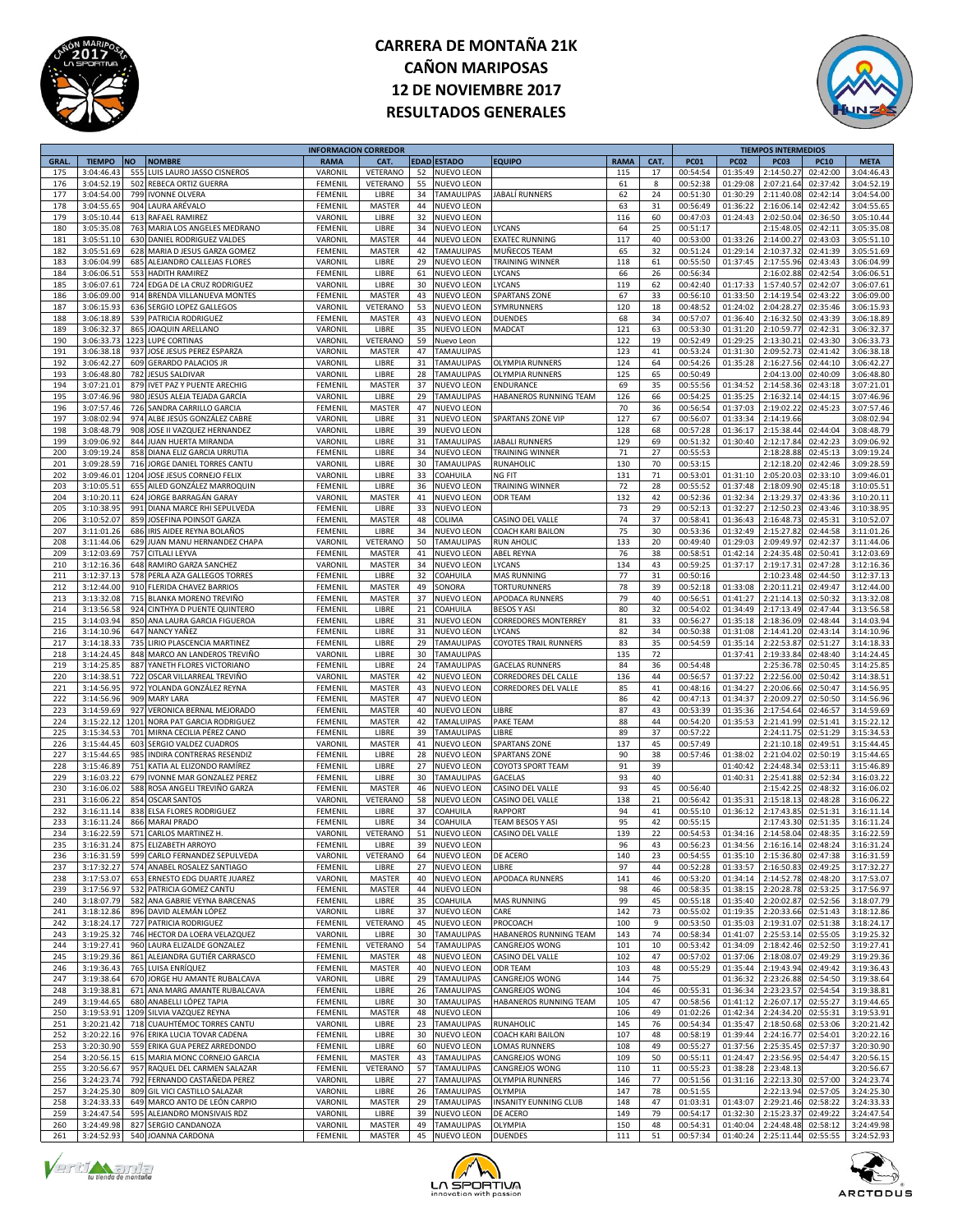



|             |               |           |                                  | <b>INFORMACION CORREDOR</b> |               |    |                    |                               |             |      |             |             | <b>TIEMPOS INTERMEDIOS</b> |             |             |
|-------------|---------------|-----------|----------------------------------|-----------------------------|---------------|----|--------------------|-------------------------------|-------------|------|-------------|-------------|----------------------------|-------------|-------------|
| <b>GRAL</b> | <b>TIEMPO</b> | <b>NO</b> | <b>NOMBRE</b>                    | <b>RAMA</b>                 | CAT.          |    | <b>EDAD ESTADO</b> | <b>EQUIPO</b>                 | <b>RAMA</b> | CAT. | <b>PC01</b> | <b>PC02</b> | <b>PC03</b>                | <b>PC10</b> | <b>META</b> |
| 175         | 3:04:46.43    | 555       | LUIS LAURO JASSO CISNEROS        | VARONII                     | VETERANO      | 52 | NUEVO LEON         |                               | 115         | 17   | 00:54:54    | 01:35:49    | 2:14:50.2                  | 02:42:00    | 3:04:46.43  |
| 176         | 3:04:52.19    | 502       | REBECA ORTIZ GUERRA              | FEMENIL                     | VETERANO      | 55 | <b>NUEVO LEON</b>  |                               | 61          | 8    | 00:52:38    | 01:29:08    | 2:07:21.64                 | 02:37:42    | 3:04:52.19  |
| 177         | 3:04:54.00    | 799       | <b>IVONNE OLVERA</b>             | FEMENIL                     | LIBRE         | 34 | TAMAULIPAS         | JABALİ RUNNERS                | 62          | 24   | 00:51:30    | 01:30:29    | 2:11:40.08                 | 02:42:14    | 3:04:54.00  |
| 178         | 3:04:55.6     |           | 904 LAURA ARÉVALO                | FEMENI                      | <b>MASTER</b> | 44 | NUEVO LEON         |                               | 63          | 31   | 00:56:49    | 01:36:22    | 2:16:06.14                 | 02:42:42    | 3:04:55.65  |
|             |               |           |                                  |                             |               |    |                    |                               |             |      |             |             |                            |             |             |
| 179         | 3:05:10.44    |           | 613 RAFAEL RAMIREZ               | VARONIL                     | LIBRE         | 32 | NUEVO LEON         |                               | 116         | 60   | 00:47:03    | 01:24:43    | 2:02:50.04                 | 02:36:50    | 3:05:10.44  |
| 180         | 3:05:35.08    | 763       | MARIA LOS ANGELES MEDRANO        | FEMENI                      | LIBRE         | 34 | <b>NUEVO LEON</b>  | LYCANS                        | 64          | 25   | 00:51:17    |             | 2:15:48.09                 | 02:42:11    | 3:05:35.08  |
| 181         | 3:05:51.10    | 630       | DANIEL RODRIGUEZ VALDES          | VARONIL                     | MASTER        | 44 | NUEVO LEON         | <b>EXATEC RUNNING</b>         | 117         | 40   | 00:53:00    | 01:33:26    | 2:14:00.2                  | 02:43:03    | 3:05:51.10  |
| 182         | 3:05:51.69    |           | 628 MARIA D JESUS GARZA GOMEZ    | FEMENIL                     | MASTER        | 42 | TAMAULIPAS         | MUÑECOS TEAM                  | 65          | 32   | 00:51:24    | 01:29:14    | 2:10:37.3                  | 02:41:39    | 3:05:51.69  |
| 183         | 3:06:04.99    | 685       | ALEJANDRO CALLEJAS FLORES        | VARONI                      | LIBRE         | 29 | NUEVO LEON         | <b><i>FRAINING WINNER</i></b> | 118         | 61   | 00:55:50    | 01:37:45    | 2:17:55.96                 | 02:43:43    | 3:06:04.99  |
| 184         | 3:06:06.51    |           | 553 HADITH RAMIREZ               | FEMENIL                     | LIBRE         | 61 | NUEVO LEON         | LYCANS                        | 66          | 26   | 00:56:34    |             | 2:16:02.88                 | 02:42:54    | 3:06:06.51  |
|             |               |           |                                  |                             |               |    |                    |                               |             |      |             |             |                            |             |             |
| 185         | 3:06:07.6     | 724       | EDGA DE LA CRUZ RODRIGUEZ        | VARONII                     | LIBRE         | 30 | <b>NUEVO LEON</b>  | LYCANS                        | 119         | 62   | 00:42:40    | 01:17:33    | 1:57:40.5                  | 02:42:07    | 3:06:07.61  |
| 186         | 3:06:09.00    | 914       | BRENDA VILLANUEVA MONTES         | FEMENIL                     | MASTER        | 43 | <b>NUEVO LEON</b>  | <b>SPARTANS ZONE</b>          | 67          | 33   | 00:56:10    | 01:33:50    | 2:14:19.5                  | 02:43:22    | 3:06:09.00  |
| 187         | 3:06:15.93    | 636       | SERGIO LOPEZ GALLEGOS            | VARONIL                     | VETERANO      | 53 | NUEVO LEON         | SYMRUNNERS                    | 120         | 18   | 00:48:52    | 01:24:02    | 2:04:28.2                  | 02:35:46    | 3:06:15.93  |
| 188         | 3:06:18.8     | 539       | PATRICIA RODRIGUEZ               | FEMENI                      | <b>MASTER</b> | 43 | NUEVO LEON         | <b>DUENDES</b>                | 68          | 34   | 00:57:07    | 01:36:40    | 2:16:32.5                  | 02:43:39    | 3:06:18.89  |
| 189         | 3:06:32.37    |           | 865 JOAQUIN ARELLANO             | VARONIL                     | LIBRE         | 35 | NUEVO LEON         | MADCAT                        | 121         | 63   | 00:53:30    | 01:31:20    | 2:10:59.77                 | 02:42:31    | 3:06:32.37  |
| 190         | 3:06:33.73    | 1223      | <b>LUPE CORTINAS</b>             | VARONIL                     | VETERANO      | 59 | Nuevo Leon         |                               | 122         | 19   | 00:52:49    | 01:29:25    | 2:13:30.2                  | 02:43:30    | 3:06:33.73  |
| 191         | 3:06:38.18    | 937       | JOSE JESUS PEREZ ESPARZA         | VARONIL                     | MASTER        | 47 | <b>TAMAULIPAS</b>  |                               | 123         | 41   | 00:53:24    | 01:31:30    | 2:09:52.7                  | 02:41:42    | 3:06:38.18  |
|             |               |           |                                  |                             |               |    |                    |                               |             |      |             |             |                            |             |             |
| 192         | 3:06:42.2     | 609       | <b>GERARDO PALACIOS JR</b>       | VARONII                     | LIBRE         | 31 | <b>TAMAULIPAS</b>  | <b>OLYMPIA RUNNERS</b>        | 124         | 64   | 00:54:26    | 01:35:28    | 2:16:27.5                  | 02:44:10    | 3:06:42.27  |
| 193         | 3:06:48.8     | 782       | <b>JESUS SALDIVAR</b>            | VARONII                     | LIBRE         | 28 | <b>TAMAULIPAS</b>  | OLYMPIA RUNNERS               | 125         | 65   | 00:50:49    |             | 2:04:13.00                 | 02:40:09    | 3:06:48.80  |
| 194         | 3:07:21.01    |           | 879 IVET PAZ Y PUENTE ARECHIG    | FEMENIL                     | MASTER        | 37 | NUEVO LEON         | ENDURANCE                     | 69          | 35   | 00:55:56    | 01:34:52    | 2:14:58.36                 | 02:43:18    | 3:07:21.01  |
| 195         | 3:07:46.96    | 980       | JESÚS ALEJA TEJADA GARCÍA        | VARONII                     | LIBRE         | 29 | <b>TAMAULIPAS</b>  | HABANEROS RUNNING TEAM        | 126         | 66   | 00:54:25    | 01:35:25    | 2:16:32.14                 | 02:44:15    | 3:07:46.96  |
| 196         | 3:07:57.46    | 726       | SANDRA CARRILLO GARCIA           | FEMENIL                     | <b>MASTER</b> | 47 | <b>NUEVO LEON</b>  |                               | 70          | 36   | 00:56:54    | 01:37:03    | 2:19:02.2                  | 02:45:23    | 3:07:57.46  |
| 197         | 3:08:02.94    | 974       | ALBE JESÚS GONZÁLEZ CABRE        | VARONIL                     | LIBRE         | 31 | <b>NUEVO LEON</b>  | SPARTANS ZONE VIP             | 127         | 67   | 00:56:07    | 01:33:34    | 2:14:19.6                  |             | 3:08:02.94  |
| 198         | 3:08:48.7     | 908       | JOSE II VAZQUEZ HERNANDEZ        |                             |               | 39 |                    |                               |             | 68   |             |             |                            |             |             |
|             |               |           |                                  | VARONII                     | LIBRE         |    | NUEVO LEON         |                               | 128         |      | 00:57:28    | 01:36:17    | 2:15:38.44                 | 02:44:04    | 3:08:48.79  |
| 199         | 3:09:06.92    |           | 844 JUAN HUERTA MIRANDA          | VARONII                     | LIBRE         | 31 | <b>TAMAULIPAS</b>  | JABALI RUNNERS                | 129         | 69   | 00:51:32    | 01:30:40    | 2:12:17.84                 | 02:42:23    | 3:09:06.92  |
| 200         | 3:09:19.24    | 858       | DIANA ELIZ GARCIA URRUTIA        | FEMENIL                     | LIBRE         | 34 | NUEVO LEON         | <b>TRAINING WINNER</b>        | 71          | 27   | 00:55:53    |             | 2:18:28.88                 | 02:45:13    | 3:09:19.24  |
| 201         | 3:09:28.5     | 716       | JORGE DANIEL TORRES CANTU        | VARONIL                     | LIBRE         | 30 | <b>TAMAULIPAS</b>  | RUNAHOLIC                     | 130         | 70   | 00:53:15    |             | 2:12:18.20                 | 02:42:46    | 3:09:28.59  |
| 202         | 3:09:46.03    | 1204      | JOSE JESUS CORNEJO FELIX         | VARONIL                     | LIBRE         | 33 | COAHUILA           | NG FIT                        | 131         | 71   | 00:53:01    | 01:31:10    | 2:05:20.0                  | 02:33:10    | 3:09:46.01  |
| 203         | 3:10:05.5     | 655       | AILED GONZÁLEZ MARROQUIN         | FEMENI                      | LIBRE         | 36 | <b>NUEVO LEON</b>  | TRAINING WINNER               | 72          | 28   | 00:55:52    | 01:37:48    | 2:18:09.9                  | 02:45:18    | 3:10:05.51  |
| 204         | 3:10:20.11    |           | 624 JORGE BARRAGÁN GARAY         | VARONII                     | <b>MASTER</b> | 41 | NUEVO LEON         | ODR TEAM                      | 132         | 42   | 00:52:36    | 01:32:34    | 2:13:29.37                 | 02:43:36    | 3:10:20.11  |
|             |               |           |                                  |                             |               |    |                    |                               |             |      |             |             |                            |             |             |
| 205         | 3:10:38.95    | 991       | DIANA MARCE RHI SEPULVEDA        | FEMENIL                     | LIBRE         | 33 | <b>NUEVO LEON</b>  |                               | 73          | 29   | 00:52:13    | 01:32:27    | 2:12:50.2                  | 02:43:46    | 3:10:38.95  |
| 206         | 3:10:52.0     | 859       | JOSEFINA POINSOT GARZA           | FEMENIL                     | MASTER        | 48 | COLIMA             | CASINO DEL VALLE              | 74          | 37   | 00:58:41    | 01:36:43    | 2:16:48.7                  | 02:45:31    | 3:10:52.07  |
| 207         | 3:11:01.2     | 686       | IRIS AIDEE REYNA BOLAÑOS         | FEMENIL                     | LIBRE         | 34 | <b>NUEVO LEON</b>  | <b>COACH KARI BAILON</b>      | 75          | 30   | 00:53:36    | 01:32:49    | 2:15:27.8                  | 02:44:58    | 3:11:01.26  |
| 208         | 3:11:44.06    | 629       | JUAN MANU HERNANDEZ CHAPA        | VARONII                     | VETERANO      | 50 | <b>TAMAULIPAS</b>  | <b>RUN AHOLIC</b>             | 133         | 20   | 00:49:40    | 01:29:03    | 2:09:49.9                  | 02:42:37    | 3:11:44.06  |
| 209         | 3:12:03.69    | 757       | <b>CITLALI LEYVA</b>             | FEMENIL                     | MASTER        | 41 | NUEVO LEON         | <b>ABEL REYNA</b>             | 76          | 38   | 00:58:51    | 01:42:14    | 2:24:35.48                 | 02:50:41    | 3:12:03.69  |
| 210         | 3:12:16.36    | 648       | RAMIRO GARZA SANCHEZ             | VARONIL                     | MASTER        | 34 | <b>NUEVO LEON</b>  | LYCANS                        | 134         | 43   | 00:59:25    | 01:37:17    | 2:19:17.3                  | 02:47:28    | 3:12:16.36  |
| 211         | 3:12:37.13    |           | PERLA AZA GALLEGOS TORRES        | FEMENIL                     | LIBRE         | 32 | COAHUILA           | MAS RUNNING                   | 77          |      | 00:50:16    |             | 2:10:23.48                 | 02:44:50    | 3:12:37.13  |
|             |               | 578       |                                  |                             |               |    |                    |                               |             | 31   |             |             |                            |             |             |
| 212         | 3:12:44.00    |           | 910 FLERIDA CHAVEZ BARRIOS       | FEMENIL                     | MASTER        | 49 | SONORA             | TORTURUNNERS                  | 78          | 39   | 00:52:18    | 01:33:08    | 2:20:11.23                 | 02:49:47    | 3:12:44.00  |
| 213         | 3:13:32.08    |           | 715 BLANKA MORENO TREVIÑO        | FEMENI                      | <b>MASTER</b> | 37 | NUEVO LEON         | APODACA RUNNERS               | 79          | 40   | 00:56:51    | 01:41:27    | 2:21:14.1                  | 02:50:32    | 3:13:32.08  |
| 214         | 3:13:56.58    |           | 924 CINTHYA D PUENTE QUINTERO    | FEMENIL                     | LIBRE         | 21 | COAHUILA           | BESOS Y ASI                   | 80          | 32   | 00:54:02    | 01:34:49    | 2:17:13.49                 | 02:47:44    | 3:13:56.58  |
| 215         | 3:14:03.9     |           | 850 ANA LAURA GARCIA FIGUEROA    | FEMENIL                     | LIBRE         | 31 | <b>NUEVO LEON</b>  | <b>CORREDORES MONTERREY</b>   | 81          | 33   | 00:56:27    | 01:35:18    | 2:18:36.09                 | 02:48:44    | 3:14:03.94  |
| 216         | 3:14:10.96    |           | 647 NANCY YAÑEZ                  | FEMENIL                     | LIBRE         | 31 | NUEVO LEON         | LYCANS                        | 82          | 34   | 00:50:38    | 01:31:08    | 2:14:41.20                 | 02:43:14    | 3:14:10.96  |
| 217         | 3:14:18.3     | 735       | LIRIO PLASCENCIA MARTINEZ        | FEMENIL                     | LIBRE         | 29 | <b>TAMAULIPAS</b>  | COYOTES TRAIL RUNNERS         | 83          | 35   | 00:54:59    | 01:35:14    | 2:22:53.8                  | 02:51:27    | 3:14:18.33  |
| 218         | 3:14:24.45    |           |                                  |                             |               | 30 |                    |                               | 135         | 72   |             | 01:37:41    |                            |             |             |
|             |               |           | 848 MARCO AN LANDEROS TREVIÑO    | VARONII                     | LIBRE         |    | <b>TAMAULIPAS</b>  |                               |             |      |             |             | 2:19:33.84                 | 02:48:40    | 3:14:24.45  |
| 219         | 3:14:25.85    |           | 887 YANETH FLORES VICTORIANO     | FEMENIL                     | LIBRE         | 24 | <b>TAMAULIPAS</b>  | <b>GACELAS RUNNERS</b>        | 84          | 36   | 00:54:48    |             | 2:25:36.78                 | 02:50:45    | 3:14:25.85  |
| 220         | 3:14:38.5     | 722       | OSCAR VILLARREAL TREVIÑO         | VARONIL                     | <b>MASTER</b> | 42 | <b>NUEVO LEON</b>  | CORREDORES DEL CALLE          | 136         | 44   | 00:56:57    | 01:37:22    | 2:22:56.00                 | 02:50:42    | 3:14:38.51  |
| 221         | 3:14:56.95    | 972       | YOLANDA GONZÁLEZ REYNA           | FEMENIL                     | MASTER        | 43 | NUEVO LEON         | CORREDORES DEL VALLE          | 85          | 41   | 00:48:16    | 01:34:27    | 2:20:06.66                 | 02:50:47    | 3:14:56.95  |
| 222         | 3:14:56.96    | 909       | <b>MARY LARA</b>                 | FEMENIL                     | <b>MASTER</b> | 47 | <b>NUEVO LEON</b>  |                               | 86          | 42   | 00:47:13    | 01:34:37    | 2:20:09.2                  | 02:50:50    | 3:14:56.96  |
| 223         | 3:14:59.69    |           | 927 VERONICA BERNAL MEJORADO     | FEMENIL                     | MASTER        | 40 | NUEVO LEON         | <b>IBRE</b>                   | 87          | 43   | 00:53:39    | 01:35:36    | 2:17:54.64                 | 02:46:57    | 3:14:59.69  |
| 224         | 3:15:22.12    | 1201      | NORA PAT GARCIA RODRIGUEZ        | FEMENIL                     | MASTER        | 42 | <b>TAMALUIPAS</b>  | PAKE TEAM                     | 88          | 44   | 00:54:20    | 01:35:53    | 2:21:41.99                 | 02:51:41    | 3:15:22.12  |
| 225         | 3:15:34.53    | 701       |                                  | FEMENIL                     | LIBRE         | 39 |                    | LIBRE                         | 89          | 37   | 00:57:22    |             |                            | 02:51:29    |             |
|             |               |           | MIRNA CECILIA PÉREZ CANO         |                             |               |    | <b>TAMAULIPAS</b>  |                               |             |      |             |             | 2:24:11.75                 |             | 3:15:34.53  |
| 226         | 3:15:44.45    |           | 603 SERGIO VALDEZ CUADROS        | VARONIL                     | MASTER        | 41 | NUEVO LEON         | <b>SPARTANS ZONE</b>          | 137         | 45   | 00:57:49    |             | 2:21:10.18                 | 02:49:51    | 3:15:44.45  |
| 227         | 3:15:44.6     | 985       | <b>INDIRA CONTRERAS RESENDIZ</b> | FEMENIL                     | LIBRE         | 28 | <b>NUEVO LEON</b>  | <b>SPARTANS ZONE</b>          | 90          | 38   | 00:57:46    | 01:38:02    | 2:21:04.02                 | 02:50:19    | 3:15:44.65  |
| 228         | 3:15:46.8     | 751       | KATIA AL ELIZONDO RAMÍREZ        | FEMENI                      | LIBRE         | 27 | NUEVO LEON         | COYOT3 SPORT TEAM             | 91          | 39   |             | 01:40:42    | 2:24:48.3                  | 02:53:11    | 3:15:46.89  |
| 229         | 3:16:03.22    |           | 679 IVONNE MAR GONZALEZ PEREZ    | FEMENIL                     | LIBRE         | 30 | <b>TAMAULIPAS</b>  | GACELAS                       | 93          | 40   |             | 01:40:31    | 2:25:41.88                 | 02:52:34    | 3:16:03.22  |
| 230         | 3:16:06.02    |           | 588 ROSA ANGELI TREVIÑO GARZA    | FEMENIL                     | <b>MASTER</b> | 46 | NUEVO LEON         | CASINO DEL VALLE              | 93          | 45   | 00:56:40    |             | 2:15:42.2                  | 02:48:32    | 3:16:06.02  |
| 231         | 3:16:06.22    | 854       | <b>OSCAR SANTOS</b>              | VARONIL                     | VETERANO      | 58 | NUEVO LEON         | CASINO DEL VALLE              | 138         | 21   | 00:56:42    | 01:35:31    | 2:15:18.13                 | 02:48:28    | 3:16:06.22  |
|             |               |           |                                  |                             |               |    |                    |                               |             |      |             |             |                            |             |             |
| 232         | 3:16:11.14    | 838       | <b>ELSA FLORES RODRIGUEZ</b>     | FEMENIL                     | LIBRE         | 37 | COAHUILA           | <b>RAPPORT</b>                | 94          | 41   | 00:55:10    | 01:36:12    | 2:17:43.8                  | 02:51:31    | 3:16:11.14  |
| 233         | 3:16:11.24    |           | 866 MARAI PRADO                  | FEMENIL                     | LIBRE         | 34 | COAHUILA           | <b>TEAM BESOS Y ASI</b>       | 95          | 42   | 00:55:15    |             | 2:17:43.30                 | 02:51:35    | 3:16:11.24  |
| 234         | 3:16:22.59    |           | 571 CARLOS MARTINEZ H.           | VARONIL                     | VETERANO      | 51 | NUEVO LEON         | CASINO DEL VALLE              | 139         | 22   | 00:54:53    |             | 01:34:16 2:14:58.04        | 02:48:35    | 3:16:22.59  |
| 235         | 3.16.312      |           | 875 FLIZARETH ARROYC             | <b>FFMFNI</b>               | LIBRE         | 39 | <b>NUEVO LEON</b>  |                               | 96          | 43   | 00:56:23    |             | 01:34:56 2:16:16.14        | 02:48:24    | 3:16:31.24  |
| 236         | 3:16:31.59    |           | 599 CARLO FERNANDEZ SEPULVEDA    | VARONIL                     | VETERANO      | 64 | <b>NUEVO LEON</b>  | DE ACERO                      | 140         | 23   | 00:54:55    |             | 01:35:10 2:15:36.80        | 02:47:38    | 3:16:31.59  |
| 237         | 3:17:32.27    |           | 574 ANABEL ROSALEZ SANTIAGO      | FEMENIL                     | LIBRE         | 27 | <b>NUEVO LEON</b>  | LIBRE                         | 97          | 44   | 00:52:28    | 01:33:57    | 2:16:50.83                 | 02:49:25    | 3:17:32.27  |
| 238         | 3:17:53.07    |           | 653 ERNESTO EDG DUARTE JUAREZ    | VARONIL                     | MASTER        | 40 | NUEVO LEON         | APODACA RUNNERS               | 141         | 46   | 00:53:20    | 01:34:14    | 2:14:52.78                 | 02:48:20    | 3:17:53.07  |
|             |               |           |                                  |                             |               |    |                    |                               |             |      |             |             |                            |             |             |
| 239         | 3:17:56.97    |           | 532 PATRICIA GOMEZ CANTU         | FEMENIL                     | MASTER        | 44 | NUEVO LEON         |                               | 98          | 46   | 00:58:35    |             | 01:38:15 2:20:28.78        | 02:53:25    | 3:17:56.97  |
| 240         | 3:18:07.79    |           | 582 ANA GABRIE VEYNA BARCENAS    | FEMENIL                     | LIBRE         | 35 | COAHUILA           | <b>MAS RUNNING</b>            | 99          | 45   | 00:55:18    | 01:35:40    | 2:20:02.87                 | 02:52:56    | 3:18:07.79  |
| 241         | 3:18:12.86    |           | 896 DAVID ALEMÁN LÓPEZ           | VARONIL                     | LIBRE         | 37 | NUEVO LEON         | CARE                          | 142         | 73   | 00:55:02    | 01:19:35    | 2:20:33.66                 | 02:51:43    | 3:18:12.86  |
| 242         | 3:18:24.1     |           | 727 PATRICIA RODRIGUEZ           | FEMENIL                     | VETERANO      | 45 | <b>NUEVO LEON</b>  | PROCOACH                      | 100         | 9    | 00:53:50    | 01:35:03    | 2:19:31.07                 | 02:51:38    | 3:18:24.17  |
| 243         | 3:19:25.32    |           | 746 HECTOR DA LOERA VELAZQUEZ    | VARONIL                     | LIBRE         | 30 | <b>TAMAULIPAS</b>  | HABANEROS RUNNING TEAM        | 143         | 74   | 00:58:34    | 01:41:07    | 2:25:53.14                 | 02:55:05    | 3:19:25.32  |
| 244         | 3:19:27.41    |           | 960 LAURA ELIZALDE GONZALEZ      | FEMENIL                     | VETERANO      | 54 | <b>TAMAULIPAS</b>  | CANGREJOS WONG                | 101         | 10   | 00:53:42    | 01:34:09    | 2:18:42.46                 | 02:52:50    | 3:19:27.41  |
| 245         | 3:19:29.36    | 861       | ALEJANDRA GUTIÉR CARRASCO        | FEMENIL                     |               | 48 | NUEVO LEON         | CASINO DEL VALLE              | 102         | 47   | 00:57:02    | 01:37:06    | 2:18:08.07                 | 02:49:29    | 3:19:29.36  |
|             |               |           |                                  |                             | MASTER        |    |                    |                               |             |      |             |             |                            |             |             |
| 246         | 3:19:36.43    |           | 765 LUISA ENRÍQUEZ               | FEMENIL                     | MASTER        | 40 | NUEVO LEON         | <b>ODR TEAM</b>               | 103         | 48   | 00:55:29    | 01:35:44    | 2:19:43.94                 | 02:49:42    | 3:19:36.43  |
| 247         | 3:19:38.64    |           | 670 JORGE HU AMANTE RUBALCAVA    | VARONIL                     | LIBRE         | 29 | <b>TAMAULIPAS</b>  | CANGREJOS WONG                | 144         | 75   |             | 01:36:32    | 2:23:26.88                 | 02:54:50    | 3:19:38.64  |
| 248         | 3:19:38.8     | 671       | ANA MARG AMANTE RUBALCAVA        | FEMENIL                     | LIBRE         | 26 | TAMAULIPAS         | CANGREJOS WONG                | 104         | 46   | 00:55:31    | 01:36:34    | 2:23:23.57                 | 02:54:54    | 3:19:38.81  |
| 249         | 3:19:44.65    |           | 680 ANABELLI LÓPEZ TAPIA         | FEMENIL                     | LIBRE         | 30 | <b>TAMAULIPAS</b>  | HABANEROS RUNNING TEAM        | 105         | 47   | 00:58:56    | 01:41:12    | 2:26:07.17                 | 02:55:27    | 3:19:44.65  |
| 250         | 3:19:53.91    | 1209      | SILVIA VAZQUEZ REYNA             | FEMENIL                     | MASTER        | 48 | NUEVO LEON         |                               | 106         | 49   | 01:02:26    | 01:42:34    | 2:24:34.20                 | 02:55:31    | 3:19:53.91  |
| 251         | 3:20:21.42    |           | 718 CUAUHTÉMOC TORRES CANTU      | VARONIL                     | LIBRE         | 23 | <b>TAMAULIPAS</b>  | <b>RUNAHOLIC</b>              | 145         | 76   | 00:54:34    | 01:35:47    | 2:18:50.68                 | 02:53:06    | 3:20:21.42  |
|             |               |           |                                  |                             |               |    |                    |                               |             |      |             |             |                            | 02:54:01    |             |
| 252         | 3:20:22.16    | 976       | ERIKA LUCIA TOVAR CADENA         | FEMENIL                     | LIBRE         | 30 | NUEVO LEON         | COACH KARI BAILON             | 107         | 48   | 00:58:19    | 01:39:44    | 2:24:16.7                  |             | 3:20:22.16  |
| 253         | 3:20:30.90    |           | 559 ERIKA GUA PEREZ ARREDONDO    | FEMENIL                     | LIBRE         | 60 | NUEVO LEON         | LOMAS RUNNERS                 | 108         | 49   | 00:55:27    | 01:37:56    | 2:25:35.45                 | 02:57:37    | 3:20:30.90  |
| 254         | 3:20:56.15    |           | 615 MARIA MONC CORNEJO GARCIA    | FEMENIL                     | MASTER        | 43 | <b>TAMAULIPAS</b>  | CANGREJOS WONG                | 109         | 50   | 00:55:11    | 01:24:47    | 2:23:56.95                 | 02:54:47    | 3:20:56.15  |
| 255         | 3:20:56.67    |           | 957 RAQUEL DEL CARMEN SALAZAR    | FEMENIL                     | VETERANO      | 57 | <b>TAMAULIPAS</b>  | CANGREJOS WONG                | 110         | 11   | 00:55:23    | 01:38:28    | 2:23:48.1                  |             | 3:20:56.67  |
| 256         | 3:24:23.74    |           | 792 FERNANDO CASTAÑEDA PEREZ     | VARONIL                     | LIBRE         | 27 | <b>TAMAULIPAS</b>  | OLYMPIA RUNNERS               | 146         | 77   | 00:51:56    | 01:31:16    | 2:22:13.30                 | 02:57:00    | 3:24:23.74  |
| 257         | 3:24:25.30    |           | 809 GIL VICI CASTILLO SALAZAR    | VARONIL                     | LIBRE         | 26 | <b>TAMAULIPAS</b>  | OLYMPIA                       | 147         | 78   | 00:51:55    |             | 2:22:13.94                 | 02:57:05    | 3:24:25.30  |
| 258         | 3:24:33.33    |           | 649 MARCO ANTO DE LEÓN CARPIO    | VARONIL                     | MASTER        | 29 | <b>TAMAULIPAS</b>  | <b>NSANITY EUNNING CLUB</b>   | 148         | 47   | 01:03:31    | 01:43:07    | 2:29:21.46                 | 02:58:22    | 3:24:33.33  |
|             |               |           |                                  |                             |               |    |                    |                               |             |      |             |             |                            |             |             |
| 259         | 3:24:47.54    |           | 595 ALEJANDRO MONSIVAIS RDZ      | VARONIL                     | LIBRE         | 39 | <b>NUEVO LEON</b>  | DE ACERO                      | 149         | 79   | 00:54:17    | 01:32:30    | 2:15:23.37                 | 02:49:22    | 3:24:47.54  |
| 260         | 3:24:49.98    |           | 827 SERGIO CANDANOZA             | VARONIL                     | MASTER        | 49 | <b>TAMAULIPAS</b>  | OLYMPIA                       | 150         | 48   | 00:54:31    | 01:40:04    | 2:24:48.48                 | 02:58:12    | 3:24:49.98  |
| 261         | 3:24:52.93    |           | 540 JOANNA CARDONA               | FEMENIL                     | MASTER        |    | 45 NUEVO LEON      | <b>DUENDES</b>                | 111         | 51   | 00:57:34    |             | 01:40:24 2:25:11.44        | 02:55:55    | 3:24:52.93  |





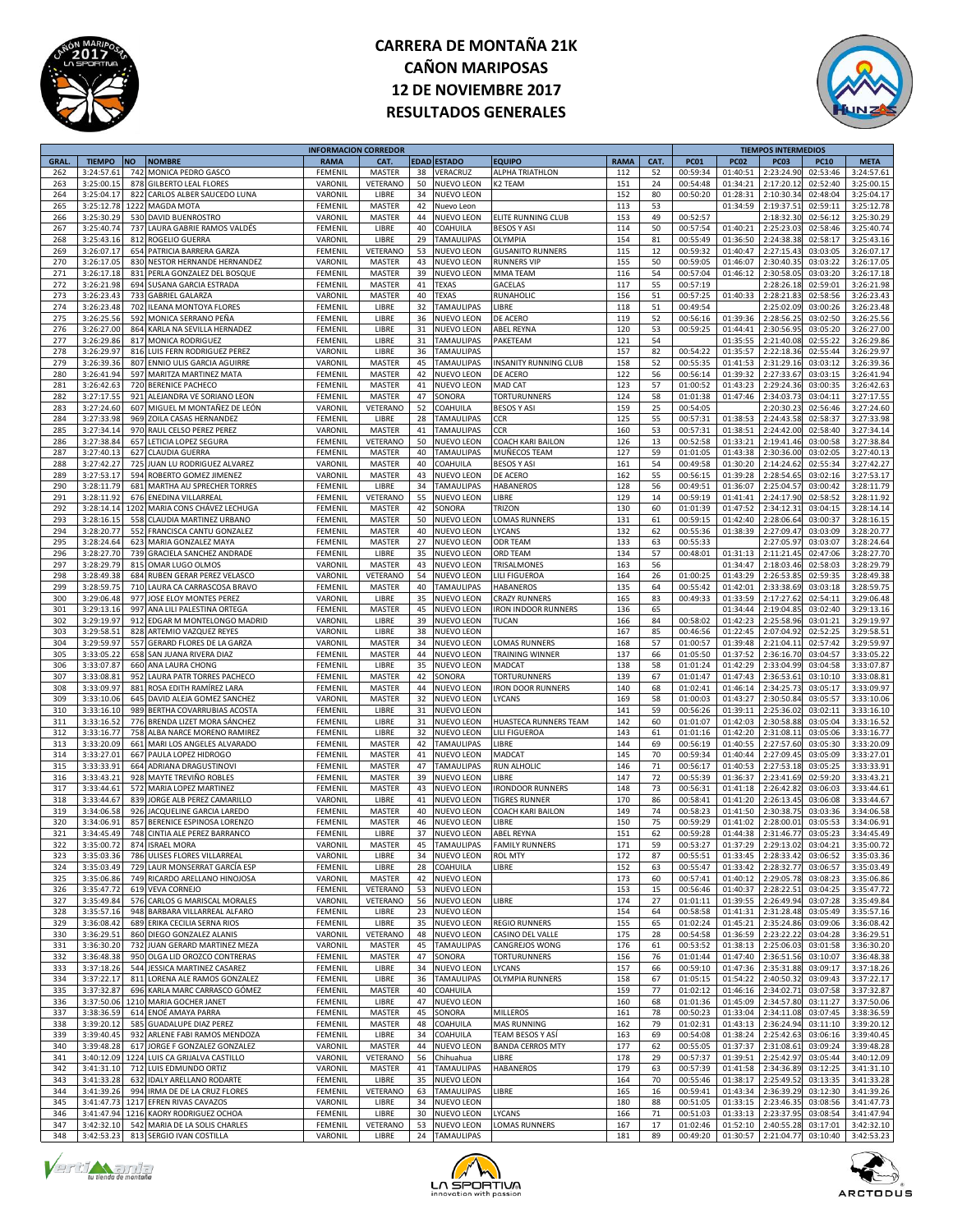



|             |               |           |                                  | <b>INFORMACION CORREDOR</b> |               |    |                   |                            |             |      |             |             | <b>TIEMPOS INTERMEDIOS</b> |             |                                         |
|-------------|---------------|-----------|----------------------------------|-----------------------------|---------------|----|-------------------|----------------------------|-------------|------|-------------|-------------|----------------------------|-------------|-----------------------------------------|
| <b>GRAL</b> | <b>TIEMPO</b> | <b>NO</b> | <b>NOMBRE</b>                    | <b>RAMA</b>                 | CAT.          |    | EDAD ESTADO       | <b>EQUIPO</b>              | <b>RAMA</b> | CAT. | <b>PC01</b> | <b>PC02</b> | <b>PC03</b>                | <b>PC10</b> | <b>META</b>                             |
| 262         | 3:24:57.6     | 742       | MONICA PEDRO GASCO               | FEMENIL                     | MASTER        | 38 | VERACRUZ          | ALPHA TRIATHLON            | 112         | 52   | 00:59:34    | 01:40:51    | 2:23:24.90                 | 02:53:46    | 3:24:57.61                              |
| 263         | 3:25:00.15    | 878       | <b>GILBERTO LEAL FLORES</b>      | VARONIL                     | VETERANO      | 50 | NUEVO LEON        | K2 TEAM                    | 151         | 24   | 00:54:48    | 01:34:21    | 2:17:20.12                 | 02:52:40    | 3:25:00.15                              |
| 264         | 3:25:04.17    | 822       | CARLOS ALBER SAUCEDO LUNA        | VARONIL                     | LIBRE         | 34 | <b>NUEVO LEON</b> |                            | 152         | 80   | 00:50:20    | 01:28:31    | 2:10:30.34                 | 02:48:04    | 3:25:04.17                              |
| 265         | 3:25:12.78    |           | 1222 MAGDA MOTA                  | FEMENIL                     | MASTER        | 42 | Nuevo Leon        |                            | 113         | 53   |             | 01:34:59    | 2:19:37.51                 | 02:59:11    | 3:25:12.78                              |
|             |               |           |                                  |                             |               |    |                   |                            |             |      |             |             |                            |             |                                         |
| 266         | 3:25:30.29    |           | 530 DAVID BUENROSTRO             | VARONIL                     | MASTER        | 44 | NUEVO LEON        | ELITE RUNNING CLUB         | 153         | 49   | 00:52:57    |             | 2:18:32.30                 | 02:56:12    | 3:25:30.29                              |
| 267         | 3:25:40.7     | 737       | LAURA GABRIE RAMOS VALDÉS        | FEMENIL                     | LIBRE         | 40 | COAHUILA          | <b>BESOS Y ASI</b>         | 114         | 50   | 00:57:54    | 01:40:21    | 2:25:23.03                 | 02:58:46    | 3:25:40.74                              |
| 268         | 3:25:43.16    | 812       | ROGELIO GUERRA                   | VARONIL                     | LIBRE         | 29 | <b>TAMAULIPAS</b> | OLYMPIA                    | 154         | 81   | 00:55:49    | 01:36:50    | 2:24:38.38                 | 02:58:17    | 3:25:43.16                              |
| 269         | 3:26:07.1     |           | 654 PATRICIA BARRERA GARZA       | FEMENIL                     | VETERANO      | 53 | NUEVO LEON        | <b>GUSANITO RUNNERS</b>    | 115         | 12   | 00:59:32    | 01:40:47    | 2:27:15.43                 | 03:03:05    | 3:26:07.17                              |
| 270         | 3:26:17.0     |           | 830 NESTOR HERNANDE HERNANDEZ    | VARONII                     | MASTER        | 43 | NUEVO LEON        | RUNNERS VIP                | 155         | 50   | 00:59:05    | 01:46:07    | 2:30:40.35                 | 03:03:22    | 3:26:17.05                              |
| 271         | 3:26:17.18    |           | 831 PERLA GONZALEZ DEL BOSQUE    | FEMENIL                     | MASTER        | 39 | NUEVO LEON        | MMA TEAM                   | 116         | 54   | 00:57:04    | 01:46:12    | 2:30:58.05                 | 03:03:20    | 3:26:17.18                              |
| 272         | 3:26:21.98    | 694       | SUSANA GARCIA ESTRADA            | FEMENIL                     | MASTER        | 41 | TEXAS             | GACELAS                    | 117         | 55   | 00:57:19    |             | 2:28:26.18                 | 02:59:01    | 3:26:21.98                              |
|             |               |           |                                  |                             |               |    |                   |                            |             |      |             |             |                            |             |                                         |
| 273         | 3:26:23.43    | 733       | <b>GABRIEL GALARZA</b>           | VARONIL                     | MASTER        | 40 | TEXAS             | RUNAHOLIC                  | 156         | 51   | 00:57:25    | 01:40:33    | 2:28:21.8                  | 02:58:56    | 3:26:23.43                              |
| 274         | 3:26:23.48    | 702       | <b>ILEANA MONTOYA FLORES</b>     | <b>FEMENIL</b>              | LIBRE         | 32 | <b>TAMAULIPAS</b> | LIBRE                      | 118         | 51   | 00:49:54    |             | 2:25:02.09                 | 03:00:26    | 3:26:23.48                              |
| 275         | 3:26:25.56    | 592       | MONICA SERRANO PEÑA              | FEMENII                     | LIBRE         | 36 | NUEVO LEON        | DE ACERO                   | 119         | 52   | 00:56:16    | 01:39:36    | 2:28:56.25                 | 03:02:50    | 3:26:25.56                              |
| 276         | 3:26:27.00    |           | 864 KARLA NA SEVILLA HERNADEZ    | FEMENIL                     | LIBRE         | 31 | NUEVO LEON        | ABEL REYNA                 | 120         | 53   | 00:59:25    | 01:44:41    | 2:30:56.95                 | 03:05:20    | 3:26:27.00                              |
| 277         | 3:26:29.86    | 817       | MONICA RODRIGUEZ                 | FEMENIL                     | LIBRE         | 31 | <b>TAMAULIPAS</b> | PAKETEAM                   | 121         | 54   |             | 01:35:55    | 2:21:40.08                 | 02:55:22    | 3:26:29.86                              |
| 278         | 3:26:29.97    | 816       | LUIS FERN RODRIGUEZ PEREZ        | VARONIL                     | LIBRE         | 36 | <b>TAMAULIPAS</b> |                            | 157         | 82   | 00:54:22    | 01:35:57    | 2:22:18.36                 | 02:55:44    | 3:26:29.97                              |
| 279         | 3:26:39.36    | 807       | ENNIO ULIS GARCIA AGUIRRE        | VARONIL                     |               | 45 | <b>TAMAULIPAS</b> |                            | 158         | 52   | 00:55:35    | 01:41:53    | 2:31:29.16                 | 03:03:12    | 3:26:39.36                              |
|             |               |           |                                  |                             | MASTER        |    |                   | INSANITY RUNNING CLUB      |             |      |             |             |                            |             |                                         |
| 280         | 3:26:41.94    |           | 597 MARITZA MARTINEZ MATA        | FEMENII                     | MASTER        | 42 | NUEVO LEON        | DE ACERO                   | 122         | 56   | 00:56:14    | 01:39:32    | 2:27:33.67                 | 03:03:15    | 3:26:41.94                              |
| 281         | 3:26:42.63    |           | 720 BERENICE PACHECO             | FEMENIL                     | MASTER        | 41 | <b>NUEVO LEON</b> | MAD CAT                    | 123         | 57   | 01:00:52    | 01:43:23    | 2:29:24.36                 | 03:00:35    | 3:26:42.63                              |
| 282         | 3:27:17.5     | 921       | ALEJANDRA VE SORIANO LEON        | FEMENIL                     | MASTER        | 47 | SONORA            | TORTURUNNERS               | 124         | 58   | 01:01:38    | 01:47:46    | 2:34:03.73                 | 03:04:11    | 3:27:17.55                              |
| 283         | 3:27:24.60    | 607       | MIGUEL M MONTAÑEZ DE LEÓN        | VARONIL                     | VETERANO      | 52 | COAHUILA          | <b>BESOS Y ASI</b>         | 159         | 25   | 00:54:05    |             | 2:20:30.23                 | 02:56:46    | 3:27:24.60                              |
| 284         | 3:27:33.98    | 969       | ZOILA CASAS HERNANDEZ            | <b>FEMENIL</b>              | LIBRE         | 28 | <b>TAMAULIPAS</b> | CCR                        | 125         | 55   | 00:57:31    | 01:38:53    | 2:24:43.58                 | 02:58:37    | 3:27:33.98                              |
| 285         | 3:27:34.1     |           | 970 RAUL CELSO PEREZ PEREZ       | VARONII                     | MASTER        | 41 | TAMAULIPAS        | CCR                        | 160         | 53   | 00:57:31    | 01:38:51    | 2:24:42.00                 | 02:58:40    | 3:27:34.14                              |
|             |               |           |                                  |                             |               |    |                   |                            |             |      |             |             |                            |             |                                         |
| 286         | 3:27:38.84    |           | 657 LETICIA LOPEZ SEGURA         | FEMENIL                     | VETERANO      | 50 | NUEVO LEON        | COACH KARI BAILON          | 126         | 13   | 00:52:58    | 01:33:21    | 2:19:41.46                 | 03:00:58    | 3:27:38.84                              |
| 287         | 3:27:40.1     | 627       | <b>CLAUDIA GUERRA</b>            | FEMENIL                     | MASTER        | 40 | TAMAULIPAS        | MUÑECOS TEAM               | 127         | 59   | 01:01:05    | 01:43:38    | 2:30:36.00                 | 03:02:05    | 3:27:40.13                              |
| 288         | 3:27:42.2     | 725       | JUAN LU RODRIGUEZ ALVAREZ        | VARONIL                     | MASTER        | 40 | COAHUILA          | <b>BESOS Y ASI</b>         | 161         | 54   | 00:49:58    | 01:30:20    | 2:14:24.62                 | 02:55:34    | 3:27:42.27                              |
| 289         | 3:27:53.17    | 594       | ROBERTO GOMEZ JIMENEZ            | VARONIL                     | MASTER        | 43 | NUEVO LEON        | DE ACERO                   | 162         | 55   | 00:56:15    | 01:39:28    | 2:28:54.6                  | 03:02:16    | 3:27:53.17                              |
| 290         | 3:28:11.7     | 681       | MARTHA AU SPRECHER TORRES        | FEMENII                     | LIBRE         | 34 | <b>TAMAULIPAS</b> | HABANEROS                  | 128         | 56   | 00:49:51    | 01:36:07    | 2:25:04.57                 | 03:00:42    | 3:28:11.79                              |
| 291         | 3:28:11.92    |           | 676 ENEDINA VILLARREAL           | FEMENIL                     | VETERANO      | 55 | NUEVO LEON        | LIBRE                      | 129         | 14   | 00:59:19    | 01:41:41    | 2:24:17.90                 | 02:58:52    | 3:28:11.92                              |
| 292         |               | 1202      |                                  |                             |               |    |                   | <b>TRIZON</b>              | 130         |      | 01:01:39    | 01:47:52    | 2:34:12.31                 |             |                                         |
|             | 3:28:14.14    |           | MARIA CONS CHÁVEZ LECHUGA        | FEMENIL                     | MASTER        | 42 | SONORA            |                            |             | 60   |             |             |                            | 03:04:15    | 3:28:14.14                              |
| 293         | 3:28:16.19    | 558       | CLAUDIA MARTINEZ URBANO          | FEMENIL                     | MASTER        | 50 | <b>NUEVO LEON</b> | LOMAS RUNNERS              | 131         | 61   | 00:59:15    | 01:42:40    | 2:28:06.64                 | 03:00:37    | 3:28:16.15                              |
| 294         | 3:28:20.7     | 552       | FRANCISCA CANTU GONZALEZ         | <b>FEMENIL</b>              | MASTER        | 40 | <b>NUEVO LEON</b> | LYCANS                     | 132         | 62   | 00:55:36    | 01:38:39    | 2:27:09.47                 | 03:03:09    | 3:28:20.77                              |
| 295         | 3:28:24.6     | 623       | MARIA GONZALEZ MAYA              | FEMENII                     | MASTER        | 27 | NUEVO LEON        | ODR TEAM                   | 133         | 63   | 00:55:33    |             | 2:27:05.97                 | 03:03:07    | 3:28:24.64                              |
| 296         | 3:28:27.70    |           | 739 GRACIELA SANCHEZ ANDRADE     | FEMENIL                     | LIBRE         | 35 | NUEVO LEON        | ORD TEAM                   | 134         | 57   | 00:48:01    | 01:31:13    | 2:11:21.45                 | 02:47:06    | 3:28:27.70                              |
| 297         | 3:28:29.79    | 815       | OMAR LUGO OLMOS                  | VARONIL                     | MASTER        | 43 | <b>NUEVO LEON</b> | TRISALMONES                | 163         | 56   |             | 01:34:47    | 2:18:03.46                 | 02:58:03    | 3:28:29.79                              |
| 298         | 3:28:49.38    |           | 684 RUBEN GERAR PEREZ VELASCO    | VARONIL                     | VETERANO      | 54 | <b>NUEVO LEON</b> | LILI FIGUEROA              | 164         | 26   | 01:00:25    | 01:43:29    | 2:26:53.8                  | 02:59:35    | 3:28:49.38                              |
| 299         |               |           | LAURA CA CARRASCOSA BRAVO        |                             |               |    | <b>TAMAULIPAS</b> |                            |             |      |             |             |                            |             |                                         |
|             | 3:28:59.7     | 710       |                                  | FEMENIL                     | MASTER        | 40 |                   | HABANEROS                  | 135         | 64   | 00:55:42    | 01:42:01    | 2:33:38.69                 | 03:03:18    | 3:28:59.75                              |
| 300         | 3:29:06.48    | 977       | JOSE ELOY MONTES PEREZ           | VARONII                     | LIBRE         | 35 | NUEVO LEON        | CRAZY RUNNERS              | 165         | 83   | 00:49:33    | 01:33:59    | 2:17:27.62                 | 02:54:11    | 3:29:06.48                              |
| 301         | 3:29:13.16    |           | 997 ANA LILI PALESTINA ORTEGA    | FEMENIL                     | MASTER        | 45 | NUEVO LEON        | <b>IRON INDOOR RUNNERS</b> | 136         | 65   |             | 01:34:44    | 2:19:04.85                 | 03:02:40    | 3:29:13.16                              |
| 302         | 3:29:19.97    | 912       | EDGAR M MONTELONGO MADRID        | VARONIL                     | LIBRE         | 39 | <b>NUEVO LEON</b> | TUCAN                      | 166         | 84   | 00:58:02    | 01:42:23    | 2:25:58.96                 | 03:01:21    | 3:29:19.97                              |
| 303         | 3:29:58.5     | 828       | ARTEMIO VAZQUEZ REYES            | VARONIL                     | LIBRE         | 38 | <b>NUEVO LEON</b> |                            | 167         | 85   | 00:46:56    | 01:22:45    | 2:07:04.92                 | 02:52:25    | 3:29:58.51                              |
| 304         | 3:29:59.9     | 557       | <b>GERARD FLORES DE LA GARZA</b> | VARONIL                     | <b>MASTER</b> | 34 | NUEVO LEON        | LOMAS RUNNERS              | 168         | 57   | 01:00:57    | 01:39:48    | 2:21:04.11                 | 02:57:42    | 3:29:59.97                              |
| 305         | 3:33:05.2     | 658       | SAN JUANA RIVERA DIAZ            | FEMENII                     | MASTER        | 44 | NUEVO LEON        | TRAINING WINNER            | 137         | 66   | 01:05:50    | 01:37:52    | 2:36:16.70                 | 03:04:57    | 3:33:05.22                              |
|             |               |           |                                  |                             |               |    |                   |                            |             |      |             |             |                            |             |                                         |
| 306         | 3:33:07.87    |           | 660 ANA LAURA CHONG              | FEMENIL                     | LIBRE         | 35 | NUEVO LEON        | MADCAT                     | 138         | 58   | 01:01:24    | 01:42:29    | 2:33:04.99                 | 03:04:58    | 3:33:07.87                              |
| 307         | 3:33:08.8     | 952       | LAURA PATR TORRES PACHECO        | FEMENIL                     | MASTER        | 42 | SONORA            | TORTURUNNERS               | 139         | 67   | 01:01:47    | 01:47:43    | 2:36:53.61                 | 03:10:10    | 3:33:08.81                              |
| 308         | 3:33:09.97    | 881       | ROSA EDITH RAMÍREZ LARA          | <b>FEMENIL</b>              | <b>MASTER</b> | 44 | <b>NUEVO LEON</b> | <b>RON DOOR RUNNERS</b>    | 140         | 68   | 01:02:41    | 01:46:14    | 2:34:25.73                 | 03:05:17    | 3:33:09.97                              |
| 309         | 3:33:10.0     | 645       | DAVID ALEJA GOMEZ SANCHEZ        | VARONIL                     | <b>MASTER</b> | 32 | NUEVO LEON        | LYCANS                     | 169         | 58   | 01:00:03    | 01:43:27    | 2:30:50.84                 | 03:05:57    | 3:33:10.06                              |
| 310         | 3:33:16.10    | 989       | BERTHA COVARRUBIAS ACOSTA        | FEMENIL                     | LIBRE         | 31 | NUEVO LEON        |                            | 141         | 59   | 00:56:26    | 01:39:11    | 2:25:36.02                 | 03:02:11    | 3:33:16.10                              |
| 311         | 3:33:16.52    |           | 776 BRENDA LIZET MORA SÁNCHEZ    | FEMENIL                     | LIBRE         | 31 | NUEVO LEON        | HUASTECA RUNNERS TEAM      | 142         | 60   | 01:01:07    | 01:42:03    | 2:30:58.88                 | 03:05:04    | 3:33:16.52                              |
|             |               |           |                                  |                             |               |    |                   |                            |             |      |             |             |                            |             |                                         |
| 312         | 3:33:16.77    | 758       | ALBA NARCE MORENO RAMIREZ        | FEMENIL                     | LIBRE         | 32 | <b>NUEVO LEON</b> | LILI FIGUEROA              | 143         | 61   | 01:01:16    | 01:42:20    | 2:31:08.11                 | 03:05:06    | 3:33:16.77                              |
| 313         | 3:33:20.09    | 661       | MARI LOS ANGELES ALVARADO        | <b>FEMENIL</b>              | MASTER        | 42 | <b>TAMAULIPAS</b> | LIBRE                      | 144         | 69   | 00:56:19    | 01:40:55    | 2:27:57.60                 | 03:05:30    | 3:33:20.09                              |
| 314         | 3:33:27.0     | 667       | PAULA LOPEZ HIDROGO              | FEMENIL                     | MASTER        | 41 | NUEVO LEON        | <b>MADCA1</b>              | 145         | 70   | 00:59:34    | 01:40:44    | 2:27:09.45                 | 03:05:09    | 3:33:27.01                              |
| 315         | 3:33:33.9     | 664       | ADRIANA DRAGUSTINOV              | FEMENIL                     | MASTER        | 47 | <b>TAMAULIPAS</b> | RUN ALHOLIC                | 146         | 71   | 00:56:17    | 01:40:53    | 2:27:53.18                 | 03:05:25    | 3:33:33.91                              |
| 316         | 3:33:43.21    |           | 928 MAYTE TREVIÑO ROBLES         | FEMENIL                     | MASTER        | 39 | <b>NUEVO LEON</b> | LIBRE                      | 147         | 72   | 00:55:39    | 01:36:37    | 2:23:41.69                 | 02:59:20    | 3:33:43.21                              |
| 317         | 3:33:44.63    | 572       | MARIA LOPEZ MARTINEZ             | FEMENIL                     | MASTER        | 43 | NUEVO LEON        | <b>RONDOOR RUNNERS</b>     | 148         | 73   | 00:56:31    | 01:41:18    | 2:26:42.82                 | 03:06:03    | 3:33:44.61                              |
| 318         | 3:33:44.67    |           | 839 JORGE ALB PEREZ CAMARILLO    | VARONIL                     | LIBRE         | 41 | <b>NUEVO LEON</b> | <b>TIGRES RUNNER</b>       | 170         | 86   | 00:58:41    | 01:41:20    | 2:26:13.45                 | 03:06:08    | 3:33:44.67                              |
|             |               |           |                                  |                             |               |    |                   |                            |             |      |             |             |                            |             |                                         |
| 319         | 3:34:06.5     | 926       | JACQUELINE GARCIA LAREDO         | FEMENIL                     | <b>MASTER</b> | 40 | NUEVO LEON        | COACH KARI BAILON          | 149         | 74   | 00:58:23    | 01:41:50    | 2:30:38.7                  | 03:03:36    | 3:34:06.58                              |
| 320         | 3:34:06.9     |           | 857 BERENICE ESPINOSA LORENZO    | FEMENIL                     | MASTER        | 46 | <b>NUEVO LEON</b> | LIBRE                      | 150         | 75   | 00:59:29    | 01:41:02    | 2:28:00.01                 | 03:05:53    | 3:34:06.91                              |
| 321         | 3:34:45.49    |           | 748 CINTIA ALE PEREZ BARRANCO    | <b>FEMENIL</b>              | LIBRE         | 37 | <b>NUEVO LEON</b> | <b>ABEL REYNA</b>          | 151         | 62   | 00:59:28    | 01:44:38    | 2:31:46.77                 | 03:05:23    | 3:34:45.49                              |
| 322         | 3.35:00.72    |           | 874 ISRAEL MORA                  | VARONII                     | <b>MASTER</b> | 45 | <b>TAMAULIPAS</b> | <b>FAMILY RUNNERS</b>      | 171         | 59   | 00:53:27    | 01:37:29    | 2.29.1302                  | 03:04:21    | 3:35:00.72                              |
| 323         | 3:35:03.36    |           | 786 ULISES FLORES VILLARREAL     | VARONIL                     | LIBRE         |    | 34 NUEVO LEON     | <b>ROL MTY</b>             | 172         | 87   | 00:55:51    |             | 01:33:45 2:28:33.42        | 03:06:52    | 3:35:03.36                              |
| 324         | 3:35:03.49    |           | 729 LAUR MONSERRAT GARCÍA ESP    | FEMENIL                     | LIBRE         | 28 | COAHUILA          | LIBRE                      | 152         | 63   | 00:55:47    | 01:33:42    | 2:28:32.77                 | 03:06:57    | 3:35:03.49                              |
| 325         | 3:35:06.86    |           | 749 RICARDO ARELLANO HINOJOSA    | VARONIL                     | MASTER        | 42 | <b>NUEVO LEON</b> |                            | 173         | 60   | 00:57:41    | 01:40:12    | 2:29:05.78                 | 03:08:23    | 3:35:06.86                              |
|             |               |           |                                  |                             |               |    |                   |                            |             |      |             |             |                            |             |                                         |
| 326         | 3:35:47.72    |           | 619 VEVA CORNEJO                 | FEMENIL                     | VETERANO      | 53 | <b>NUEVO LEON</b> |                            | 153         | 15   | 00:56:46    | 01:40:37    | 2:28:22.51                 | 03:04:25    | 3:35:47.72                              |
| 327         | 3:35:49.84    |           | 576 CARLOS G MARISCAL MORALES    | VARONIL                     | VETERANO      | 56 | <b>NUEVO LEON</b> | LIBRE                      | 174         | 27   | 01:01:11    | 01:39:55    | 2:26:49.94                 | 03:07:28    | 3:35:49.84                              |
| 328         | 3:35:57.16    |           | 948 BARBARA VILLARREAL ALFARO    | <b>FEMENIL</b>              | LIBRE         | 23 | <b>NUEVO LEON</b> |                            | 154         | 64   | 00:58:58    | 01:41:31    | 2:31:28.48                 | 03:05:49    | 3:35:57.16                              |
| 329         | 3:36:08.42    |           | 689 ERIKA CECILIA SERNA RIOS     | FEMENIL                     | LIBRE         | 35 | <b>NUEVO LEON</b> | <b>REGIO RUNNERS</b>       | 155         | 65   | 01:02:24    | 01:45:21    | 2:35:24.86                 | 03:09:06    | 3:36:08.42                              |
| 330         | 3:36:29.5     |           | 860 DIEGO GONZALEZ ALANIS        | VARONIL                     | VETERANO      | 48 | NUEVO LEON        | CASINO DEL VALLE           | 175         | 28   | 00:54:58    | 01:36:59    | 2:23:22.22                 | 03:04:28    | 3:36:29.51                              |
| 331         | 3:36:30.20    |           | 732 JUAN GERARD MARTINEZ MEZA    | VARONIL                     | MASTER        | 45 | TAMAULIPAS        | CANGREJOS WONG             | 176         | 61   | 00:53:52    | 01:38:13    | 2:25:06.03                 | 03:01:58    | 3:36:30.20                              |
|             |               |           |                                  |                             |               | 47 |                   |                            |             |      |             |             | 2:36:51.56                 |             |                                         |
| 332         | 3:36:48.38    |           | 950 OLGA LID OROZCO CONTRERAS    | FEMENIL                     | MASTER        |    | SONORA            | <b>TORTURUNNERS</b>        | 156         | 76   | 01:01:44    | 01:47:40    |                            | 03:10:07    | 3:36:48.38                              |
| 333         | 3:37:18.26    |           | 544 JESSICA MARTINEZ CASAREZ     | FEMENIL                     | LIBRE         | 34 | NUEVO LEON        | LYCANS                     | 157         | 66   | 00:59:10    | 01:47:36    | 2:35:31.88                 | 03:09:17    | 3:37:18.26                              |
| 334         | 3:37:22.17    |           | 811 LORENA ALE RAMOS GONZALEZ    | FEMENIL                     | LIBRE         | 36 | <b>TAMAULIPAS</b> | <b>OLYMPIA RUNNERS</b>     | 158         | 67   | 01:05:15    | 01:54:22    | 2:40:50.32                 | 03:09:43    | 3:37:22.17                              |
| 335         | 3:37:32.87    |           | 696 KARLA MARC CARRASCO GÓMEZ    | FEMENIL                     | MASTER        | 40 | COAHUILA          |                            | 159         | 77   | 01:02:12    | 01:46:16    | 2:34:02.71                 | 03:07:58    | 3:37:32.87                              |
| 336         | 3:37:50.06    |           | 1210 MARIA GOCHER JANET          | FEMENIL                     | LIBRE         | 47 | NUEVO LEON        |                            | 160         | 68   | 01:01:36    | 01:45:09    | 2:34:57.80                 | 03:11:27    | 3:37:50.06                              |
| 337         | 3:38:36.59    |           | 614 ENOÉ AMAYA PARRA             | FEMENIL                     | MASTER        | 45 | SONORA            | <b>MILLEROS</b>            | 161         | 78   | 00:50:23    | 01:33:04    | 2:34:11.08                 | 03:07:45    | 3:38:36.59                              |
| 338         | 3:39:20.12    | 585       | <b>GUADALUPE DIAZ PEREZ</b>      | FEMENIL                     | MASTER        | 48 | COAHUILA          | <b>MAS RUNNING</b>         | 162         | 79   | 01:02:31    | 01:43:13    | 2:36:24.94                 | 03:11:10    | 3:39:20.12                              |
|             |               |           |                                  |                             |               |    |                   |                            |             |      |             |             |                            |             |                                         |
| 339         | 3:39:40.45    |           | 932 ARLENE FABI RAMOS MENDOZA    | FEMENIL                     | LIBRE         | 34 | COAHUILA          | <b>TEAM BESOS Y ASÍ</b>    | 163         | 69   | 00:54:08    | 01:38:24    | 2:25:42.63                 | 03:06:16    | 3:39:40.45                              |
| 340         | 3:39:48.28    |           | 617 JORGE F GONZALEZ GONZALEZ    | VARONIL                     | MASTER        | 44 | NUEVO LEON        | <b>BANDA CERROS MTY</b>    | 177         | 62   | 00:55:05    | 01:37:37    | 2:31:08.61                 | 03:09:24    | 3:39:48.28                              |
| 341         | 3:40:12.09    |           | 1224 LUIS CA GRIJALVA CASTILLO   | VARONIL                     | VETERANO      | 56 | Chihuahua         | LIBRE                      | 178         | 29   | 00:57:37    | 01:39:51    | 2:25:42.97                 | 03:05:44    | 3:40:12.09                              |
| 342         | 3:41:31.10    |           | 712 LUIS EDMUNDO ORTIZ           | VARONIL                     | MASTER        | 41 | <b>TAMAULIPAS</b> | <b>HABANEROS</b>           | 179         | 63   | 00:57:39    | 01:41:58    | 2:34:36.89                 | 03:12:25    | 3:41:31.10                              |
| 343         | 3:41:33.28    |           | 632 IDALY ARELLANO RODARTE       | FEMENIL                     | LIBRE         | 35 | <b>NUEVO LEON</b> |                            | 164         | 70   | 00:55:46    | 01:38:17    | 2:25:49.52                 | 03:13:35    | 3:41:33.28                              |
| 344         | 3:41:39.26    |           | 994 IRMA DE DE LA CRUZ FLORES    | FEMENIL                     | VETERANO      | 63 | <b>TAMAULIPAS</b> | LIBRE                      | 165         | 16   | 00:59:41    | 01:43:34    | 2:36:39.29                 | 03:12:30    | 3:41:39.26                              |
|             |               |           |                                  |                             |               | 34 |                   |                            |             |      |             |             |                            |             |                                         |
| 345         | 3:41:47.73    |           | 1217 EFREN RIVAS CAVAZOS         | VARONIL                     | LIBRE         |    | NUEVO LEON        |                            | 180         | 88   | 00:51:05    | 01:33:15    | 2:23:46.35                 | 03:08:56    | 3:41:47.73                              |
| 346         | 3:41:47.94    |           | 1216 KAORY RODRIGUEZ OCHOA       | FEMENIL                     | LIBRE         | 30 | <b>NUEVO LEON</b> | LYCANS                     | 166         | 71   | 00:51:03    | 01:33:13    | 2:23:37.95                 | 03:08:54    | 3:41:47.94                              |
| 347         | 3:42:32.10    |           | 542 MARIA DE LA SOLIS CHARLES    | FEMENIL                     | VETERANO      | 53 | <b>NUEVO LEON</b> | LOMAS RUNNERS              | 167         | 17   | 01:02:46    | 01:52:10    | 2:40:55.28                 | 03:17:01    | 3:42:32.10                              |
| 348         | 3:42:53.23    |           | 813 SERGIO IVAN COSTILLA         | VARONIL                     | LIBRE         |    | 24 TAMAULIPAS     |                            | 181         | 89   | 00:49:20    |             |                            |             | 01:30:57 2:21:04.77 03:10:40 3:42:53.23 |





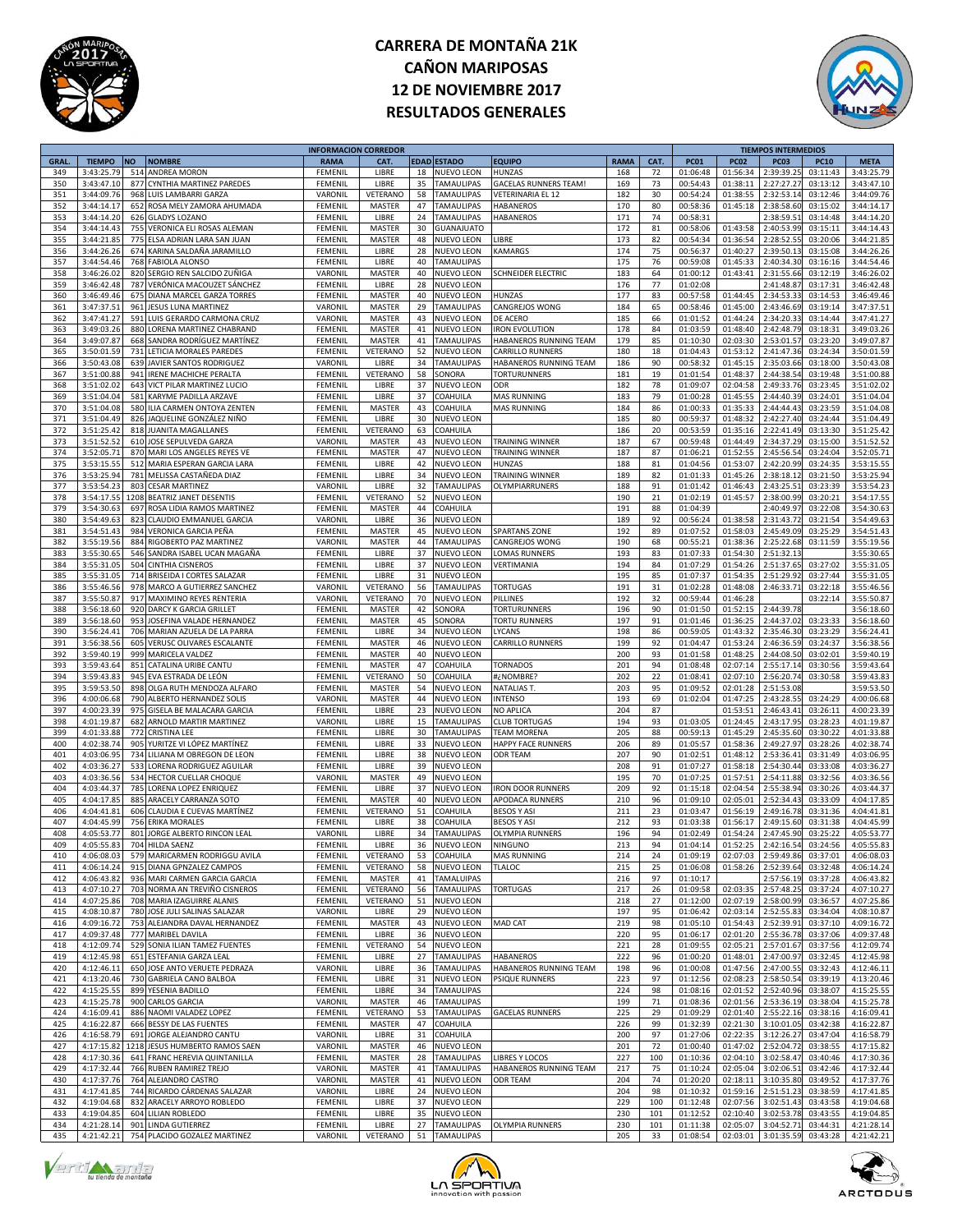



|             |               |           |                                | <b>INFORMACION CORREDOR</b> |               |    |                    |                              |             |      |             |             | <b>TIEMPOS INTERMEDIOS</b> |                      |             |
|-------------|---------------|-----------|--------------------------------|-----------------------------|---------------|----|--------------------|------------------------------|-------------|------|-------------|-------------|----------------------------|----------------------|-------------|
| <b>GRAL</b> | <b>TIEMPO</b> | <b>NO</b> | <b>NOMBRE</b>                  | <b>RAMA</b>                 | CAT.          |    | <b>EDAD ESTADO</b> | <b>EQUIPO</b>                | <b>RAMA</b> | CAT. | <b>PC01</b> | <b>PC02</b> | <b>PC03</b>                | <b>PC10</b>          | <b>META</b> |
| 349         | 3:43:25.79    | 514       | <b>ANDREA MORON</b>            | FEMENIL                     | LIBRE         | 18 | <b>NUEVO LEON</b>  | HUNZAS                       | 168         | 72   | 01:06:48    | 01:56:34    | 2:39:39.25                 | 03:11:43             | 3:43:25.79  |
| 350         | 3:43:47.10    | 877       | CYNTHIA MARTINEZ PAREDES       | FEMENIL                     | LIBRE         | 35 | <b>TAMAULIPAS</b>  | <b>GACELAS RUNNERS TEAM!</b> | 169         | 73   | 00:54:43    | 01:38:11    | 2:27:27.27                 | 03:13:12             | 3:43:47.10  |
| 351         | 3:44:09.76    | 968       | LUIS LAMBARRI GARZA            | VARONIL                     | VETERANO      | 58 | <b>TAMAULIPAS</b>  | <b>VETERINARIA EL 12</b>     | 182         | 30   | 00:54:24    | 01:38:55    | 2:32:53.14                 | 03:12:46             | 3:44:09.76  |
| 352         |               |           |                                | FEMENII                     | <b>MASTER</b> | 47 |                    |                              |             | 80   | 00:58:36    | 01:45:18    |                            |                      |             |
|             | 3:44:14.17    |           | 652 ROSA MELY ZAMORA AHUMADA   |                             |               |    | <b>TAMAULIPAS</b>  | HABANEROS                    | 170         |      |             |             | 2:38:58.60                 | 03:15:02             | 3:44:14.17  |
| 353         | 3:44:14.20    |           | 626 GLADYS LOZANO              | FEMENIL                     | LIBRE         | 24 | <b>TAMAULIPAS</b>  | <b>HABANEROS</b>             | 171         | 74   | 00:58:31    |             | 2:38:59.51                 | 03:14:48             | 3:44:14.20  |
| 354         | 3:44:14.43    | 755       | VERONICA ELI ROSAS ALEMAN      | FEMENIL                     | MASTER        | 30 | <b>GUANAJUATO</b>  |                              | 172         | 81   | 00:58:06    | 01:43:58    | 2:40:53.99                 | 03:15:11             | 3:44:14.43  |
| 355         | 3:44:21.85    | 775       | ELSA ADRIAN LARA SAN JUAN      | FEMENIL                     | MASTER        | 48 | NUEVO LEON         | LIBRE                        | 173         | 82   | 00:54:34    | 01:36:54    | 2:28:52.55                 | 03:20:06             | 3:44:21.85  |
| 356         | 3:44:26.2     | 674       | KARINA SALDAÑA JARAMILLO       | FEMENIL                     | LIBRE         | 28 | NUEVO LEON         | KAMARGS                      | 174         | 75   | 00:56:37    | 01:40:27    | 2:39:50.13                 | 03:15:08             | 3:44:26.26  |
| 357         | 3:44:54.46    | 768       | <b>FABIOLA ALONSC</b>          | FEMENII                     | LIBRE         | 40 | <b>TAMAULIPAS</b>  |                              | 175         | 76   | 00:59:08    | 01:45:33    | 2:40:34.30                 | 03:16:16             | 3:44:54.46  |
| 358         | 3:46:26.02    |           | 820 SERGIO REN SALCIDO ZUÑIGA  | VARONIL                     | MASTER        | 40 | NUEVO LEON         | <b>SCHNEIDER ELECTRIC</b>    | 183         | 64   | 01:00:12    | 01:43:41    | 2:31:55.66                 | 03:12:19             | 3:46:26.02  |
| 359         | 3:46:42.48    | 787       | VERÓNICA MACOUZET SÁNCHEZ      | FEMENIL                     | LIBRE         | 28 | NUEVO LEON         |                              | 176         | 77   | 01:02:08    |             | 2:41:48.87                 | 03:17:31             | 3:46:42.48  |
| 360         | 3:46:49.46    | 675       | DIANA MARCEL GARZA TORRES      | FEMENIL                     | MASTER        | 40 | NUEVO LEON         | HUNZAS                       | 177         | 83   | 00:57:58    | 01:44:45    | 2:34:53.33                 | 03:14:53             | 3:46:49.46  |
| 361         | 3:47:37.5     | 961       | <b>JESUS LUNA MARTINEZ</b>     | VARONIL                     | MASTER        | 29 | <b>TAMAULIPAS</b>  | CANGREJOS WONG               | 184         | 65   | 00:58:46    | 01:45:00    | 2:43:46.69                 | 03:19:14             | 3:47:37.51  |
| 362         | 3:47:41.2     | 591       |                                | VARONII                     |               | 43 |                    | DE ACERO                     | 185         | 66   |             | 01:44:24    |                            |                      |             |
|             |               |           | LUIS GERARDO CARMONA CRUZ      |                             | MASTER        |    | NUEVO LEON         |                              |             |      | 01:01:52    |             | 2:34:20.33                 | 03:14:44             | 3:47:41.27  |
| 363         | 3:49:03.26    |           | 880 LORENA MARTINEZ CHABRAND   | FEMENIL                     | MASTER        | 41 | <b>NUEVO LEON</b>  | <b>IRON EVOLUTION</b>        | 178         | 84   | 01:03:59    | 01:48:40    | 2:42:48.79                 | 03:18:31             | 3:49:03.26  |
| 364         | 3:49:07.8     | 668       | SANDRA RODRÍGUEZ MARTÍNEZ      | FEMENIL                     | MASTER        | 41 | <b>TAMAULIPAS</b>  | HABANEROS RUNNING TEAM       | 179         | 85   | 01:10:30    | 02:03:30    | 2:53:01.57                 | 03:23:20             | 3:49:07.87  |
| 365         | 3:50:01.59    | 731       | LETICIA MORALES PAREDES        | FEMENIL                     | VETERANO      | 52 | NUEVO LEON         | CARRILLO RUNNERS             | 180         | 18   | 01:04:43    | 01:53:12    | 2:41:47.36                 | 03:24:34             | 3:50:01.59  |
| 366         | 3:50:43.08    |           | 639 JAVIER SANTOS RODRIGUEZ    | VARONIL                     | LIBRE         | 34 | <b>TAMAULIPAS</b>  | HABANEROS RUNNING TEAM       | 186         | 90   | 00:58:32    | 01:45:15    | 2:35:03.66                 | 03:18:00             | 3:50:43.08  |
| 367         | 3:51:00.88    | 941       | <b>IRENE MACHICHE PERALTA</b>  | FEMENIL                     | VETERANO      | 58 | SONORA             | TORTURUNNERS                 | 181         | 19   | 01:01:54    | 01:48:37    | 2:44:38.54                 | 03:19:48             | 3:51:00.88  |
| 368         | 3:51:02.02    |           | 643 VICT PILAR MARTINEZ LUCIO  | FEMENIL                     | LIBRE         | 37 | NUEVO LEON         | ODR                          | 182         | 78   | 01:09:07    | 02:04:58    | 2:49:33.76                 | 03:23:45             | 3:51:02.02  |
| 369         | 3:51:04.04    | 581       | KARYME PADILLA ARZAVE          | FEMENIL                     | LIBRE         | 37 | COAHUILA           | <b>MAS RUNNING</b>           | 183         | 79   | 01:00:28    | 01:45:55    | 2:44:40.39                 | 03:24:01             | 3:51:04.04  |
| 370         | 3:51:04.08    | 580       | ILIA CARMEN ONTOYA ZENTEN      | FEMENIL                     | MASTER        | 43 | COAHUILA           | MAS RUNNING                  | 184         | 86   | 01:00:33    | 01:35:33    | 2:44:44.43                 | 03:23:59             | 3:51:04.08  |
| 371         | 3:51:04.49    |           | 826 JAQUELINE GONZÁLEZ NIÑO    | <b>FEMENIL</b>              | LIBRE         | 30 | NUEVO LEON         |                              | 185         | 80   | 00:59:37    | 01:48:32    | 2:42:27.40                 | 03:24:44             | 3:51:04.49  |
| 372         | 3:51:25.4     | 818       | <b>JUANITA MAGALLANES</b>      | FEMENII                     | VETERANO      | 63 | COAHUILA           |                              | 186         | 20   | 00:53:59    | 01:35:16    | 2:22:41.49                 | 03:13:30             | 3:51:25.42  |
| 373         | 3:51:52.52    |           | 610 JOSE SEPULVEDA GARZA       | VARONIL                     | MASTER        | 43 | NUEVO LEON         | <b>TRAINING WINNER</b>       | 187         | 67   | 00:59:48    | 01:44:49    | 2:34:37.29                 | 03:15:00             | 3:51:52.52  |
| 374         | 3:52:05.7     |           | 870 MARI LOS ANGELES REYES VE  | FEMENIL                     | MASTER        | 47 | NUEVO LEON         | <b>TRAINING WINNER</b>       | 187         | 87   | 01:06:21    | 01:52:55    | 2:45:56.54                 | 03:24:04             | 3:52:05.71  |
| 375         | 3:53:15.5     | 512       | MARIA ESPERAN GARCIA LARA      | FEMENIL                     | LIBRE         | 42 | NUEVO LEON         | HUNZAS                       | 188         | 81   | 01:04:56    | 01:53:07    | 2:42:20.99                 | 03:24:35             | 3:53:15.55  |
| 376         | 3:53:25.94    | 781       | MELISSA CASTAÑEDA DIAZ         |                             | LIBRE         | 34 |                    | TRAINING WINNER              | 189         | 82   | 01:01:33    | 01:45:26    |                            |                      |             |
|             |               |           |                                | <b>FEMENIL</b>              |               |    | NUEVO LEON         |                              |             |      |             |             | 2:38:18.12                 | 03:21:50<br>03:23:39 | 3:53:25.94  |
| 377         | 3:53:54.2     | 803       | <b>CESAR MARTINEZ</b>          | VARONII                     | LIBRE         | 32 | TAMAULIPAS         | OLYMPIARRUNERS               | 188         | 91   | 01:01:42    | 01:46:43    | 2:43:25.51                 |                      | 3:53:54.23  |
| 378         | 3:54:17.55    |           | 1208 BEATRIZ JANET DESENTIS    | FEMENIL                     | VETERANO      | 52 | NUEVO LEON         |                              | 190         | 21   | 01:02:19    | 01:45:57    | 2:38:00.99                 | 03:20:21             | 3:54:17.55  |
| 379         | 3:54:30.63    |           | 697 ROSA LIDIA RAMOS MARTINEZ  | FEMENIL                     | MASTER        | 44 | COAHUILA           |                              | 191         | 88   | 01:04:39    |             | 2:40:49.97                 | 03:22:08             | 3:54:30.63  |
| 380         | 3:54:49.63    | 823       | CLAUDIO EMMANUEL GARCIA        | VARONIL                     | LIBRE         | 36 | <b>NUEVO LEON</b>  |                              | 189         | 92   | 00:56:24    | 01:38:58    | 2:31:43.72                 | 03:21:54             | 3:54:49.63  |
| 381         | 3:54:51.43    |           | 984 VERONICA GARCIA PEÑA       | FEMENIL                     | MASTER        | 45 | NUEVO LEON         | <b>SPARTANS ZONE</b>         | 192         | 89   | 01:07:52    | 01:58:03    | 2:45:49.09                 | 03:25:29             | 3:54:51.43  |
| 382         | 3:55:19.56    |           | 884 RIGOBERTO PAZ MARTINEZ     | VARONII                     | MASTER        | 44 | <b>TAMAULIPAS</b>  | CANGREJOS WONG               | 190         | 68   | 00:55:21    | 01:38:36    | 2:25:22.68                 | 03:11:59             | 3:55:19.56  |
| 383         | 3:55:30.65    |           | 546 SANDRA ISABEL UCAN MAGAÑA  | FEMENIL                     | LIBRE         | 37 | NUEVO LEON         | LOMAS RUNNERS                | 193         | 83   | 01:07:33    | 01:54:30    | 2:51:32.13                 |                      | 3:55:30.65  |
| 384         | 3:55:31.05    | 504       | <b>CINTHIA CISNEROS</b>        | FEMENIL                     | LIBRE         | 37 | NUEVO LEON         | VERTIMANIA                   | 194         | 84   | 01:07:29    | 01:54:26    | 2:51:37.65                 | 03:27:02             | 3:55:31.05  |
| 385         | 3:55:31.0     |           | 714 BRISEIDA I CORTES SALAZAR  | FEMENIL                     | LIBRE         | 31 | <b>NUEVO LEON</b>  |                              | 195         | 85   | 01:07:37    | 01:54:35    | 2:51:29.92                 | 03:27:44             | 3:55:31.05  |
| 386         | 3:55:46.5     |           | 978 MARCO A GUTIERREZ SANCHEZ  | VARONIL                     | VETERANO      | 56 | <b>TAMAULIPAS</b>  | <b>TORTUGAS</b>              | 191         | 31   | 01:02:28    | 01:48:08    | 2:46:33.71                 | 03:22:18             | 3:55:46.56  |
| 387         | 3:55:50.8     |           | 917 MAXIMINO REYES RENTERIA    | VARONII                     | VETERANO      | 70 | NUEVO LEON         | PILLINES                     | 192         | 32   | 00:59:44    | 01:46:28    |                            | 03:22:14             | 3:55:50.87  |
|             |               |           |                                |                             |               | 42 |                    |                              | 196         | 90   |             |             |                            |                      |             |
| 388         | 3:56:18.60    |           | 920 DARCY K GARCIA GRILLET     | FEMENIL                     | MASTER        |    | SONORA             | TORTURUNNERS                 |             |      | 01:01:50    | 01:52:15    | 2:44:39.78                 |                      | 3:56:18.60  |
| 389         | 3:56:18.60    |           | 953 JOSEFINA VALADE HERNANDEZ  | FEMENIL                     | MASTER        | 45 | SONORA             | <b>TORTU RUNNERS</b>         | 197         | 91   | 01:01:46    | 01:36:25    | 2:44:37.02                 | 03:23:33             | 3:56:18.60  |
| 390         | 3:56:24.41    |           | 706 MARIAN AZUELA DE LA PARRA  | FEMENIL                     | LIBRE         | 34 | <b>NUEVO LEON</b>  | LYCANS                       | 198         | 86   | 00:59:05    | 01:43:32    | 2:35:46.30                 | 03:23:29             | 3:56:24.41  |
| 391         | 3:56:38.56    | 605       | VERUSC OLIVARES ESCALANTE      | FEMENIL                     | MASTER        | 46 | NUEVO LEON         | CARRILLO RUNNERS             | 199         | 92   | 01:04:47    | 01:53:24    | 2:46:36.5                  | 03:24:37             | 3:56:38.56  |
| 392         | 3:59:40.1     |           | 999 MARICELA VALDEZ            | FEMENIL                     | MASTER        | 40 | NUEVO LEON         |                              | 200         | 93   | 01:01:58    | 01:48:25    | 2:44:08.50                 | 03:02:01             | 3:59:40.19  |
| 393         | 3:59:43.64    |           | 851 CATALINA URIBE CANTU       | FEMENIL                     | MASTER        | 47 | COAHUILA           | <b>TORNADOS</b>              | 201         | 94   | 01:08:48    | 02:07:14    | 2:55:17.14                 | 03:30:56             | 3:59:43.64  |
| 394         | 3:59:43.8     | 945       | EVA ESTRADA DE LEÓN            | FEMENIL                     | VETERANO      | 50 | COAHUILA           | #¿NOMBRE                     | 202         | 22   | 01:08:41    | 02:07:10    | 2:56:20.74                 | 03:30:58             | 3:59:43.83  |
| 395         | 3:59:53.50    | 898       | OLGA RUTH MENDOZA ALFARO       | FEMENIL                     | MASTER        | 54 | NUEVO LEON         | <b>NATALIAS T.</b>           | 203         | 95   | 01:09:52    | 02:01:28    | 2:51:53.08                 |                      | 3:59:53.50  |
| 396         | 4:00:06.68    | 790       | ALBERTO HERNANDEZ SOLIS        | VARONIL                     | <b>MASTER</b> | 44 | NUEVO LEON         | <b>INTENSO</b>               | 193         | 69   | 01:02:04    | 01:47:25    | 2:43:28.55                 | 03:24:29             | 4:00:06.68  |
| 397         | 4:00:23.39    | 975       | GISELA BE MALACARA GARCIA      | FEMENIL                     | LIBRE         | 23 | NUEVO LEON         | NO APLICA                    | 204         | 87   |             | 01:53:51    | 2:46:43.41                 | 03:26:11             | 4:00:23.39  |
| 398         | 4:01:19.87    |           | 682 ARNOLD MARTIR MARTINEZ     | VARONIL                     | LIBRE         | 15 | <b>TAMAULIPAS</b>  | CLUB TORTUGAS                | 194         | 93   | 01:03:05    | 01:24:45    | 2:43:17.95                 | 03:28:23             | 4:01:19.87  |
| 399         | 4:01:33.88    | 772       | <b>CRISTINA LEE</b>            | FEMENIL                     | LIBRE         | 30 | <b>TAMAULIPAS</b>  | <b>TEAM MORENA</b>           | 205         | 88   | 00:59:13    | 01:45:29    | 2:45:35.60                 | 03:30:22             | 4:01:33.88  |
| 400         | 4:02:38.74    | 905       | YURITZE VI LÓPEZ MARTÍNEZ      | FEMENIL                     | LIBRE         | 33 | <b>NUEVO LEON</b>  | HAPPY FACE RUNNERS           | 206         | 89   | 01:05:57    | 01:58:36    | 2:49:27.97                 | 03:28:26             | 4:02:38.74  |
| 401         | 4:03:06.9     | 734       | LILIANA M OBREGON DE LEON      | FEMENIL                     | LIBRE         | 38 | NUEVO LEON         | ODR TEAM                     | 207         | 90   | 01:02:51    | 01:48:12    | 2:53:36.41                 | 03:31:49             | 4:03:06.95  |
| 402         |               |           |                                |                             |               |    |                    |                              |             |      |             |             |                            |                      |             |
|             | 4:03:36.2     | 533       | LORENA RODRIGUEZ AGUILAR       | FEMENIL                     | LIBRE         | 39 | NUEVO LEON         |                              | 208         | 91   | 01:07:27    | 01:58:18    | 2:54:30.44                 | 03:33:08             | 4:03:36.27  |
| 403         | 4:03:36.56    |           | 534 HECTOR CUELLAR CHOQUE      | VARONIL                     | MASTER        | 49 | NUEVO LEON         |                              | 195         | 70   | 01:07:25    | 01:57:51    | 2:54:11.88                 | 03:32:56             | 4:03:36.56  |
| 404         | 4:03:44.3     | 785       | LORENA LOPEZ ENRIQUEZ          | FEMENIL                     | LIBRE         | 37 | <b>NUEVO LEON</b>  | <b>IRON DOOR RUNNERS</b>     | 209         | 92   | 01:15:18    | 02:04:54    | 2:55:38.94                 | 03:30:26             | 4:03:44.37  |
| 405         | 4:04:17.8     | 885       | ARACELY CARRANZA SOTO          | FEMENIL                     | <b>MASTER</b> | 40 | <b>NUEVO LEON</b>  | APODACA RUNNERS              | 210         | 96   | 01:09:10    | 02:05:01    | 2:52:34.43                 | 03:33:09             | 4:04:17.85  |
| 406         | 4:04:41.8     | 606       | CLAUDIA E CUEVAS MARTÍNEZ      | FEMENIL                     | VETERANO      | 51 | COAHUILA           | <b>BESOS Y ASI</b>           | 211         | 23   | 01:03:47    | 01:56:19    | 2:49:16.78                 | 03:31:36             | 4:04:41.81  |
| 407         | 4:04:45.9     | 756       | ERIKA MORALES                  | FEMENIL                     | LIBRE         | 38 | COAHUILA           | <b>BESOS Y ASI</b>           | 212         | 93   | 01:03:38    | 01:56:17    | 2:49:15.60                 | 03:31:38             | 4:04:45.99  |
| 408         | 4:05:53.77    |           | 801 JORGE ALBERTO RINCON LEAL  | VARONIL                     | LIBRE         | 34 | <b>TAMAULIPAS</b>  | <b>OLYMPIA RUNNERS</b>       | 196         | 94   | 01:02:49    | 01:54:24    | 2:47:45.90                 | 03:25:22             | 4:05:53.77  |
| 409         | 4.05.55.8     |           | <b>704 HILDA SAENZ</b>         | FEMENII                     | LIRRE         | 36 | <b>NUEVO LEON</b>  | <b>NINGUNO</b>               | 213         | 94   | 01:04:14    | 01:52:25    | 2:42:16.54                 | 03:24:56             | 4:05:55.83  |
| 410         | 4:06:08.03    |           | 579 MARICARMEN RODRIGGU AVILA  | FEMENIL                     | VETERANO      |    | 53 COAHUILA        | <b>MAS RUNNING</b>           | 214         | 24   | 01:09:19    |             | 02:07:03 2:59:49.86        | 03:37:01             | 4:06:08.03  |
| 411         | 4:06:14.24    |           | 915 DIANA GPNZALEZ CAMPOS      | FEMENIL                     | VETERANO      | 58 | <b>NUEVO LEON</b>  | <b>TLALOC</b>                | 215         | 25   | 01:06:08    | 01:58:26    | 2:52:39.64                 | 03:32:48             | 4:06:14.24  |
| 412         | 4:06:43.82    |           | 936 MARI CARMEN GARCIA GARCIA  | FEMENIL                     | MASTER        | 41 | <b>TAMALUIPAS</b>  |                              | 216         | 97   | 01:10:17    |             | 2:57:56.19                 | 03:37:28             | 4:06:43.82  |
| 413         | 4:07:10.27    |           | 703 NORMA AN TREVIÑO CISNEROS  | FEMENIL                     | VETERANO      | 56 | <b>TAMAULIPAS</b>  | <b>TORTUGAS</b>              | 217         | 26   | 01:09:58    | 02:03:35    | 2:57:48.25                 | 03:37:24             | 4:07:10.27  |
| 414         | 4:07:25.86    |           | 708 MARIA IZAGUIRRE ALANIS     | FEMENIL                     | VETERANO      | 51 | <b>NUEVO LEON</b>  |                              | 218         | 27   | 01:12:00    | 02:07:19    | 2:58:00.99                 | 03:36:57             | 4:07:25.86  |
| 415         | 4:08:10.87    |           | 780 JOSE JULI SALINAS SALAZAR  | VARONIL                     | LIBRE         |    | 29 NUEVO LEON      |                              | 197         | 95   | 01:06:42    | 02:03:14    | 2:52:55.83                 | 03:34:04             | 4:08:10.87  |
| 416         | 4:09:16.72    |           | 753 ALEJANDRA DAVAL HERNANDEZ  | FEMENIL                     | MASTER        | 43 | <b>NUEVO LEON</b>  | <b>MAD CAT</b>               | 219         | 98   | 01:05:10    | 01:54:43    | 2:52:39.91                 | 03:37:10             | 4:09:16.72  |
| 417         | 4:09:37.48    |           | 777 MARIBEL DAVILA             | FEMENIL                     | LIBRE         | 36 | <b>NUEVO LEON</b>  |                              | 220         | 95   | 01:06:17    | 02:01:20    | 2:55:36.78                 | 03:37:06             | 4:09:37.48  |
| 418         | 4:12:09.74    |           | 529 SONIA ILIAN TAMEZ FUENTES  | FEMENIL                     | VETERANO      | 54 | <b>NUEVO LEON</b>  |                              | 221         | 28   | 01:09:55    | 02:05:21    | 2:57:01.67                 | 03:37:56             | 4:12:09.74  |
| 419         | 4:12:45.98    |           | 651 ESTEFANIA GARZA LEAL       | FEMENIL                     | LIBRE         | 27 | <b>TAMAULIPAS</b>  | <b>HABANEROS</b>             | 222         | 96   | 01:00:20    | 01:48:01    | 2:47:00.97                 | 03:32:45             | 4:12:45.98  |
|             |               |           |                                |                             |               |    | <b>TAMAULIPAS</b>  |                              |             |      |             |             |                            |                      |             |
| 420         | 4:12:46.11    |           | 650 JOSE ANTO VERUETE PEDRAZA  | VARONIL                     | LIBRE         | 36 |                    | HABANEROS RUNNING TEAM       | 198         | 96   | 01:00:08    | 01:47:56    | 2:47:00.55                 | 03:32:43             | 4:12:46.11  |
| 421         | 4:13:20.46    |           | 730 GABRIELA CANO BALBOA       | FEMENIL                     | LIBRE         | 31 | NUEVO LEON         | <b>PSIQUE RUNNERS</b>        | 223         | 97   | 01:12:56    | 02:08:23    | 2:58:50.54                 | 03:39:19             | 4:13:20.46  |
| 422         | 4:15:25.55    |           | 899 YESENIA BADILLO            | FEMENIL                     | LIBRE         | 34 | <b>TAMAULIPAS</b>  |                              | 224         | 98   | 01:08:16    | 02:01:52    | 2:52:40.96                 | 03:38:07             | 4:15:25.55  |
| 423         | 4:15:25.78    |           | 900 CARLOS GARCIA              | VARONIL                     | MASTER        | 46 | <b>TAMAULIPAS</b>  |                              | 199         | 71   | 01:08:36    | 02:01:56    | 2:53:36.19                 | 03:38:04             | 4:15:25.78  |
| 424         | 4:16:09.41    |           | 886 NAOMI VALADEZ LOPEZ        | FEMENIL                     | VETERANO      | 53 | <b>TAMAULIPAS</b>  | <b>GACELAS RUNNERS</b>       | 225         | 29   | 01:09:29    | 02:01:40    | 2:55:22.16                 | 03:38:16             | 4:16:09.41  |
| 425         | 4:16:22.87    |           | 666 BESSY DE LAS FUENTES       | FEMENIL                     | MASTER        | 47 | COAHUILA           |                              | 226         | 99   | 01:32:39    | 02:21:30    | 3:10:01.05                 | 03:42:38             | 4:16:22.87  |
| 426         | 4:16:58.79    |           | 691 JORGE ALEJANDRO CANTU      | VARONIL                     | LIBRE         | 31 | COAHUILA           |                              | 200         | 97   | 01:27:06    | 02:22:35    | 3:12:26.27                 | 03:47:04             | 4:16:58.79  |
| 427         | 4:17:15.82    |           | 1218 JESUS HUMBERTO RAMOS SAEN | VARONIL                     | MASTER        | 46 | <b>NUEVO LEON</b>  |                              | 201         | 72   | 01:00:40    | 01:47:02    | 2:52:04.72                 | 03:38:55             | 4:17:15.82  |
| 428         | 4:17:30.36    |           | 641 FRANC HEREVIA QUINTANILLA  | FEMENIL                     | MASTER        | 28 | <b>TAMAULIPAS</b>  | <b>LIBRES Y LOCOS</b>        | 227         | 100  | 01:10:36    | 02:04:10    | 3:02:58.47                 | 03:40:46             | 4:17:30.36  |
| 429         | 4:17:32.44    |           | 766 RUBEN RAMIREZ TREJO        | VARONIL                     | MASTER        | 41 | <b>TAMAULIPAS</b>  | HABANEROS RUNNING TEAM       | 217         | 75   | 01:10:24    | 02:05:04    | 3:02:06.51                 | 03:42:46             | 4:17:32.44  |
| 430         | 4:17:37.76    |           | 764 ALEJANDRO CASTRO           | VARONIL                     | MASTER        | 41 | <b>NUEVO LEON</b>  | ODR TEAM                     | 204         | 74   | 01:20:20    | 02:18:11    | 3:10:35.80                 | 03:49:52             | 4:17:37.76  |
| 431         | 4:17:41.85    |           | 744 RICARDO CÁRDENAS SALAZAR   | VARONIL                     | LIBRE         | 24 | <b>NUEVO LEON</b>  |                              | 204         | 98   | 01:10:32    | 01:59:16    | 2:51:51.23                 | 03:38:59             | 4:17:41.85  |
| 432         | 4:19:04.68    |           | 832 ARACELY ARROYO ROBLEDO     | FEMENIL                     | LIBRE         | 37 | NUEVO LEON         |                              | 229         | 100  | 01:12:48    | 02:07:56    | 3:02:51.43                 | 03:43:58             | 4:19:04.68  |
| 433         | 4:19:04.85    |           | 604 LILIAN ROBLEDO             | FEMENIL                     | LIBRE         | 35 | <b>NUEVO LEON</b>  |                              | 230         | 101  | 01:12:52    | 02:10:40    | 3:02:53.78                 | 03:43:55             | 4:19:04.85  |
| 434         | 4:21:28.14    |           | 901 LINDA GUTIERREZ            | FEMENIL                     | LIBRE         | 27 | <b>TAMAULIPAS</b>  | <b>OLYMPIA RUNNERS</b>       | 230         | 101  | 01:11:38    | 02:05:07    | 3:04:52.71                 | 03:44:31             | 4:21:28.14  |
|             |               |           |                                |                             |               |    |                    |                              |             |      |             |             |                            |                      |             |
| 435         | 4:21:42.21    |           | 754 PLACIDO GOZALEZ MARTINEZ   | VARONIL                     | VETERANO      |    | 51 TAMAULIPAS      |                              | 205         | 33   | 01:08:54    |             | 02:03:01 3:01:35.59        | 03:43:28             | 4:21:42.21  |





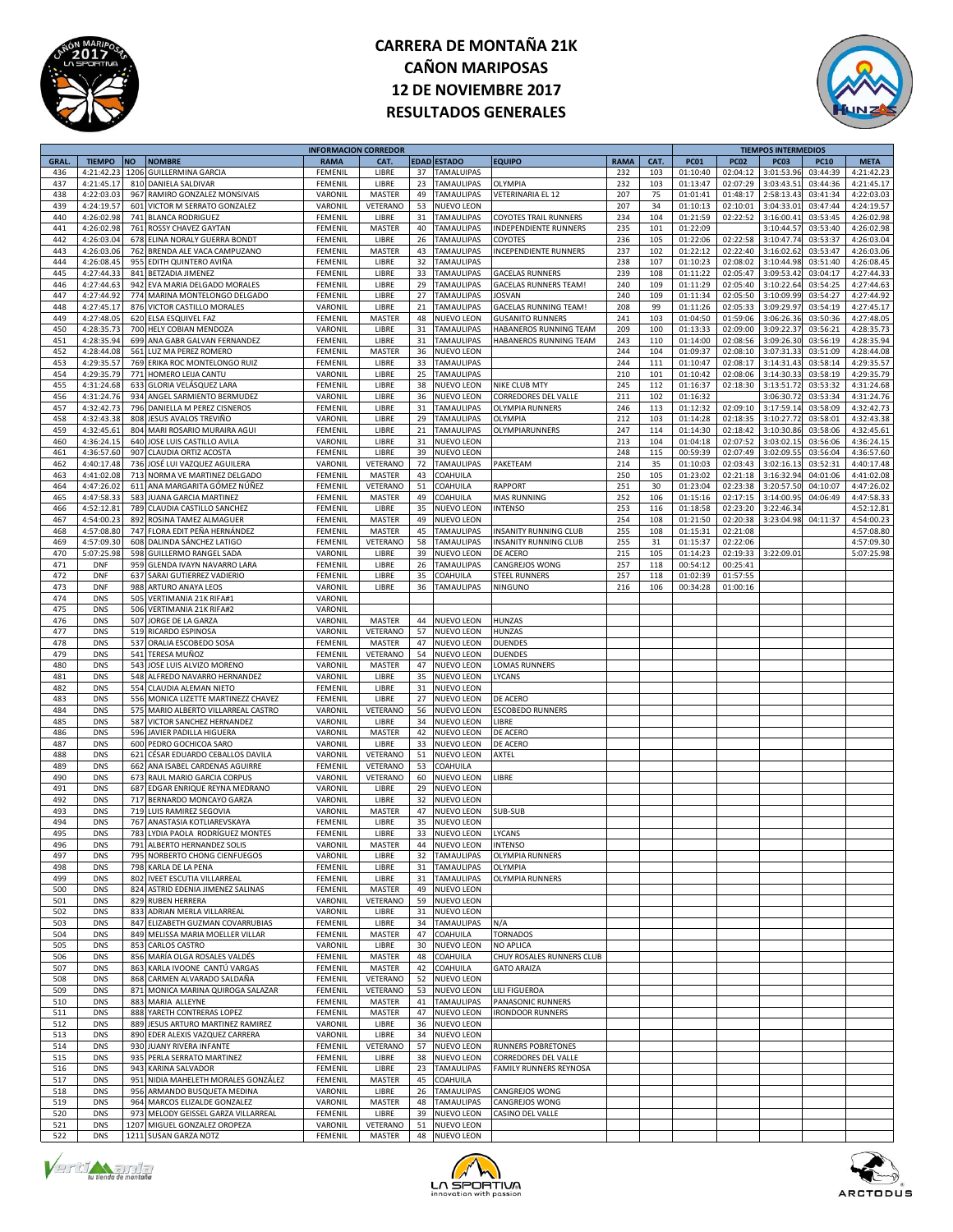



|             |               |           |                                     | <b>INFORMACION CORREDOR</b> |               |                |                    |                              |             |      |             |             | <b>TIEMPOS INTERMEDIOS</b> |             |             |
|-------------|---------------|-----------|-------------------------------------|-----------------------------|---------------|----------------|--------------------|------------------------------|-------------|------|-------------|-------------|----------------------------|-------------|-------------|
| <b>GRAL</b> | <b>TIEMPO</b> | <b>NO</b> | <b>NOMBRE</b>                       | <b>RAMA</b>                 | CAT.          |                | <b>EDAD ESTADO</b> | <b>EQUIPO</b>                | <b>RAMA</b> | CAT. | <b>PC01</b> | <b>PC02</b> | <b>PC03</b>                | <b>PC10</b> | <b>META</b> |
| 436         | 4:21:42.23    | 1206      | <b>GUILLERMINA GARCIA</b>           | FEMENII                     | LIBRE         | 37             | TAMALUIPAS         |                              | 232         | 103  | 01:10:40    | 02:04:12    | 3:01:53.96                 | 03:44:39    | 4:21:42.23  |
| 437         | 4:21:45.17    | 810       | DANIELA SALDIVAR                    | FEMENIL                     | LIBRE         | 23             | <b>TAMAULIPAS</b>  | OLYMPIA                      | 232         | 103  | 01:13:47    | 02:07:29    | 3:03:43.53                 | 03:44:36    | 4:21:45.17  |
| 438         | 4:22:03.03    | 967       | RAMIRO GONZALEZ MONSIVAIS           | VARONIL                     | MASTER        | 49             | <b>TAMAULIPAS</b>  | VETERINARIA EL 12            | 207         | 75   | 01:01:41    | 01:48:17    | 2:58:13.43                 | 03:41:34    | 4:22:03.03  |
| 439         | 4:24:19.57    |           | 601 VICTOR M SERRATO GONZALEZ       | VARONIL                     | VETERANO      | 53             | <b>NUEVO LEON</b>  |                              | 207         | 34   | 01:10:13    | 02:10:01    | 3:04:33.0                  | 03:47:44    | 4:24:19.57  |
|             |               |           |                                     |                             |               |                |                    |                              |             |      |             |             |                            |             |             |
| 440         | 4:26:02.98    |           | 741 BLANCA RODRIGUEZ                | FEMENIL                     | LIBRE         | 31             | <b>TAMAULIPAS</b>  | <b>COYOTES TRAIL RUNNERS</b> | 234         | 104  | 01:21:59    | 02:22:52    | 3:16:00.41                 | 03:53:45    | 4:26:02.98  |
| 441         | 4:26:02.98    |           | 761 ROSSY CHAVEZ GAYTAN             | FEMENIL                     | MASTER        | 40             | <b>TAMAULIPAS</b>  | INDEPENDIENTE RUNNERS        | 235         | 101  | 01:22:09    |             | 3:10:44.5                  | 03:53:40    | 4:26:02.98  |
| 442         | 4:26:03.04    | 678       | ELINA NORALY GUERRA BONDT           | FEMENIL                     | LIBRE         | 26             | <b>TAMAULIPAS</b>  | COYOTES                      | 236         | 105  | 01:22:06    | 02:22:58    | 3:10:47.74                 | 03:53:37    | 4:26:03.04  |
| 443         | 4:26:03.06    | 762       | BRENDA ALE VACA CAMPUZANO           | FEMENIL                     | MASTER        | 43             | <b>TAMAULIPAS</b>  | INCEPENDIENTE RUNNERS        | 237         | 102  | 01:22:12    | 02:22:40    | 3:16:02.62                 | 03:53:47    | 4:26:03.06  |
| 444         | 4:26:08.45    | 955       | EDITH QUINTERO AVIÑA                | FEMENIL                     | LIBRE         | 32             | <b>TAMAULIPAS</b>  |                              | 238         | 107  | 01:10:23    | 02:08:02    | 3:10:44.9                  | 03:51:40    | 4:26:08.45  |
| 445         | 4:27:44.33    |           | 841 BETZADIA JIMENEZ                | FEMENIL                     | LIBRE         | 33             | <b>TAMAULIPAS</b>  | <b>GACELAS RUNNERS</b>       | 239         | 108  | 01:11:22    | 02:05:47    | 3:09:53.42                 | 03:04:17    | 4:27:44.33  |
| 446         | 4:27:44.63    |           | 942 EVA MARIA DELGADO MORALES       | FEMENIL                     | LIBRE         | 29             | <b>TAMAULIPAS</b>  | <b>GACELAS RUNNERS TEAM!</b> | 240         | 109  | 01:11:29    | 02:05:40    | 3:10:22.64                 | 03:54:25    | 4:27:44.63  |
| 447         | 4:27:44.92    |           |                                     | FEMENIL                     | LIBRE         | 27             | <b>TAMAULIPAS</b>  |                              | 240         |      |             | 02:05:50    | 3:10:09.99                 | 03:54:27    | 4:27:44.92  |
|             |               |           | 774 MARINA MONTELONGO DELGADO       |                             |               |                |                    | JOSVAN                       |             | 109  | 01:11:34    |             |                            |             |             |
| 448         | 4:27:45.17    |           | 876 VICTOR CASTILLO MORALES         | VARONIL                     | LIBRE         | 21             | <b>TAMAULIPAS</b>  | GACELAS RUNNING TEAM!        | 208         | 99   | 01:11:26    | 02:05:33    | 3:09:29.97                 | 03:54:19    | 4:27:45.17  |
| 449         | 4:27:48.09    |           | 620 ELSA ESQUIVEL FAZ               | FEMENIL                     | MASTER        | 48             | NUEVO LEON         | <b>GUSANITO RUNNERS</b>      | 241         | 103  | 01:04:50    | 01:59:06    | 3:06:26.36                 | 03:50:36    | 4:27:48.05  |
| 450         | 4:28:35.73    |           | 700 HELY COBIAN MENDOZA             | VARONIL                     | LIBRE         | 31             | <b>TAMAULIPAS</b>  | HABANEROS RUNNING TEAM       | 209         | 100  | 01:13:33    | 02:09:00    | 3:09:22.37                 | 03:56:21    | 4:28:35.73  |
| 451         | 4:28:35.94    |           | 699 ANA GABR GALVAN FERNANDEZ       | FEMENIL                     | LIBRE         | 31             | <b>TAMAULIPAS</b>  | HABANEROS RUNNING TEAM       | 243         | 110  | 01:14:00    | 02:08:56    | 3:09:26.30                 | 03:56:19    | 4:28:35.94  |
| 452         | 4:28:44.08    | 561       | LUZ MA PEREZ ROMERO                 | FEMENIL                     | MASTER        | 36             | NUEVO LEON         |                              | 244         | 104  | 01:09:37    | 02:08:10    | 3:07:31.33                 | 03:51:09    | 4:28:44.08  |
| 453         | 4:29:35.57    | 769       | ERIKA ROC MONTELONGO RUIZ           | FEMENIL                     | LIBRE         | 33             | <b>TAMAULIPAS</b>  |                              | 244         | 111  | 01:10:47    | 02:08:17    | 3:14:31.43                 | 03:58:14    | 4:29:35.57  |
|             |               |           |                                     |                             |               |                |                    |                              |             |      |             |             |                            |             |             |
| 454         | 4:29:35.79    |           | 771 HOMERO LEIJA CANTU              | VARONII                     | LIBRE         | 25             | <b>TAMAULIPAS</b>  |                              | 210         | 101  | 01:10:42    | 02:08:06    | 3:14:30.3                  | 03:58:19    | 4:29:35.79  |
| 455         | 4:31:24.68    |           | 633 GLORIA VELÁSQUEZ LARA           | FEMENIL                     | LIBRE         | 38             | NUEVO LEON         | NIKE CLUB MTY                | 245         | 112  | 01:16:37    | 02:18:30    | 3:13:51.72                 | 03:53:32    | 4:31:24.68  |
| 456         | 4:31:24.76    |           | 934 ANGEL SARMIENTO BERMUDEZ        | VARONII                     | LIBRE         | 36             | <b>NUEVO LEON</b>  | CORREDORES DEL VALLE         | 211         | 102  | 01:16:32    |             | 3:06:30.72                 | 03:53:34    | 4:31:24.76  |
| 457         | 4:32:42.73    | 796       | DANIELLA M PEREZ CISNEROS           | FEMENIL                     | LIBRE         | 31             | <b>TAMAULIPAS</b>  | OLYMPIA RUNNERS              | 246         | 113  | 01:12:32    | 02:09:10    | 3:17:59.14                 | 03:58:09    | 4:32:42.73  |
| 458         | 4:32:43.38    |           | 808 JESUS AVALOS TREVIÑO            | VARONIL                     | LIBRE         | 29             | TAMAULIPAS         | OLYMPIA                      | 212         | 103  | 01:14:28    | 02:18:35    | 3:10:27.72                 | 03:58:01    | 4:32:43.38  |
| 459         | 4:32:45.6     |           | 804 MARI ROSARIO MURAIRA AGUI       | FEMENIL                     | LIBRE         | 21             | <b>TAMAULIPAS</b>  | OLYMPIARUNNERS               | 247         | 114  | 01:14:30    | 02:18:42    | 3:10:30.86                 | 03:58:06    | 4:32:45.61  |
|             |               |           |                                     |                             |               |                |                    |                              |             |      |             |             |                            |             |             |
| 460         | 4:36:24.15    |           | 640 JOSE LUIS CASTILLO AVILA        | VARONIL                     | LIBRE         | 31             | NUEVO LEON         |                              | 213         | 104  | 01:04:18    | 02:07:52    | 3:03:02.15                 | 03:56:06    | 4:36:24.15  |
| 461         | 4:36:57.60    |           | 907 CLAUDIA ORTIZ ACOSTA            | FEMENIL                     | LIBRE         | 39             | NUEVO LEON         |                              | 248         | 115  | 00:59:39    | 02:07:49    | 3:02:09.5                  | 03:56:04    | 4:36:57.60  |
| 462         | 4:40:17.48    | 736       | JOSÉ LUI VAZQUEZ AGUILERA           | VARONIL                     | VETERANO      | 72             | <b>TAMAULIPAS</b>  | PAKETEAM                     | 214         | 35   | 01:10:03    | 02:03:43    | 3:02:16.13                 | 03:52:31    | 4:40:17.48  |
| 463         | 4:41:02.08    | 713       | NORMA VE MARTINEZ DELGADO           | FEMENIL                     | MASTER        | 43             | COAHUILA           |                              | 250         | 105  | 01:23:02    | 02:21:18    | 3:16:32.94                 | 04:01:06    | 4:41:02.08  |
| 464         | 4:47:26.02    | 611       | ANA MARGARITA GÓMEZ NÚÑEZ           | FEMENIL                     | VETERANO      | 51             | COAHUILA           | RAPPORT                      | 251         | 30   | 01:23:04    | 02:23:38    | 3:20:57.5                  | 04:10:07    | 4:47:26.02  |
| 465         | 4:47:58.33    |           | 583 JUANA GARCIA MARTINEZ           | FEMENIL                     | MASTER        | 49             | COAHUILA           | <b>MAS RUNNING</b>           | 252         | 106  | 01:15:16    | 02:17:15    | 3:14:00.95                 | 04:06:49    | 4:47:58.33  |
| 466         | 4:52:12.81    | 789       | CLAUDIA CASTILLO SANCHEZ            | FEMENIL                     | LIBRE         | 35             | <b>NUEVO LEON</b>  | <b>INTENSO</b>               | 253         | 116  | 01:18:58    | 02:23:20    | 3:22:46.34                 |             | 4:52:12.81  |
| 467         | 4:54:00.23    | 892       | ROSINA TAMEZ ALMAGUER               | FEMENIL                     | MASTER        | 49             | <b>NUEVO LEON</b>  |                              | 254         | 108  | 01:21:50    | 02:20:38    | 3:23:04.98                 | 04:11:37    | 4:54:00.23  |
|             |               |           |                                     |                             |               |                |                    |                              |             |      |             |             |                            |             |             |
| 468         | 4:57:08.80    |           | 747 FLORA EDIT PEÑA HERNÁNDEZ       | FEMENIL                     | MASTER        | 45             | <b>TAMAULIPAS</b>  | INSANITY RUNNING CLUB        | 255         | 108  | 01:15:31    | 02:21:08    |                            |             | 4:57:08.80  |
| 469         | 4:57:09.3     | 608       | DALINDA SÁNCHEZ LATIGO              | FEMENIL                     | VETERANO      | 58             | <b>TAMAULIPAS</b>  | INSANITY RUNNING CLUB        | 255         | 31   | 01:15:37    | 02:22:06    |                            |             | 4:57:09.30  |
| 470         | 5:07:25.98    |           | 598 GUILLERMO RANGEL SADA           | VARONIL                     | LIBRE         | 39             | NUEVO LEON         | DE ACERO                     | 215         | 105  | 01:14:23    | 02:19:33    | 3:22:09.01                 |             | 5:07:25.98  |
| 471         | <b>DNF</b>    |           | 959 GLENDA IVAYN NAVARRO LARA       | FEMENIL                     | LIBRE         | 26             | <b>TAMAULIPAS</b>  | CANGREJOS WONG               | 257         | 118  | 00:54:12    | 00:25:41    |                            |             |             |
| 472         | <b>DNF</b>    | 637       | SARAI GUTIERREZ VADIERIO            | FEMENIL                     | LIBRE         | 35             | COAHUILA           | <b>STEEL RUNNERS</b>         | 257         | 118  | 01:02:39    | 01:57:55    |                            |             |             |
| 473         | <b>DNF</b>    | 988       | ARTURO ANAYA LEOS                   | VARONIL                     | LIBRE         | 36             | <b>TAMAULIPAS</b>  | <b>NINGUNO</b>               | 216         | 106  | 00:34:28    | 01:00:16    |                            |             |             |
|             |               |           |                                     |                             |               |                |                    |                              |             |      |             |             |                            |             |             |
| 474         | <b>DNS</b>    | 505       | VERTIMANIA 21K RIFA#:               | VARONII                     |               |                |                    |                              |             |      |             |             |                            |             |             |
| 475         | <b>DNS</b>    |           | 506 VERTIMANIA 21K RIFA#2           | VARONIL                     |               |                |                    |                              |             |      |             |             |                            |             |             |
| 476         | <b>DNS</b>    |           | 507 JORGE DE LA GARZA               | VARONIL                     | MASTER        | 44             | <b>NUEVO LEON</b>  | <b>HUNZAS</b>                |             |      |             |             |                            |             |             |
| 477         | <b>DNS</b>    |           | 519 RICARDO ESPINOSA                | VARONIL                     | VETERANO      | 57             | <b>NUEVO LEON</b>  | <b>HUNZAS</b>                |             |      |             |             |                            |             |             |
| 478         | <b>DNS</b>    | 537       | ORALIA ESCOBEDO SOSA                | FEMENIL                     | MASTER        | 47             | <b>NUEVO LEON</b>  | <b>DUENDES</b>               |             |      |             |             |                            |             |             |
| 479         | <b>DNS</b>    |           | 541 TERESA MUÑOZ                    | FEMENIL                     | VETERANO      | 54             | NUEVO LEON         | <b>DUENDES</b>               |             |      |             |             |                            |             |             |
| 480         | <b>DNS</b>    |           | 543 JOSE LUIS ALVIZO MORENO         | VARONIL                     | MASTER        | 47             | NUEVO LEON         | LOMAS RUNNERS                |             |      |             |             |                            |             |             |
|             |               |           |                                     |                             |               |                |                    |                              |             |      |             |             |                            |             |             |
| 481         | <b>DNS</b>    |           | 548 ALFREDO NAVARRO HERNANDEZ       | VARONIL                     | LIBRE         | 35             | NUEVO LEON         | LYCANS                       |             |      |             |             |                            |             |             |
| 482         | <b>DNS</b>    |           | 554 CLAUDIA ALEMAN NIETO            | FEMENIL                     | LIBRE         | 31             | NUEVO LEON         |                              |             |      |             |             |                            |             |             |
| 483         | <b>DNS</b>    |           | 556 MONICA LIZETTE MARTINEZZ CHAVEZ | FEMENIL                     | LIBRE         | 27             | NUEVO LEON         | DE ACERO                     |             |      |             |             |                            |             |             |
| 484         | <b>DNS</b>    |           | 575 MARIO ALBERTO VILLARREAL CASTRO | VARONIL                     | VETERANO      | 56             | NUEVO LEON         | <b>ESCOBEDO RUNNERS</b>      |             |      |             |             |                            |             |             |
| 485         | <b>DNS</b>    |           | 587 VICTOR SANCHEZ HERNANDEZ        | VARONIL                     | LIBRE         | 34             | NUEVO LEON         | LIBRE                        |             |      |             |             |                            |             |             |
| 486         | <b>DNS</b>    |           | 596 JAVIER PADILLA HIGUERA          | VARONIL                     | MASTER        | 42             | NUEVO LEON         | DE ACERO                     |             |      |             |             |                            |             |             |
| 487         | <b>DNS</b>    |           | 600 PEDRO GOCHICOA SARO             | VARONIL                     | LIBRE         | 33             | <b>NUEVO LEON</b>  | DE ACERO                     |             |      |             |             |                            |             |             |
|             |               |           |                                     |                             |               |                |                    |                              |             |      |             |             |                            |             |             |
| 488         | <b>DNS</b>    | 621       | CÉSAR EDUARDO CEBALLOS DAVILA       | VARONII                     | VETERANO      | 51             | NUEVO LEON         | AXTEL                        |             |      |             |             |                            |             |             |
| 489         | <b>DNS</b>    | 662       | ANA ISABEL CARDENAS AGUIRRE         | FEMENIL                     | VETERANO      | 53             | COAHUILA           |                              |             |      |             |             |                            |             |             |
| 490         | <b>DNS</b>    |           | 673 RAUL MARIO GARCIA CORPUS        | VARONIL                     | VETERANO      | 60             | NUEVO LEON         | LIBRE                        |             |      |             |             |                            |             |             |
| 491         | <b>DNS</b>    | 687       | EDGAR ENRIQUE REYNA MEDRANO         | VARONIL                     | LIBRE         | 29             | NUEVO LEON         |                              |             |      |             |             |                            |             |             |
| 492         | <b>DNS</b>    |           | 717 BERNARDO MONCAYO GARZA          | VARONIL                     | LIBRE         | 32             | <b>NUEVO LEON</b>  |                              |             |      |             |             |                            |             |             |
| 493         | <b>DNS</b>    | 719       | LUIS RAMIREZ SEGOVIA                | VARONIL                     | <b>MASTER</b> | 47             | NUEVO LEON         | <b>SUB-SUB</b>               |             |      |             |             |                            |             |             |
| 494         |               |           | ANASTASIA KOTLIAREVSKAYA            |                             |               |                |                    |                              |             |      |             |             |                            |             |             |
|             | <b>DNS</b>    | 767       |                                     | FEMENIL                     | LIBRE         | 35             | NUEVO LEON         |                              |             |      |             |             |                            |             |             |
| 495         | <b>DNS</b>    |           | 783 LYDIA PAOLA RODRÍGUEZ MONTES    | FEMENIL                     | LIBRE         | 33             | <b>NUEVO LEON</b>  | LYCANS                       |             |      |             |             |                            |             |             |
| 496         | <b>DNS</b>    |           | 791 ALBERTO HERNANDEZ SOLIS         | <b>VARONII</b>              | <b>MASTER</b> | $\Delta\Delta$ | <b>NUEVO LEON</b>  | <b>INTENSO</b>               |             |      |             |             |                            |             |             |
| 497         | <b>DNS</b>    |           | 795 NORBERTO CHONG CIENFUEGOS       | VARONIL                     | LIBRE         | 32             | <b>TAMAULIPAS</b>  | <b>OLYMPIA RUNNERS</b>       |             |      |             |             |                            |             |             |
| 498         | <b>DNS</b>    |           | 798 KARLA DE LA PENA                | FEMENIL                     | LIBRE         | 31             | <b>TAMAULIPAS</b>  | OLYMPIA                      |             |      |             |             |                            |             |             |
| 499         | <b>DNS</b>    |           | 802 IVEET ESCUTIA VILLARREAL        | FEMENIL                     | LIBRE         | 31             | <b>TAMAULIPAS</b>  | <b>OLYMPIA RUNNERS</b>       |             |      |             |             |                            |             |             |
| 500         | <b>DNS</b>    |           | 824 ASTRID EDENIA JIMENEZ SALINAS   | FEMENIL                     | MASTER        | 49             | NUEVO LEON         |                              |             |      |             |             |                            |             |             |
| 501         | <b>DNS</b>    | 829       | <b>RUBEN HERRERA</b>                | VARONIL                     | VETERANO      | 59             | <b>NUEVO LEON</b>  |                              |             |      |             |             |                            |             |             |
|             |               |           |                                     |                             |               |                |                    |                              |             |      |             |             |                            |             |             |
| 502         | <b>DNS</b>    |           | 833 ADRIAN MERLA VILLARREAL         | VARONIL                     | LIBRE         | 31             | <b>NUEVO LEON</b>  |                              |             |      |             |             |                            |             |             |
| 503         | <b>DNS</b>    | 847       | ELIZABETH GUZMAN COVARRUBIAS        | FEMENIL                     | LIBRE         | 34             | <b>TAMAULIPAS</b>  | N/A                          |             |      |             |             |                            |             |             |
| 504         | <b>DNS</b>    | 849       | MELISSA MARIA MOELLER VILLAR        | FEMENIL                     | MASTER        | 47             | COAHUILA           | <b>TORNADOS</b>              |             |      |             |             |                            |             |             |
| 505         | <b>DNS</b>    |           | 853 CARLOS CASTRO                   | VARONIL                     | LIBRE         | 30             | <b>NUEVO LEON</b>  | <b>NO APLICA</b>             |             |      |             |             |                            |             |             |
| 506         | <b>DNS</b>    | 856       | MARÍA OLGA ROSALES VALDÉS           | FEMENIL                     | MASTER        | 48             | COAHUILA           | CHUY ROSALES RUNNERS CLUB    |             |      |             |             |                            |             |             |
| 507         | <b>DNS</b>    | 863       | KARLA IVOONE CANTÚ VARGAS           | FEMENIL                     | MASTER        | 42             | COAHUILA           | <b>GATO ARAIZA</b>           |             |      |             |             |                            |             |             |
| 508         | <b>DNS</b>    | 868       | CARMEN ALVARADO SALDAÑA             | FEMENIL                     | VETERANO      | 52             | <b>NUEVO LEON</b>  |                              |             |      |             |             |                            |             |             |
|             |               |           |                                     |                             |               |                |                    |                              |             |      |             |             |                            |             |             |
| 509         | <b>DNS</b>    | 871       | MONICA MARINA QUIROGA SALAZAR       | FEMENIL                     | VETERANO      | 53             | <b>NUEVO LEON</b>  | LILI FIGUEROA                |             |      |             |             |                            |             |             |
| 510         | <b>DNS</b>    |           | 883 MARIA ALLEYNE                   | FEMENIL                     | MASTER        | 41             | TAMAULIPAS         | PANASONIC RUNNERS            |             |      |             |             |                            |             |             |
| 511         | <b>DNS</b>    |           | 888 YARETH CONTRERAS LOPEZ          | FEMENIL                     | MASTER        | 47             | <b>NUEVO LEON</b>  | <b>IRONDOOR RUNNERS</b>      |             |      |             |             |                            |             |             |
| 512         | <b>DNS</b>    |           | 889 JESUS ARTURO MARTINEZ RAMIREZ   | VARONIL                     | LIBRE         | 36             | <b>NUEVO LEON</b>  |                              |             |      |             |             |                            |             |             |
| 513         | <b>DNS</b>    |           | 890 EDER ALEXIS VAZQUEZ CARRERA     | VARONIL                     | LIBRE         | 34             | <b>NUEVO LEON</b>  |                              |             |      |             |             |                            |             |             |
| 514         | <b>DNS</b>    |           | 930 JUANY RIVERA INFANTE            | FEMENIL                     | VETERANO      | 57             | NUEVO LEON         | RUNNERS POBRETONES           |             |      |             |             |                            |             |             |
| 515         | <b>DNS</b>    |           | 935 PERLA SERRATO MARTINEZ          | FEMENIL                     | LIBRE         | 38             | NUEVO LEON         | CORREDORES DEL VALLE         |             |      |             |             |                            |             |             |
|             |               |           |                                     |                             |               |                |                    |                              |             |      |             |             |                            |             |             |
| 516         | <b>DNS</b>    |           | 943 KARINA SALVADOR                 | FEMENIL                     | LIBRE         | 23             | <b>TAMAULIPAS</b>  | FAMILY RUNNERS REYNOSA       |             |      |             |             |                            |             |             |
| 517         | <b>DNS</b>    | 951       | NIDIA MAHELETH MORALES GONZÁLEZ     | FEMENIL                     | MASTER        | 45             | COAHUILA           |                              |             |      |             |             |                            |             |             |
| 518         | <b>DNS</b>    |           | 956 ARMANDO BUSQUETA MEDINA         | VARONIL                     | LIBRE         | 26             | <b>TAMAULIPAS</b>  | CANGREJOS WONG               |             |      |             |             |                            |             |             |
| 519         | <b>DNS</b>    | 964       | MARCOS ELIZALDE GONZALEZ            | VARONIL                     | MASTER        | 48             | TAMAULIPAS         | CANGREJOS WONG               |             |      |             |             |                            |             |             |
| 520         | <b>DNS</b>    | 973       | MELODY GEISSEL GARZA VILLARREAL     | FEMENIL                     | LIBRE         | 39             | NUEVO LEON         | CASINO DEL VALLE             |             |      |             |             |                            |             |             |
| 521         | <b>DNS</b>    | 1207      | MIGUEL GONZALEZ OROPEZA             | VARONIL                     | VETERANO      | 51             | <b>NUEVO LEON</b>  |                              |             |      |             |             |                            |             |             |
|             |               |           |                                     |                             |               |                |                    |                              |             |      |             |             |                            |             |             |
| 522         | <b>DNS</b>    |           | 1211 SUSAN GARZA NOTZ               | FEMENIL                     | MASTER        | 48             | <b>NUEVO LEON</b>  |                              |             |      |             |             |                            |             |             |





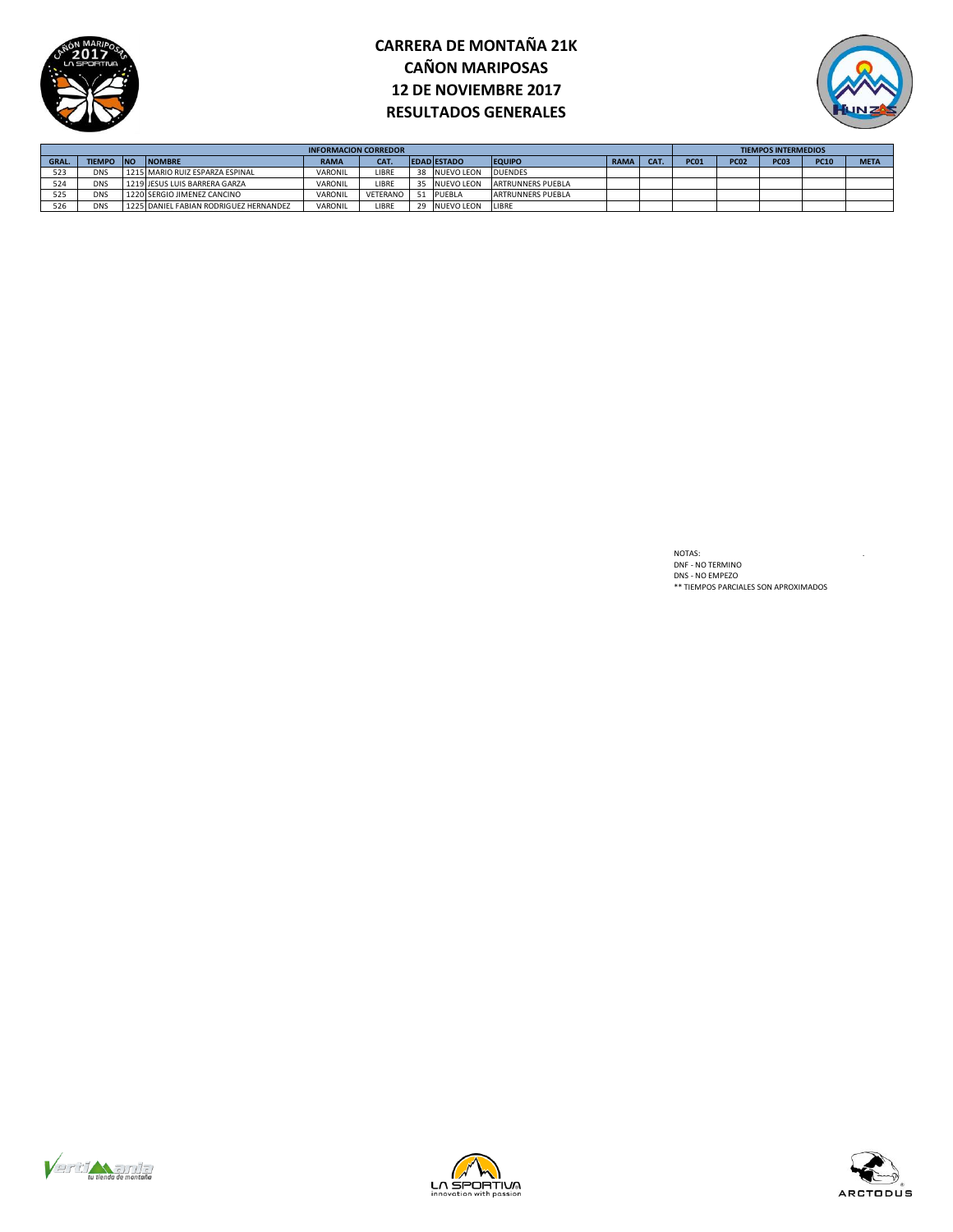



|       |               |           |                                        | <b>INFORMACION CORREDOR</b> |          |    |                    |                          |      |     |             |             | <b>TIEMPOS INTERMEDIOS</b> |             |             |
|-------|---------------|-----------|----------------------------------------|-----------------------------|----------|----|--------------------|--------------------------|------|-----|-------------|-------------|----------------------------|-------------|-------------|
| GRAL. | <b>TIEMPO</b> | <b>NO</b> | <b>INOMBRE</b>                         | <b>RAMA</b>                 | CAT.     |    | <b>EDAD ESTADO</b> | <b>EQUIPO</b>            | RAMA | CAT | <b>PC01</b> | <b>PC02</b> | PC <sub>03</sub>           | <b>PC10</b> | <b>META</b> |
| 523   | <b>DNS</b>    |           | 1215 MARIO RUIZ ESPARZA ESPINAL        | VARONIL                     | LIBRE    | 38 | <b>NUEVO LEON</b>  | <b>DUENDES</b>           |      |     |             |             |                            |             |             |
| 524   | <b>DNS</b>    |           | 1219 JESUS LUIS BARRERA GARZA          | VARONIL                     | LIBRE    |    | <b>NUEVO LEON</b>  | ARTRUNNERS PUEBLA        |      |     |             |             |                            |             |             |
| 525   | <b>DNS</b>    |           | 1220 SERGIO JIMENEZ CANCINO            | VARONIL                     | VFTFRANO |    | PUEBLA             | <b>ARTRUNNERS PUEBLA</b> |      |     |             |             |                            |             |             |
|       | <b>DNS</b>    |           | 1225 DANIEL FABIAN RODRIGUEZ HERNANDEZ | VARONIL                     | LIBRE    |    | <b>NUEVO LEON</b>  | LIBRE                    |      |     |             |             |                            |             |             |

NOTAS:<br>DNF - NO TERMINO<br>DNS - NO EMPEZO<br>\*\* TIEMPOS PARCIALES SON APROXIMADOS





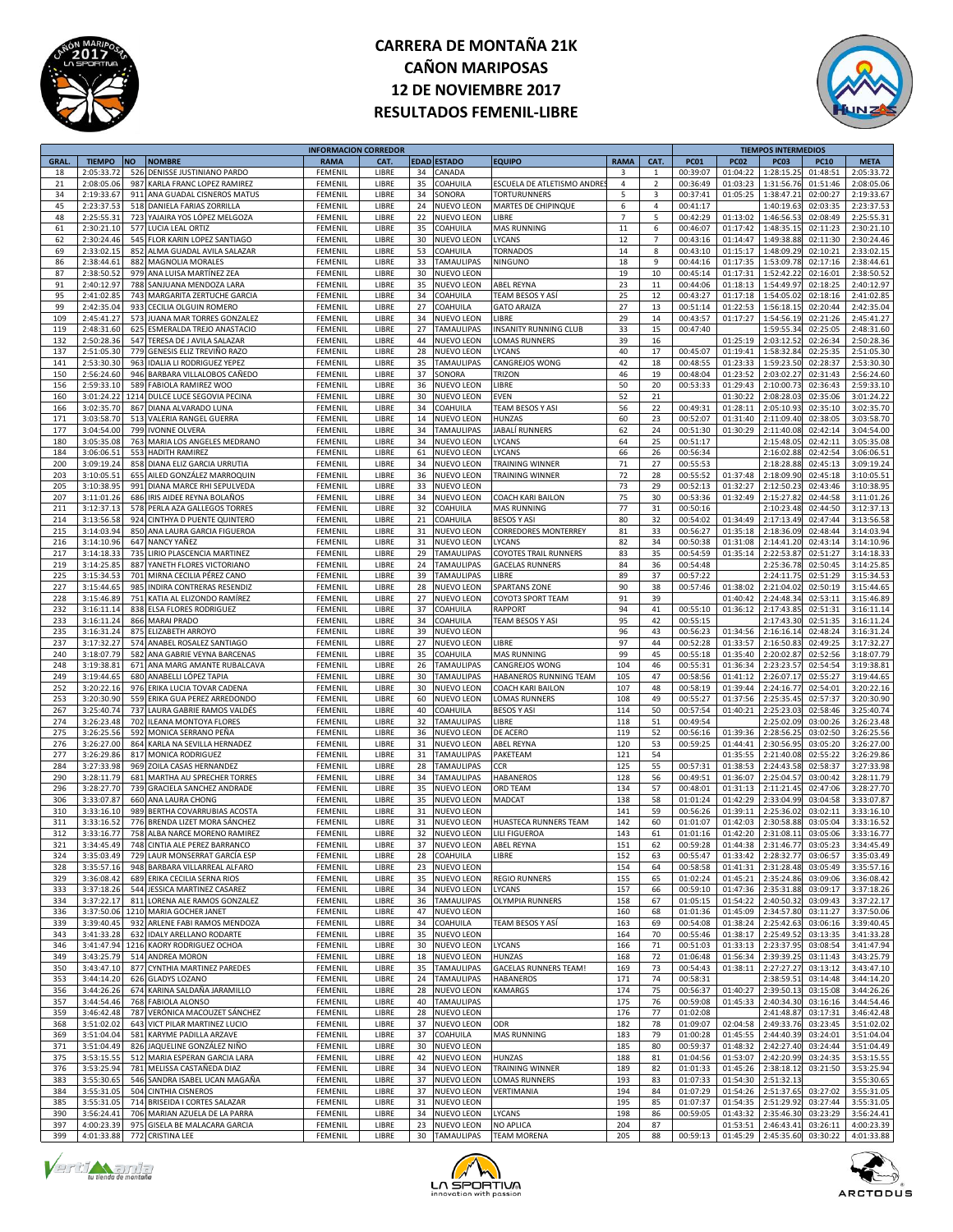



| <b>GRAL</b><br>18 |               |      |                                  | <b>INFORMACION CORREDOR</b> |              |    |                    |                              |                |                |             |             | <b>TIEMPOS INTERMEDIOS</b> |             |             |
|-------------------|---------------|------|----------------------------------|-----------------------------|--------------|----|--------------------|------------------------------|----------------|----------------|-------------|-------------|----------------------------|-------------|-------------|
|                   | <b>TIEMPO</b> | ΝO   | <b>NOMBRE</b>                    | <b>RAMA</b>                 | CAT.         |    | <b>EDAD ESTADO</b> | <b>EQUIPO</b>                | <b>RAMA</b>    | CAT.           | <b>PC01</b> | <b>PC02</b> | <b>PC03</b>                | <b>PC10</b> | <b>META</b> |
|                   | 2:05:33.7     | 526  | DENISSE JUSTINIANO PARDO         | FEMENI                      | LIBRE        | 34 | CANADA             |                              | 3              | $\mathbf{1}$   | 00:39:07    | 01:04:22    | 1:28:15.2                  | 01:48:51    | 2:05:33.72  |
| 21                | 2:08:05.06    | 987  | KARLA FRANC LOPEZ RAMIREZ        | FEMENIL                     | LIBRE        | 35 | COAHUILA           | ESCUELA DE ATLETISMO ANDRE   | 4              | $\overline{2}$ | 00:36:49    | 01:03:23    | 1:31:56.76                 | 01:51:46    | 2:08:05.06  |
|                   |               |      |                                  |                             |              |    |                    |                              |                |                |             |             |                            |             |             |
| 34                | 2:19:33.6     | 911  | ANA GUADAL CISNEROS MATUS        | FEMENII                     | LIBRE        | 34 | SONORA             | TORTURUNNERS                 | 5              | 3              | 00:37:41    | 01:05:25    | 1:38:47.21                 | 02:00:27    | 2:19:33.67  |
| 45                | 2:23:37.5     | 518  | <b>DANIELA FARIAS ZORRILLA</b>   | FEMENI                      | LIBRE        | 24 | NUEVO LEON         | MARTES DE CHIPINQUE          | 6              | $\overline{4}$ | 00:41:17    |             | 1:40:19.63                 | 02:03:35    | 2:23:37.53  |
| 48                | 2:25:55.31    |      | 723 YAJAIRA YOS LÓPEZ MELGOZA    | FEMENII                     | LIBRE        | 22 | NUEVO LEON         | LIBRE                        | $\overline{7}$ | 5              | 00:42:29    | 01:13:02    | 1:46:56.53                 | 02:08:49    | 2:25:55.31  |
| 61                | 2:30:21.10    | 577  | LUCIA LEAL ORTIZ                 | FEMENII                     | LIBRE        | 35 | COAHUILA           | MAS RUNNING                  | $11\,$         | 6              | 00:46:07    | 01:17:42    | 1:48:35.1                  | 02:11:23    | 2:30:21.10  |
|                   |               |      |                                  |                             |              |    |                    |                              |                | $\overline{7}$ |             |             |                            | 02:11:30    |             |
| 62                | 2:30:24.46    | 545  | FLOR KARIN LOPEZ SANTIAGO        | FEMENIL                     | LIBRE        | 30 | NUEVO LEON         | LYCANS                       | 12             |                | 00:43:16    | 01:14:47    | 1:49:38.88                 |             | 2:30:24.46  |
| 69                | 2:33:02.1     | 852  | ALMA GUADAL AVILA SALAZAR        | FEMENII                     | LIBRE        | 53 | COAHUILA           | <b>TORNADOS</b>              | 14             | 8              | 00:43:10    | 01:15:17    | 1:48:09.2                  | 02:10:21    | 2:33:02.15  |
| 86                | 2:38:44.6     | 882  | <b>MAGNOLIA MORALES</b>          | FEMENI                      | LIBRE        | 33 | <b>TAMAULIPAS</b>  | NINGUNO                      | 18             | 9              | 00:44:16    | 01:17:35    | 1:53:09.7                  | 02:17:16    | 2:38:44.61  |
| 87                | 2:38:50.52    | 979  | ANA LUISA MARTÍNEZ ZEA           | FEMENII                     | LIBRE        | 30 | NUEVO LEON         |                              | 19             | 10             | 00:45:14    | 01:17:31    | 1:52:42.22                 | 02:16:01    | 2:38:50.52  |
|                   |               |      |                                  |                             |              |    |                    |                              |                |                |             |             |                            |             |             |
| 91                | 2:40:12.9     | 788  | SANJUANA MENDOZA LARA            | FEMENII                     | LIBRE        | 35 | NUEVO LEON         | <b>ABEL REYNA</b>            | 23             | 11             | 00:44:06    | 01:18:13    | 1:54:49.97                 | 02:18:25    | 2:40:12.97  |
| 95                | 2:41:02.85    | 743  | MARGARITA ZERTUCHE GARCIA        | FEMENIL                     | LIBRE        | 34 | COAHUILA           | TEAM BESOS Y ASÍ             | 25             | 12             | 00:43:27    | 01:17:18    | 1:54:05.0                  | 02:18:16    | 2:41:02.85  |
| 99                | 2:42:35.04    | 933  | CECILIA OLGUIN ROMERO            | FEMENII                     | LIBRE        | 27 | COAHUILA           | <b>GATO ARAIZA</b>           | 27             | 13             | 00:51:14    | 01:22:53    | 1:56:18.1                  | 02:20:44    | 2:42:35.04  |
| 109               | 2:45:41.2     | 573  | JUANA MAR TORRES GONZALEZ        | FEMENI                      | LIBRE        | 34 | NUEVO LEON         | LIBRE                        | 29             | 14             | 00:43:57    | 01:17:27    | 1:54:56.19                 | 02:21:26    | 2:45:41.27  |
|                   |               |      |                                  |                             |              |    |                    |                              |                |                |             |             |                            |             |             |
| 119               | 2:48:31.60    | 625  | ESMERALDA TREJO ANASTACIO        | FEMENII                     | LIBRE        | 27 | <b>TAMAULIPAS</b>  | INSANITY RUNNING CLUB        | 33             | 15             | 00:47:40    |             | 1:59:55.34                 | 02:25:05    | 2:48:31.60  |
| 132               | 2:50:28.36    | 547  | TERESA DE J AVILA SALAZAR        | FEMENII                     | LIBRE        | 44 | NUEVO LEON         | LOMAS RUNNERS                | 39             | 16             |             | 01:25:19    | 2:03:12.52                 | 02:26:34    | 2:50:28.36  |
| 137               | 2:51:05.30    | 779  | GENESIS ELIZ TREVIÑO RAZO        | FEMENIL                     | LIBRE        | 28 | <b>NUEVO LEON</b>  | LYCANS                       | 40             | 17             | 00:45:07    | 01:19:41    | 1:58:32.84                 | 02:25:35    | 2:51:05.30  |
| 141               | 2:53:30.30    | 963  | <b>IDALIA LI RODRIGUEZ YEPEZ</b> | FEMENII                     | LIBRE        | 35 | <b>TAMAULIPAS</b>  | CANGREJOS WONG               | 42             | 18             | 00:48:55    | 01:23:33    | 1:59:23.50                 | 02:28:37    | 2:53:30.30  |
|                   |               |      |                                  |                             |              |    |                    |                              |                |                |             |             |                            |             |             |
| 150               | 2:56:24.60    | 946  | BARBARA VILLALOBOS CAÑEDO        | FEMENI                      | LIBRE        | 37 | SONORA             | <b>TRIZON</b>                | 46             | 19             | 00:48:04    | 01:23:52    | 2:03:02.2                  | 02:31:43    | 2:56:24.60  |
| 156               | 2:59:33.10    | 589  | FABIOLA RAMIREZ WOO              | FEMENII                     | LIBRE        | 36 | NUEVO LEON         | LIBRE                        | 50             | 20             | 00:53:33    | 01:29:43    | 2:10:00.73                 | 02:36:43    | 2:59:33.10  |
| 160               | 3:01:24.22    | 1214 | DULCE LUCE SEGOVIA PECINA        | FEMENII                     | LIBRE        | 30 | NUEVO LEON         | EVEN                         | 52             | 21             |             | 01:30:22    | 2:08:28.03                 | 02:35:06    | 3:01:24.22  |
| 166               | 3:02:35.70    | 867  | DIANA ALVARADO LUNA              | FEMENIL                     | LIBRE        | 34 | COAHUILA           | TEAM BESOS Y ASI             | 56             | 22             | 00:49:31    | 01:28:11    | 2:05:10.9                  | 02:35:10    | 3:02:35.70  |
|                   |               |      |                                  |                             |              |    |                    |                              |                |                |             |             |                            |             |             |
| 171               | 3:03:58.70    | 513  | VALERIA RANGEL GUERRA            | FEMENII                     | LIBRE        | 14 | NUEVO LEON         | <b>HUNZAS</b>                | 60             | 23             | 00:52:07    | 01:31:40    | 2:11:09.40                 | 02:38:05    | 3:03:58.70  |
| 177               | 3:04:54.00    | 799  | <b>IVONNE OLVERA</b>             | FEMENI                      | LIBRE        | 34 | <b>TAMAULIPAS</b>  | JABALÍ RUNNERS               | 62             | 24             | 00:51:30    | 01:30:29    | 2:11:40.08                 | 02:42:14    | 3:04:54.00  |
| 180               | 3:05:35.08    | 763  | MARIA LOS ANGELES MEDRANO        | FEMENII                     | LIBRE        | 34 | NUEVO LEON         | LYCANS                       | 64             | 25             | 00:51:17    |             | 2:15:48.05                 | 02:42:11    | 3:05:35.08  |
| 184               | 3:06:06.5     | 553  | <b>HADITH RAMIREZ</b>            | FEMENII                     | LIBRE        | 61 | NUEVO LEON         | LYCANS                       | 66             | 26             | 00:56:34    |             | 2:16:02.88                 | 02:42:54    | 3:06:06.51  |
|                   |               |      |                                  |                             |              |    |                    | TRAINING WINNER              |                |                |             |             |                            | 02:45:13    |             |
| 200               | 3:09:19.24    | 858  | DIANA ELIZ GARCIA URRUTIA        | FEMENIL                     | LIBRE        | 34 | NUEVO LEON         |                              | 71             | 27             | 00:55:53    |             | 2:18:28.88                 |             | 3:09:19.24  |
| 203               | 3:10:05.5     | 655  | AILED GONZÁLEZ MARROQUIN         | FEMENII                     | LIBRE        | 36 | <b>NUEVO LEON</b>  | TRAINING WINNER              | 72             | 28             | 00:55:52    | 01:37:48    | 2:18:09.90                 | 02:45:18    | 3:10:05.51  |
| 205               | 3:10:38.9     | 991  | DIANA MARCE RHI SEPULVEDA        | FEMENI                      | LIBRE        | 33 | <b>NUEVO LEON</b>  |                              | 73             | 29             | 00:52:13    | 01:32:27    | 2:12:50.2                  | 02:43:46    | 3:10:38.95  |
| 207               | 3:11:01.26    | 686  | IRIS AIDEE REYNA BOLAÑOS         | FEMENII                     | LIBRE        | 34 | <b>NUEVO LEON</b>  | COACH KARI BAILON            | 75             | 30             | 00:53:36    | 01:32:49    | 2:15:27.82                 | 02:44:58    | 3:11:01.26  |
|                   |               |      |                                  |                             |              |    |                    |                              |                |                |             |             |                            |             |             |
| 211               | 3:12:37.13    | 578  | PERLA AZA GALLEGOS TORRES        | FEMENIL                     | LIBRE        | 32 | COAHUILA           | <b>MAS RUNNING</b>           | 77             | 31             | 00:50:16    |             | 2:10:23.48                 | 02:44:50    | 3:12:37.13  |
| 214               | 3:13:56.58    | 924  | CINTHYA D PUENTE QUINTERO        | FEMENIL                     | LIBRE        | 21 | COAHUILA           | <b>BESOS Y ASI</b>           | 80             | 32             | 00:54:02    | 01:34:49    | 2:17:13.49                 | 02:47:44    | 3:13:56.58  |
| 215               | 3:14:03.94    | 850  | ANA LAURA GARCIA FIGUEROA        | FEMENII                     | LIBRE        | 31 | <b>NUEVO LEON</b>  | <b>CORREDORES MONTERREY</b>  | 81             | 33             | 00:56:27    | 01:35:18    | 2:18:36.09                 | 02:48:44    | 3:14:03.94  |
| 216               | 3:14:10.96    | 647  | NANCY YAÑEZ                      | FEMENI                      | LIBRE        | 31 | <b>NUEVO LEON</b>  | <b>YCANS</b>                 | 82             | 34             | 00:50:38    | 01:31:08    | 2:14:41.20                 | 02:43:14    | 3:14:10.96  |
|                   |               |      |                                  |                             |              |    |                    |                              |                |                |             |             |                            |             |             |
| 217               | 3:14:18.33    | 735  | LIRIO PLASCENCIA MARTINEZ        | FEMENII                     | LIBRE        | 29 | <b>TAMAULIPAS</b>  | COYOTES TRAIL RUNNERS        | 83             | 35             | 00:54:59    | 01:35:14    | 2:22:53.87                 | 02:51:27    | 3:14:18.33  |
| 219               | 3:14:25.85    | 887  | YANETH FLORES VICTORIANO         | FEMENIL                     | LIBRE        | 24 | <b>TAMAULIPAS</b>  | <b>GACELAS RUNNERS</b>       | 84             | 36             | 00:54:48    |             | 2:25:36.78                 | 02:50:45    | 3:14:25.85  |
| 225               | 3:15:34.5     | 701  | MIRNA CECILIA PÉREZ CANO         | FEMENIL                     | LIBRE        | 39 | <b>TAMAULIPAS</b>  | LIBRE                        | 89             | 37             | 00:57:22    |             | 2:24:11.7                  | 02:51:29    | 3:15:34.53  |
|                   |               |      |                                  |                             |              |    | NUEVO LEON         |                              |                |                |             |             |                            |             |             |
| 227               | 3:15:44.6     | 985  | INDIRA CONTRERAS RESENDIZ        | FEMENII                     | LIBRE        | 28 |                    | SPARTANS ZONE                | 90             | 38             | 00:57:46    | 01:38:02    | 2:21:04.02                 | 02:50:19    | 3:15:44.65  |
| 228               | 3:15:46.89    | 751  | KATIA AL ELIZONDO RAMÍREZ        | FEMENI                      | LIBRE        | 27 | NUEVO LEON         | COYOT3 SPORT TEAM            | 91             | 39             |             | 01:40:42    | 2:24:48.34                 | 02:53:11    | 3:15:46.89  |
| 232               | 3:16:11.14    | 838  | <b>ELSA FLORES RODRIGUEZ</b>     | FEMENII                     | LIBRE        | 37 | COAHUILA           | RAPPORT                      | 94             | 41             | 00:55:10    | 01:36:12    | 2:17:43.85                 | 02:51:31    | 3:16:11.14  |
| 233               | 3:16:11.24    | 866  | <b>MARAI PRADO</b>               | FEMENIL                     | LIBRE        | 34 | COAHUILA           | TEAM BESOS Y ASI             | 95             | 42             | 00:55:15    |             | 2:17:43.30                 | 02:51:35    | 3:16:11.24  |
|                   |               |      |                                  |                             |              |    |                    |                              |                |                |             |             |                            |             |             |
| 235               | 3:16:31.24    | 875  | ELIZABETH ARROYO                 | FEMENIL                     | LIBRE        | 39 | NUEVO LEON         |                              | 96             | 43             | 00:56:23    | 01:34:56    | 2:16:16.14                 | 02:48:24    | 3:16:31.24  |
| 237               | 3:17:32.2     | 574  | ANABEL ROSALEZ SANTIAGO          | FEMENII                     | LIBRE        | 27 | NUEVO LEON         | LIBRE                        | 97             | 44             | 00:52:28    | 01:33:57    | 2:16:50.8                  | 02:49:25    | 3:17:32.27  |
| 240               | 3:18:07.79    | 582  | ANA GABRIE VEYNA BARCENAS        | FEMENI                      | LIBRE        | 35 | COAHUILA           | MAS RUNNING                  | 99             | 45             | 00:55:18    | 01:35:40    | 2:20:02.87                 | 02:52:56    | 3:18:07.79  |
| 248               | 3:19:38.81    | 671  | ANA MARG AMANTE RUBALCAVA        | FEMENII                     | LIBRE        | 26 | <b>TAMAULIPAS</b>  | CANGREJOS WONG               | 104            | 46             | 00:55:31    | 01:36:34    | 2:23:23.57                 | 02:54:54    | 3:19:38.81  |
|                   |               |      |                                  |                             |              |    |                    |                              |                |                |             |             |                            |             |             |
| 249               | 3:19:44.65    | 680  | ANABELLI LÓPEZ TAPIA             | FEMENIL                     | LIBRE        | 30 | <b>TAMAULIPAS</b>  | HABANEROS RUNNING TEAM       | 105            | 47             | 00:58:56    | 01:41:12    | 2:26:07.17                 | 02:55:27    | 3:19:44.65  |
| 252               | 3:20:22.16    | 976  | ERIKA LUCIA TOVAR CADENA         | FEMENIL                     | LIBRE        | 30 | NUEVO LEON         | COACH KARI BAILON            | 107            | 48             | 00:58:19    | 01:39:44    | 2:24:16.77                 | 02:54:01    | 3:20:22.16  |
| 253               | 3:20:30.90    | 559  | ERIKA GUA PEREZ ARREDONDO        | FEMENII                     | LIBRE        | 60 | NUEVO LEON         | LOMAS RUNNERS                | 108            | 49             | 00:55:27    | 01:37:56    | 2:25:35.4                  | 02:57:37    | 3:20:30.90  |
|                   |               |      |                                  |                             |              |    |                    |                              |                |                |             |             |                            |             |             |
| 267               | 3:25:40.74    | 737  | LAURA GABRIE RAMOS VALDÉS        | FEMENI                      | LIBRE        | 40 | COAHUILA           | BESOS Y ASI                  | 114            | 50             | 00:57:54    | 01:40:21    | 2:25:23.0                  | 02:58:46    | 3:25:40.74  |
| 274               | 3:26:23.48    | 702  | <b>ILEANA MONTOYA FLORES</b>     | FEMENIL                     | LIBRE        | 32 | <b>TAMAULIPAS</b>  | LIBRE                        | 118            | 51             | 00:49:54    |             | 2:25:02.09                 | 03:00:26    | 3:26:23.48  |
| 275               | 3:26:25.56    | 592  | MONICA SERRANO PEÑA              | FEMENIL                     | LIBRE        | 36 | <b>NUEVO LEON</b>  | DE ACERO                     | 119            | 52             | 00:56:16    | 01:39:36    | 2:28:56.25                 | 03:02:50    | 3:26:25.56  |
| 276               | 3:26:27.00    | 864  | KARLA NA SEVILLA HERNADEZ        | FEMENIL                     | LIBRE        | 31 | <b>NUEVO LEON</b>  | ABEL REYNA                   | 120            | 53             | 00:59:25    | 01:44:41    | 2:30:56.9                  | 03:05:20    | 3:26:27.00  |
|                   |               |      |                                  |                             |              |    |                    |                              |                |                |             |             |                            |             |             |
| 277               | 3:26:29.86    | 817  | <b>MONICA RODRIGUEZ</b>          | FEMENII                     | LIBRE        | 31 | <b>TAMAULIPAS</b>  | PAKETEAM                     | 121            | 54             |             | 01:35:55    | 2:21:40.0                  | 02:55:22    | 3:26:29.86  |
| 284               | 3:27:33.98    | 969  | ZOILA CASAS HERNANDEZ            | FEMENI                      | LIBRE        | 28 | <b>TAMAULIPAS</b>  | CR                           | 125            | 55             | 00:57:31    | 01:38:53    | 2:24:43.58                 | 02:58:37    | 3:27:33.98  |
| 290               | 3:28:11.79    | 681  | MARTHA AU SPRECHER TORRES        | FEMENIL                     | LIBRE        | 34 | <b>TAMAULIPAS</b>  | HABANEROS                    | 128            | 56             | 00:49:51    | 01:36:07    | 2:25:04.57                 | 03:00:42    | 3:28:11.79  |
| 296               | 3:28:27.70    | 739  | <b>GRACIELA SANCHEZ ANDRADE</b>  | FEMENIL                     | LIBRE        | 35 | <b>NUEVO LEON</b>  | <b>ORD TEAM</b>              | 134            | 57             | 00:48:01    | 01:31:13    | 2:11:21.45                 | 02:47:06    | 3:28:27.70  |
|                   | 3:33:07.87    |      |                                  |                             |              |    |                    |                              |                |                |             |             |                            |             |             |
| 306               |               | 660  | ANA LAURA CHONG                  | FEMENIL                     | LIBRE        | 35 | NUEVO LEON         | MADCAT                       | 138            | 58             | 01:01:24    | 01:42:29    | 2:33:04.99                 | 03:04:58    | 3:33:07.87  |
| 310               | 3:33:16.10    | 989  | BERTHA COVARRUBIAS ACOSTA        | FEMENII                     | LIBRE        | 31 | <b>NUEVO LEON</b>  |                              | 141            | 59             | 00:56:26    | 01:39:11    | 2:25:36.0                  | 03:02:11    | 3:33:16.10  |
| 311               | 3:33:16.5     | 776  | BRENDA LIZET MORA SÁNCHEZ        | FEMENI                      | LIBRE        | 31 | NUEVO LEON         | HUASTECA RUNNERS TEAM        | 142            | 60             | 01:01:07    | 01:42:03    | 2:30:58.88                 | 03:05:04    | 3:33:16.52  |
| 312               | 3:33:16.77    | 758  | ALBA NARCE MORENO RAMIREZ        | FEMENIL                     | LIBRE        | 32 | NUEVO LEON         | <b>LILI FIGUEROA</b>         | 143            | 61             | 01:01:16    | 01:42:20    | 2:31:08.11                 | 03:05:06    | 3:33:16.77  |
| 321               | 3.34.45A      |      | 748 CINTIA ALE PEREZ BARRANCO    | FEMENI                      | <b>LIRRE</b> | 37 | <b>NUEVO LEON</b>  | <b>ABEL REYN</b>             | 151            | 62             | 00:59:28    | 01.44.38    | 2:31:46.77                 | 03:05:23    | 3.34.45.49  |
|                   |               |      |                                  |                             |              |    |                    |                              |                |                |             |             |                            |             |             |
| 324               | 3:35:03.49    |      | 729 LAUR MONSERRAT GARCÍA ESP    |                             |              |    |                    |                              |                |                |             | 01:33:42    |                            |             | 3:35:03.49  |
|                   |               |      |                                  | FEMENIL                     | LIBRE        | 28 | COAHUILA           | LIBRE                        | 152            | 63             | 00:55:47    |             | 2:28:32.77                 | 03:06:57    |             |
| 328               | 3:35:57.16    |      | 948 BARBARA VILLARREAL ALFARO    | FEMENIL                     | LIBRE        | 23 | <b>NUEVO LEON</b>  |                              | 154            | 64             | 00:58:58    | 01:41:31    | 2:31:28.48                 | 03:05:49    | 3:35:57.16  |
|                   |               | 689  |                                  |                             | LIBRE        |    |                    | <b>REGIO RUNNERS</b>         |                | 65             |             |             |                            |             |             |
| 329               | 3:36:08.42    |      | ERIKA CECILIA SERNA RIOS         | FEMENIL                     |              | 35 | NUEVO LEON         |                              | 155            |                | 01:02:24    | 01:45:21    | 2:35:24.86                 | 03:09:06    | 3:36:08.42  |
| 333               | 3:37:18.26    |      | 544 JESSICA MARTINEZ CASAREZ     | FEMENIL                     | LIBRE        | 34 | NUEVO LEON         | LYCANS                       | 157            | 66             | 00:59:10    | 01:47:36    | 2:35:31.88                 | 03:09:17    | 3:37:18.26  |
| 334               | 3:37:22.17    |      | 811 LORENA ALE RAMOS GONZALEZ    | FEMENIL                     | LIBRE        | 36 | <b>TAMAULIPAS</b>  | OLYMPIA RUNNERS              | 158            | 67             | 01:05:15    | 01:54:22    | 2:40:50.32                 | 03:09:43    | 3:37:22.17  |
| 336               | 3:37:50.06    |      | 1210 MARIA GOCHER JANET          | FEMENIL                     | LIBRE        | 47 | <b>NUEVO LEON</b>  |                              | 160            | 68             | 01:01:36    | 01:45:09    | 2:34:57.80                 | 03:11:27    | 3:37:50.06  |
|                   | 3:39:40.45    |      |                                  |                             |              |    | COAHUILA           |                              |                |                | 00:54:08    | 01:38:24    |                            | 03:06:16    |             |
| 339               |               | 932  | ARLENE FABI RAMOS MENDOZA        | FEMENIL                     | LIBRE        | 34 |                    | TEAM BESOS Y ASÍ             | 163            | 69             |             |             | 2:25:42.63                 |             | 3:39:40.45  |
| 343               | 3:41:33.28    | 632  | <b>IDALY ARELLANO RODARTE</b>    | FEMENIL                     | LIBRE        | 35 | NUEVO LEON         |                              | 164            | 70             | 00:55:46    | 01:38:17    | 2:25:49.52                 | 03:13:35    | 3:41:33.28  |
| 346               | 3:41:47.94    |      | 1216 KAORY RODRIGUEZ OCHOA       | FEMENIL                     | LIBRE        | 30 | NUEVO LEON         | LYCANS                       | 166            | 71             | 00:51:03    | 01:33:13    | 2:23:37.95                 | 03:08:54    | 3:41:47.94  |
| 349               | 3:43:25.79    |      | 514 ANDREA MORON                 | FEMENIL                     | LIBRE        | 18 | NUEVO LEON         | HUNZAS                       | 168            | 72             | 01:06:48    | 01:56:34    | 2:39:39.25                 | 03:11:43    | 3:43:25.79  |
|                   |               |      |                                  |                             |              |    |                    |                              |                |                |             |             |                            |             |             |
| 350               | 3:43:47.10    |      | 877 CYNTHIA MARTINEZ PAREDES     | FEMENIL                     | LIBRE        | 35 | <b>TAMAULIPAS</b>  | <b>GACELAS RUNNERS TEAM!</b> | 169            | 73             | 00:54:43    | 01:38:11    | 2:27:27.27                 | 03:13:12    | 3:43:47.10  |
| 353               | 3:44:14.20    | 626  | <b>GLADYS LOZANO</b>             | FEMENIL                     | LIBRE        | 24 | <b>TAMAULIPAS</b>  | <b>HABANEROS</b>             | 171            | 74             | 00:58:31    |             | 2:38:59.53                 | 03:14:48    | 3:44:14.20  |
| 356               | 3:44:26.26    | 674  | KARINA SALDAÑA JARAMILLO         | FEMENIL                     | LIBRE        | 28 | NUEVO LEON         | KAMARGS                      | 174            | 75             | 00:56:37    | 01:40:27    | 2:39:50.13                 | 03:15:08    | 3:44:26.26  |
| 357               | 3:44:54.46    |      | 768 FABIOLA ALONSO               | FEMENIL                     | LIBRE        | 40 | <b>TAMAULIPAS</b>  |                              | 175            | 76             | 00:59:08    | 01:45:33    | 2:40:34.30                 | 03:16:16    | 3:44:54.46  |
|                   |               |      |                                  |                             |              |    |                    |                              |                |                |             |             |                            |             |             |
| 359               | 3:46:42.48    | 787  | VERÓNICA MACOUZET SÁNCHEZ        | FEMENIL                     | LIBRE        | 28 | NUEVO LEON         |                              | 176            | 77             | 01:02:08    |             | 2:41:48.87                 | 03:17:31    | 3:46:42.48  |
| 368               | 3:51:02.02    |      | 643 VICT PILAR MARTINEZ LUCIO    | FEMENIL                     | LIBRE        | 37 | NUEVO LEON         | ODR                          | 182            | 78             | 01:09:07    | 02:04:58    | 2:49:33.76                 | 03:23:45    | 3:51:02.02  |
| 369               | 3:51:04.04    | 581  | KARYME PADILLA ARZAVE            | FEMENIL                     | LIBRE        | 37 | COAHUILA           | MAS RUNNING                  | 183            | 79             | 01:00:28    | 01:45:55    | 2:44:40.3                  | 03:24:01    | 3:51:04.04  |
| 371               |               | 826  |                                  |                             |              |    |                    |                              |                | 80             |             |             |                            |             |             |
|                   | 3:51:04.49    |      | JAQUELINE GONZÁLEZ NIÑO          | FEMENIL                     | LIBRE        | 30 | NUEVO LEON         |                              | 185            |                | 00:59:37    | 01:48:32    | 2:42:27.40                 | 03:24:44    | 3:51:04.49  |
| 375               | 3:53:15.55    |      | 512 MARIA ESPERAN GARCIA LARA    | FEMENIL                     | LIBRE        | 42 | NUEVO LEON         | HUNZAS                       | 188            | 81             | 01:04:56    | 01:53:07    | 2:42:20.99                 | 03:24:35    | 3:53:15.55  |
| 376               | 3:53:25.94    | 781  | MELISSA CASTAÑEDA DIAZ           | FEMENIL                     | LIBRE        | 34 | NUEVO LEON         | TRAINING WINNER              | 189            | 82             | 01:01:33    | 01:45:26    | 2:38:18.12                 | 03:21:50    | 3:53:25.94  |
| 383               | 3:55:30.65    | 546  | SANDRA ISABEL UCAN MAGAÑA        | FEMENIL                     | LIBRE        | 37 | NUEVO LEON         | LOMAS RUNNERS                | 193            | 83             | 01:07:33    | 01:54:30    | 2:51:32.13                 |             | 3:55:30.65  |
|                   |               |      |                                  |                             |              |    |                    |                              |                |                |             |             |                            |             |             |
| 384               | 3:55:31.05    | 504  | <b>CINTHIA CISNEROS</b>          | FEMENIL                     | LIBRE        | 37 | <b>NUEVO LEON</b>  | VERTIMANIA                   | 194            | 84             | 01:07:29    | 01:54:26    | 2:51:37.65                 | 03:27:02    | 3:55:31.05  |
| 385               | 3:55:31.05    |      | 714 BRISEIDA I CORTES SALAZAR    | FEMENIL                     | LIBRE        | 31 | NUEVO LEON         |                              | 195            | 85             | 01:07:37    | 01:54:35    | 2:51:29.92                 | 03:27:44    | 3:55:31.05  |
| 390               | 3:56:24.41    |      | 706 MARIAN AZUELA DE LA PARRA    | FEMENIL                     | LIBRE        | 34 | NUEVO LEON         | LYCANS                       | 198            | 86             | 00:59:05    | 01:43:32    | 2:35:46.30                 | 03:23:29    | 3:56:24.41  |
| 397               | 4:00:23.39    |      | 975 GISELA BE MALACARA GARCIA    | FEMENIL                     | LIBRE        | 23 | NUEVO LEON         | NO APLICA                    | 204            | 87             |             | 01:53:51    | 2:46:43.41                 | 03:26:11    | 4:00:23.39  |





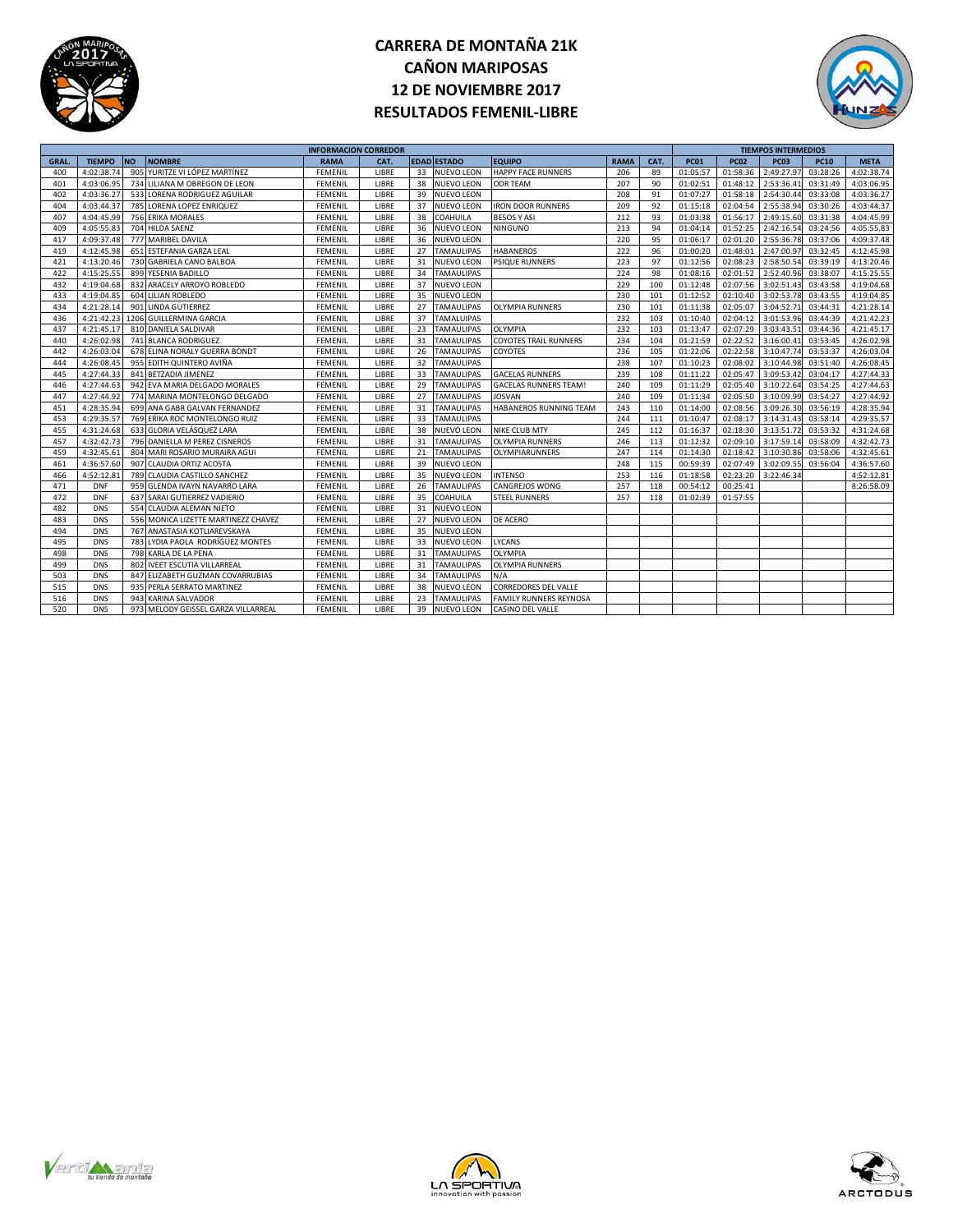



|             |               |                                     | <b>INFORMACION CORREDOR</b> |       |    |                    |                               |             |      |             |             | <b>TIEMPOS INTERMEDIOS</b> |             |             |
|-------------|---------------|-------------------------------------|-----------------------------|-------|----|--------------------|-------------------------------|-------------|------|-------------|-------------|----------------------------|-------------|-------------|
| <b>GRAL</b> | <b>TIEMPO</b> | <b>NO</b><br><b>NOMBRE</b>          | <b>RAMA</b>                 | CAT.  |    | <b>EDAD ESTADO</b> | <b>EQUIPO</b>                 | <b>RAMA</b> | CAT. | <b>PC01</b> | <b>PC02</b> | <b>PC03</b>                | <b>PC10</b> | <b>META</b> |
| 400         | 4:02:38.74    | 905 YURITZE VI LÓPEZ MARTÍNEZ       | FEMENIL                     | LIBRE | 33 | <b>NUEVO LEON</b>  | <b>HAPPY FACE RUNNERS</b>     | 206         | 89   | 01:05:57    | 01:58:36    | 2:49:27.97                 | 03:28:26    | 4:02:38.74  |
| 401         | 4:03:06.95    | 734 LILIANA M OBREGON DE LEON       | <b>FEMENIL</b>              | LIBRE | 38 | <b>NUEVO LEON</b>  | <b>ODR TEAM</b>               | 207         | 90   | 01:02:51    | 01:48:12    | 2:53:36.41                 | 03:31:49    | 4:03:06.95  |
| 402         | 4:03:36.27    | 533 LORENA RODRIGUEZ AGUILAR        | <b>FEMENIL</b>              | LIBRE | 39 | <b>NUEVO LEON</b>  |                               | 208         | 91   | 01:07:27    | 01:58:18    | 2:54:30.44                 | 03:33:08    | 4:03:36.27  |
| 404         | 4:03:44.37    | 785 LORENA LOPEZ ENRIQUEZ           | <b>FEMENIL</b>              | LIBRE | 37 | <b>NUEVO LEON</b>  | <b>IRON DOOR RUNNERS</b>      | 209         | 92   | 01:15:18    | 02:04:54    | 2:55:38.94                 | 03:30:26    | 4:03:44.37  |
| 407         | 4:04:45.99    | 756 ERIKA MORALES                   | <b>FEMENIL</b>              | LIBRE | 38 | <b>COAHUILA</b>    | <b>BESOS Y ASI</b>            | 212         | 93   | 01:03:38    | 01:56:17    | 2:49:15.60                 | 03:31:38    | 4:04:45.99  |
| 409         | 4:05:55.83    | 704 HILDA SAENZ                     | <b>FEMENIL</b>              | LIBRE | 36 | <b>NUEVO LEON</b>  | <b>NINGUNO</b>                | 213         | 94   | 01:04:14    | 01:52:25    | 2:42:16.54                 | 03:24:56    | 4:05:55.83  |
| 417         | 4:09:37.48    | 777 MARIBEL DAVILA                  | <b>FEMENIL</b>              | LIBRE | 36 | <b>NUEVO LEON</b>  |                               | 220         | 95   | 01:06:17    | 02:01:20    | 2:55:36.78                 | 03:37:06    | 4:09:37.48  |
| 419         | 4:12:45.98    | 651 ESTEFANIA GARZA LEAL            | <b>FEMENIL</b>              | LIBRE | 27 | <b>TAMAULIPAS</b>  | <b>HABANEROS</b>              | 222         | 96   | 01:00:20    | 01:48:01    | 2:47:00.97                 | 03:32:45    | 4:12:45.98  |
| 421         | 4:13:20.46    | 730 GABRIELA CANO BALBOA            | <b>FEMENIL</b>              | LIBRE | 31 | <b>NUEVO LEON</b>  | PSIQUE RUNNERS                | 223         | 97   | 01:12:56    | 02:08:23    | 2:58:50.54                 | 03:39:19    | 4:13:20.46  |
| 422         | 4:15:25.55    | 899 YESENIA BADILLO                 | FEMENIL                     | LIBRE | 34 | <b>TAMAULIPAS</b>  |                               | 224         | 98   | 01:08:16    | 02:01:52    | 2:52:40.96                 | 03:38:07    | 4:15:25.55  |
| 432         | 4:19:04.68    | 832 ARACELY ARROYO ROBLEDO          | <b>FEMENIL</b>              | LIBRE | 37 | <b>NUEVO LEON</b>  |                               | 229         | 100  | 01:12:48    | 02:07:56    | 3:02:51.43                 | 03:43:58    | 4:19:04.68  |
| 433         | 4:19:04.85    | 604 LILIAN ROBLEDO                  | <b>FEMENIL</b>              | LIBRE | 35 | <b>NUEVO LEON</b>  |                               | 230         | 101  | 01:12:52    | 02:10:40    | 3:02:53.78                 | 03:43:55    | 4:19:04.85  |
| 434         | 4:21:28.14    | 901 LINDA GUTIERREZ                 | <b>FEMENIL</b>              | LIBRE | 27 | <b>TAMAULIPAS</b>  | <b>OLYMPIA RUNNERS</b>        | 230         | 101  | 01:11:38    | 02:05:07    | 3:04:52.71                 | 03:44:31    | 4:21:28.14  |
| 436         | 4:21:42.23    | 1206 GUILLERMINA GARCIA             | FEMENIL                     | LIBRE | 37 | <b>TAMALUIPAS</b>  |                               | 232         | 103  | 01:10:40    | 02:04:12    | 3:01:53.96                 | 03:44:39    | 4:21:42.23  |
| 437         | 4:21:45.17    | 810 DANIELA SALDIVAR                | <b>FEMENIL</b>              | LIBRE | 23 | <b>TAMAULIPAS</b>  | <b>OLYMPIA</b>                | 232         | 103  | 01:13:47    | 02:07:29    | 3:03:43.51                 | 03:44:36    | 4:21:45.17  |
| 440         | 4:26:02.98    | 741 BLANCA RODRIGUEZ                | <b>FEMENIL</b>              | LIBRE | 31 | <b>TAMAULIPAS</b>  | <b>COYOTES TRAIL RUNNERS</b>  | 234         | 104  | 01:21:59    | 02:22:52    | 3:16:00.4                  | 03:53:45    | 4:26:02.98  |
| 442         | 4:26:03.04    | 678 ELINA NORALY GUERRA BONDT       | <b>FEMENIL</b>              | LIBRE | 26 | <b>TAMAULIPAS</b>  | COYOTES                       | 236         | 105  | 01:22:06    | 02:22:58    | 3:10:47.74                 | 03:53:37    | 4:26:03.04  |
| 444         | 4:26:08.45    | 955 EDITH QUINTERO AVIÑA            | <b>FEMENIL</b>              | LIBRE | 32 | <b>TAMAULIPAS</b>  |                               | 238         | 107  | 01:10:23    | 02:08:02    | 3:10:44.98                 | 03:51:40    | 4:26:08.45  |
| 445         | 4:27:44.33    | 841 BETZADIA JIMENEZ                | <b>FEMENIL</b>              | LIBRE | 33 | <b>TAMAULIPAS</b>  | <b>GACELAS RUNNERS</b>        | 239         | 108  | 01:11:22    | 02:05:47    | 3:09:53.42                 | 03:04:17    | 4:27:44.33  |
| 446         | 4:27:44.63    | 942 EVA MARIA DELGADO MORALES       | FEMENIL                     | LIBRE | 29 | <b>TAMAULIPAS</b>  | <b>GACELAS RUNNERS TEAM!</b>  | 240         | 109  | 01:11:29    | 02:05:40    | 3:10:22.64                 | 03:54:25    | 4:27:44.63  |
| 447         | 4:27:44.92    | 774 MARINA MONTELONGO DELGADO       | <b>FEMENIL</b>              | LIBRE | 27 | <b>TAMAULIPAS</b>  | <b>JOSVAN</b>                 | 240         | 109  | 01:11:34    | 02:05:50    | 3:10:09.99                 | 03:54:27    | 4:27:44.92  |
| 451         | 4:28:35.94    | 699 ANA GABR GALVAN FERNANDEZ       | <b>FEMENIL</b>              | LIBRE | 31 | <b>TAMAULIPAS</b>  | HABANEROS RUNNING TEAM        | 243         | 110  | 01:14:00    | 02:08:56    | 3:09:26.30                 | 03:56:19    | 4:28:35.94  |
| 453         | 4:29:35.57    | 769 ERIKA ROC MONTELONGO RUIZ       | FEMENIL                     | LIBRE | 33 | <b>TAMAULIPAS</b>  |                               | 244         | 111  | 01:10:47    | 02:08:17    | 3:14:31.43                 | 03:58:14    | 4:29:35.57  |
| 455         | 4:31:24.68    | 633 GLORIA VELÁSQUEZ LARA           | FEMENIL                     | LIBRE | 38 | <b>NUEVO LEON</b>  | <b>NIKE CLUB MTY</b>          | 245         | 112  | 01:16:37    | 02:18:30    | 3:13:51.72                 | 03:53:32    | 4:31:24.68  |
| 457         | 4:32:42.73    | 796 DANIELLA M PEREZ CISNEROS       | <b>FEMENIL</b>              | LIBRE | 31 | <b>TAMAULIPAS</b>  | <b>OLYMPIA RUNNERS</b>        | 246         | 113  | 01:12:32    | 02:09:10    | 3:17:59.14                 | 03:58:09    | 4:32:42.73  |
| 459         | 4:32:45.61    | 804 MARI ROSARIO MURAIRA AGUI       | FEMENIL                     | LIBRE | 21 | <b>TAMAULIPAS</b>  | OLYMPIARUNNERS                | 247         | 114  | 01:14:30    | 02:18:42    | 3:10:30.86                 | 03:58:06    | 4:32:45.61  |
| 461         | 4:36:57.60    | 907 CLAUDIA ORTIZ ACOSTA            | FEMENIL                     | LIBRE | 39 | <b>NUEVO LEON</b>  |                               | 248         | 115  | 00:59:39    | 02:07:49    | 3:02:09.55                 | 03:56:04    | 4:36:57.60  |
| 466         | 4:52:12.8     | 789 CLAUDIA CASTILLO SANCHEZ        | <b>FEMENIL</b>              | LIBRE | 35 | <b>NUEVO LEON</b>  | <b>INTENSO</b>                | 253         | 116  | 01:18:58    | 02:23:20    | 3:22:46.34                 |             | 4:52:12.81  |
| 471         | <b>DNF</b>    | 959 GLENDA IVAYN NAVARRO LARA       | <b>FEMENIL</b>              | LIBRE | 26 | <b>TAMAULIPAS</b>  | <b>CANGREJOS WONG</b>         | 257         | 118  | 00:54:12    | 00:25:41    |                            |             | 8:26:58.09  |
| 472         | <b>DNF</b>    | 637 SARAI GUTIERREZ VADIERIO        | FEMENIL                     | LIBRE | 35 | COAHUILA           | STEEL RUNNERS                 | 257         | 118  | 01:02:39    | 01:57:55    |                            |             |             |
| 482         | <b>DNS</b>    | 554 CLAUDIA ALEMAN NIETO            | <b>FEMENIL</b>              | LIBRE | 31 | <b>NUEVO LEON</b>  |                               |             |      |             |             |                            |             |             |
| 483         | <b>DNS</b>    | 556 MONICA LIZETTE MARTINEZZ CHAVEZ | <b>FEMENIL</b>              | LIBRE | 27 | <b>NUEVO LEON</b>  | DE ACERO                      |             |      |             |             |                            |             |             |
| 494         | <b>DNS</b>    | 767 ANASTASIA KOTLIAREVSKAYA        | FEMENIL                     | LIBRE | 35 | <b>NUEVO LEON</b>  |                               |             |      |             |             |                            |             |             |
| 495         | <b>DNS</b>    | 783 LYDIA PAOLA RODRÍGUEZ MONTES    | <b>FEMENIL</b>              | LIBRE | 33 | <b>NUEVO LEON</b>  | LYCANS                        |             |      |             |             |                            |             |             |
| 498         | <b>DNS</b>    | 798 KARLA DE LA PENA                | <b>FEMENIL</b>              | LIBRE | 31 | <b>TAMAULIPAS</b>  | <b>OLYMPIA</b>                |             |      |             |             |                            |             |             |
| 499         | <b>DNS</b>    | 802 IVEET ESCUTIA VILLARREAL        | <b>FEMENIL</b>              | LIBRE | 31 | <b>TAMAULIPAS</b>  | <b>OLYMPIA RUNNERS</b>        |             |      |             |             |                            |             |             |
| 503         | <b>DNS</b>    | 847 ELIZABETH GUZMAN COVARRUBIAS    | FEMENIL                     | LIBRE | 34 | <b>TAMAULIPAS</b>  | N/A                           |             |      |             |             |                            |             |             |
| 515         | <b>DNS</b>    | 935 PERLA SERRATO MARTINEZ          | <b>FEMENIL</b>              | LIBRE | 38 | <b>NUEVO LEON</b>  | CORREDORES DEL VALLE          |             |      |             |             |                            |             |             |
| 516         | <b>DNS</b>    | 943 KARINA SALVADOR                 | <b>FEMENIL</b>              | LIBRE | 23 | <b>TAMAULIPAS</b>  | <b>FAMILY RUNNERS REYNOSA</b> |             |      |             |             |                            |             |             |
| 520         | <b>DNS</b>    | 973 MELODY GEISSEL GARZA VILLARREAL | <b>FEMENIL</b>              | LIBRE | 39 | <b>NUEVO LEON</b>  | CASINO DEL VALLE              |             |      |             |             |                            |             |             |





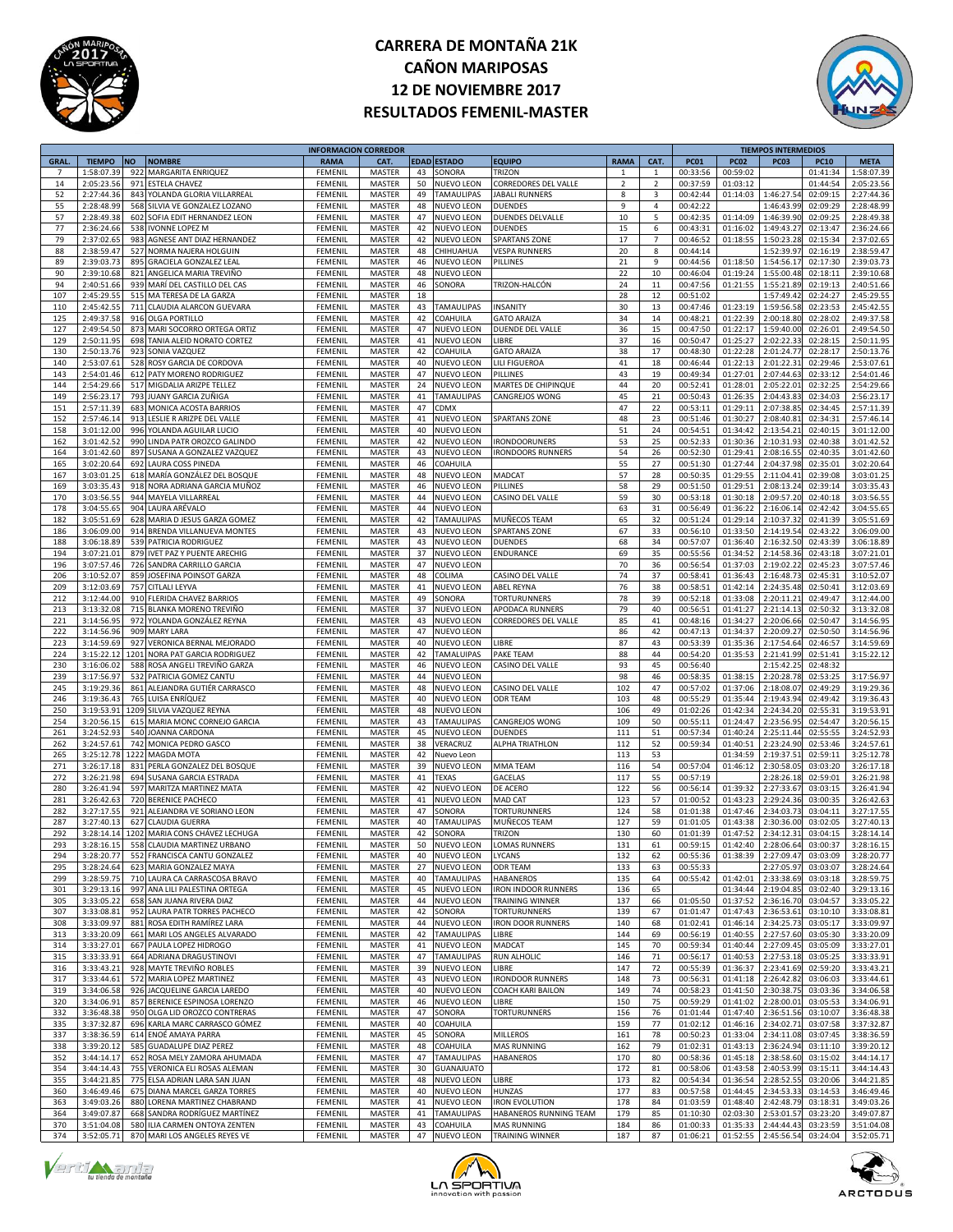



|                |               |      |                                  | <b>INFORMACION CORREDOR</b> |               |    |                    |                            |                |                |             |              | <b>TIEMPOS INTERMEDIOS</b> |                     |             |
|----------------|---------------|------|----------------------------------|-----------------------------|---------------|----|--------------------|----------------------------|----------------|----------------|-------------|--------------|----------------------------|---------------------|-------------|
| <b>GRAL</b>    | <b>TIEMPO</b> | ΝO   | <b>NOMBRE</b>                    | <b>RAMA</b>                 | CAT.          |    | <b>EDAD ESTADO</b> | EQUIPO                     | <b>RAMA</b>    | CAT.           | <b>PC01</b> | <b>PC02</b>  | <b>PC03</b>                | <b>PC10</b>         | <b>META</b> |
| $\overline{7}$ | 1:58:07.39    | 922  | MARGARITA ENRIQUEZ               | FEMENI                      | <b>MASTER</b> | 43 | SONORA             | TRIZON                     | $\mathbf{1}$   | $\mathbf{1}$   | 00:33:56    | 00:59:02     |                            | 01:41:34            | 1:58:07.39  |
| 14             | 2:05:23.56    | 971  | <b>ESTELA CHAVEZ</b>             | FEMENIL                     | MASTER        | 50 | <b>NUEVO LEON</b>  | CORREDORES DEL VALLE       | $\overline{2}$ | $\overline{2}$ | 00:37:59    | 01:03:12     |                            | 01:44:54            | 2:05:23.56  |
| 52             | 2:27:44.36    | 843  | YOLANDA GLORIA VILLARREAL        | FEMENI                      | MASTER        | 49 | <b>TAMAULIPAS</b>  | JABALI RUNNERS             | 8              | 3              | 00:42:44    | 01:14:03     | 1:46:27.54                 | 02:09:15            | 2:27:44.36  |
| 55             | 2:28:48.99    | 568  | SILVIA VE GONZALEZ LOZANO        | FEMENI                      | MASTER        | 48 | NUEVO LEON         | <b>DUENDES</b>             | 9              | $\overline{4}$ | 00:42:22    |              | 1:46:43.99                 | 02:09:29            | 2:28:48.99  |
| 57             | 2:28:49.38    | 602  | SOFIA EDIT HERNANDEZ LEON        | FEMENII                     | MASTER        | 47 | <b>NUEVO LEON</b>  | DUENDES DELVALLE           | 10             | 5              | 00:42:35    | 01:14:09     | 1:46:39.90                 | 02:09:25            | 2:28:49.38  |
| 77             | 2:36:24.66    | 538  | <b>IVONNE LOPEZ M</b>            | FEMENII                     | MASTER        | 42 | NUEVO LEON         | <b>DUENDES</b>             | 15             | 6              | 00:43:31    | 01:16:02     | 1:49:43.27                 | 02:13:47            | 2:36:24.66  |
| 79             | 2:37:02.65    | 983  | AGNESE ANT DIAZ HERNANDEZ        | FEMENIL                     | MASTER        | 42 | NUEVO LEON         | <b>SPARTANS ZONE</b>       | 17             | $\overline{7}$ | 00:46:52    | 01:18:55     | 1:50:23.28                 | 02:15:34            | 2:37:02.65  |
| 88             |               |      |                                  |                             |               |    |                    |                            |                |                |             |              |                            |                     |             |
|                | 2:38:59.47    | 527  | NORMA NAJERA HOLGUIN             | FEMENII                     | MASTER        | 48 | CHIHUAHUA          | <b>VESPA RUNNERS</b>       | 20             | 8              | 00:44:14    |              | 1:52:39.97                 | 02:16:19            | 2:38:59.47  |
| 89             | 2:39:03.7     | 895  | <b>GRACIELA GONZALEZ LEAL</b>    | FEMENI                      | MASTER        | 46 | NUEVO LEON         | PILLINES                   | 21             | 9              | 00:44:56    | 01:18:50     | 1:54:56.17                 | 02:17:30            | 2:39:03.73  |
| 90             | 2:39:10.68    | 821  | ANGELICA MARIA TREVIÑO           | FEMENII                     | MASTER        | 48 | <b>NUEVO LEON</b>  |                            | 22             | 10             | 00:46:04    | 01:19:24     | 1:55:00.48                 | 02:18:11            | 2:39:10.68  |
| 94             | 2:40:51.66    | 939  | MARÍ DEL CASTILLO DEL CAS        | FEMENII                     | MASTER        | 46 | SONORA             | TRIZON-HALCÓN              | 24             | 11             | 00:47:56    | 01:21:55     | 1:55:21.89                 | 02:19:13            | 2:40:51.66  |
| 107            | 2:45:29.55    | 515  | MA TERESA DE LA GARZA            | FEMENIL                     | MASTER        | 18 |                    |                            | 28             | 12             | 00:51:02    |              | 1:57:49.42                 | 02:24:27            | 2:45:29.55  |
| 110            | 2:45:42.5     | 711  | CLAUDIA ALARCON GUEVARA          | FEMENII                     | MASTER        | 43 | TAMAULIPAS         | <b>INSANITY</b>            | 30             | 13             | 00:47:46    | 01:23:19     | 1:59:56.58                 | 02:23:53            | 2:45:42.55  |
| 125            | 2:49:37.5     | 916  | OLGA PORTILLO                    | FEMENI                      | MASTER        | 42 | COAHUILA           | <b>GATO ARAIZA</b>         | 34             | 14             | 00:48:21    | 01:22:39     | 2:00:18.80                 | 02:28:02            | 2:49:37.58  |
| 127            | 2:49:54.50    | 873  | MARI SOCORRO ORTEGA ORTIZ        | FEMENII                     | MASTER        | 47 | <b>NUEVO LEON</b>  | DUENDE DEL VALLE           | 36             | 15             | 00:47:50    | 01:22:17     | 1:59:40.00                 | 02:26:01            | 2:49:54.50  |
| 129            | 2:50:11.95    | 698  | TANIA ALEID NORATO CORTEZ        | FEMENII                     | MASTER        | 41 | NUEVO LEON         | LIBRE                      | 37             | 16             | 00:50:47    | 01:25:27     | 2:02:22.33                 | 02:28:15            | 2:50:11.95  |
| 130            | 2:50:13.76    | 923  | SONIA VAZQUEZ                    | FEMENIL                     | MASTER        | 42 | COAHUILA           | <b>GATO ARAIZA</b>         | 38             | 17             | 00:48:30    | 01:22:28     | 2:01:24.77                 | 02:28:17            | 2:50:13.76  |
| 140            | 2:53:07.6     | 528  | ROSY GARCIA DE CORDOVA           | FEMENII                     | MASTER        | 40 | <b>NUEVO LEON</b>  | <b>LILI FIGUEROA</b>       | 41             | 18             | 00:46:44    | 01:22:13     | 2:01:22.31                 | 02:29:46            | 2:53:07.61  |
| 143            | 2:54:01.46    | 612  | PATY MORENO RODRIGUEZ            | FEMENI                      | MASTER        | 47 | <b>NUEVO LEON</b>  | PILLINES                   | 43             | 19             | 00:49:34    | 01:27:01     | 2:07:44.63                 | 02:33:12            | 2:54:01.46  |
| 144            | 2:54:29.66    |      | 517 MIGDALIA ARIZPE TELLEZ       | FEMENII                     | MASTER        | 24 | <b>NUEVO LEON</b>  | MARTES DE CHIPINQUE        | 44             | 20             | 00:52:41    | 01:28:01     | 2:05:22.01                 | 02:32:25            | 2:54:29.66  |
| 149            |               |      |                                  |                             |               |    |                    |                            |                |                |             |              |                            |                     |             |
|                | 2:56:23.17    | 793  | JUANY GARCIA ZUÑIGA              | FEMENII                     | MASTER        | 41 | <b>TAMAULIPAS</b>  | CANGREJOS WONG             | 45             | 21             | 00:50:43    | 01:26:35     | 2:04:43.83                 | 02:34:03            | 2:56:23.17  |
| 151            | 2:57:11.39    | 683  | MONICA ACOSTA BARRIOS            | FEMENIL                     | MASTER        | 47 | CDMX               |                            | 47             | 22             | 00:53:11    | 01:29:11     | 2:07:38.8                  | 02:34:45            | 2:57:11.39  |
| 152            | 2:57:46.14    | 913  | LESLIE R ARIZPE DEL VALLE        | FEMENII                     | MASTER        | 41 | NUEVO LEON         | <b>SPARTANS ZONE</b>       | 48             | 23             | 00:51:46    | 01:30:27     | 2:08:40.8                  | 02:34:31            | 2:57:46.14  |
| 158            | 3:01:12.00    | 996  | YOLANDA AGUILAR LUCIO            | FEMENI                      | MASTER        | 40 | <b>NUEVO LEON</b>  |                            | 51             | 24             | 00:54:51    | 01:34:42     | 2:13:54.2                  | 02:40:15            | 3:01:12.00  |
| 162            | 3:01:42.52    | 990  | LINDA PATR OROZCO GALINDO        | FEMENII                     | MASTER        | 42 | <b>NUEVO LEON</b>  | <b>IRONDOORUNERS</b>       | 53             | 25             | 00:52:33    | 01:30:36     | 2:10:31.93                 | 02:40:38            | 3:01:42.52  |
| 164            | 3:01:42.60    | 897  | SUSANA A GONZALEZ VAZQUEZ        | FEMENII                     | MASTER        | 43 | NUEVO LEON         | <b>IRONDOORS RUNNERS</b>   | 54             | 26             | 00:52:30    | 01:29:41     | 2:08:16.55                 | 02:40:35            | 3:01:42.60  |
| 165            | 3:02:20.64    | 692  | <b>LAURA COSS PINEDA</b>         | FEMENIL                     | MASTER        | 46 | COAHUILA           |                            | 55             | 27             | 00:51:30    | 01:27:44     | 2:04:37.98                 | 02:35:01            | 3:02:20.64  |
| 167            | 3:03:01.2     | 618  | MARÍA GONZÁLEZ DEL BOSQUE        | FEMENI                      | MASTER        | 48 | <b>NUEVO LEON</b>  | <b>MADCAT</b>              | 57             | 28             | 00:50:35    | 01:29:55     | 2:11:04.41                 | 02:39:08            | 3:03:01.25  |
| 169            | 3:03:35.4     | 918  | NORA ADRIANA GARCIA MUÑOZ        | FEMENI                      | MASTER        | 46 | NUEVO LEON         | PILLINES                   | 58             | 29             | 00:51:50    | 01:29:51     | 2:08:13.24                 | 02:39:14            | 3:03:35.43  |
| 170            | 3:03:56.55    | 944  | MAYELA VILLARREAL                | FEMENII                     | MASTER        | 44 | <b>NUEVO LEON</b>  | CASINO DEL VALLE           | 59             | 30             | 00:53:18    | 01:30:18     | 2:09:57.20                 | 02:40:18            | 3:03:56.55  |
| 178            | 3:04:55.65    | 904  | LAURA ARÉVALO                    | FEMENIL                     | MASTER        | 44 | <b>NUEVO LEON</b>  |                            | 63             | 31             | 00:56:49    | 01:36:22     | 2:16:06.14                 | 02:42:42            | 3:04:55.65  |
| 182            | 3:05:51.69    | 628  | MARIA D JESUS GARZA GOMEZ        | FEMENIL                     | <b>MASTER</b> | 42 | <b>TAMAULIPAS</b>  | MUÑECOS TEAM               | 65             | 32             | 00:51:24    | 01:29:14     | 2:10:37.32                 | 02:41:39            | 3:05:51.69  |
| 186            | 3:06:09.00    | 914  | BRENDA VILLANUEVA MONTES         | FEMENII                     | MASTER        | 43 | NUEVO LEON         | <b>SPARTANS ZONE</b>       | 67             | 33             | 00:56:10    | 01:33:50     | 2:14:19.54                 | 02:43:22            | 3:06:09.00  |
|                |               | 539  |                                  |                             |               |    |                    |                            |                | 34             |             |              |                            |                     |             |
| 188            | 3:06:18.89    |      | PATRICIA RODRIGUEZ               | FEMENI                      | MASTER        | 43 | NUEVO LEON         | DUENDES                    | 68             |                | 00:57:07    | 01:36:40     | 2:16:32.50                 | 02:43:39            | 3:06:18.89  |
| 194            | 3:07:21.01    | 879  | <b>IVET PAZ Y PUENTE ARECHIG</b> | FEMENII                     | MASTER        | 37 | <b>NUEVO LEON</b>  | ENDURANCE                  | 69             | 35             | 00:55:56    | 01:34:52     | 2:14:58.36                 | 02:43:18            | 3:07:21.01  |
| 196            | 3:07:57.46    | 726  | SANDRA CARRILLO GARCIA           | FEMENIL                     | MASTER        | 47 | <b>NUEVO LEON</b>  |                            | 70             | 36             | 00:56:54    | 01:37:03     | 2:19:02.22                 | 02:45:23            | 3:07:57.46  |
| 206            | 3:10:52.07    | 859  | JOSEFINA POINSOT GARZA           | FEMENIL                     | <b>MASTER</b> | 48 | COLIMA             | CASINO DEL VALLE           | 74             | 37             | 00:58:41    | 01:36:43     | 2:16:48.7                  | 02:45:31            | 3:10:52.07  |
| 209            | 3:12:03.69    | 757  | <b>CITLALI LEYVA</b>             | FEMENI                      | MASTER        | 41 | NUEVO LEON         | ABEL REYNA                 | 76             | 38             | 00:58:51    | 01:42:14     | 2:24:35.48                 | 02:50:41            | 3:12:03.69  |
| 212            | 3:12:44.00    | 910  | FLERIDA CHAVEZ BARRIOS           | FEMENI                      | MASTER        | 49 | SONORA             | <b><i>FORTURUNNERS</i></b> | 78             | 39             | 00:52:18    | 01:33:08     | 2:20:11.2                  | 02:49:47            | 3:12:44.00  |
| 213            | 3:13:32.08    | 715  | BLANKA MORENO TREVIÑO            | FEMENII                     | MASTER        | 37 | NUEVO LEON         | APODACA RUNNERS            | 79             | 40             | 00:56:51    | 01:41:27     | 2:21:14.13                 | 02:50:32            | 3:13:32.08  |
| 221            | 3:14:56.95    | 972  | YOLANDA GONZÁLEZ REYNA           | FEMENIL                     | MASTER        | 43 | <b>NUEVO LEON</b>  | CORREDORES DEL VALLE       | 85             | 41             | 00:48:16    | 01:34:27     | 2:20:06.66                 | 02:50:47            | 3:14:56.95  |
| 222            | 3:14:56.96    | 909  | <b>MARY LARA</b>                 | FEMENIL                     | MASTER        | 47 | <b>NUEVO LEON</b>  |                            | 86             | 42             | 00:47:13    | 01:34:37     | 2:20:09.2                  | 02:50:50            | 3:14:56.96  |
| 223            | 3:14:59.69    | 927  | VERONICA BERNAL MEJORADO         | FEMENII                     | MASTER        | 40 | NUEVO LEON         | LIBRE                      | 87             | 43             | 00:53:39    | 01:35:36     | 2:17:54.64                 | 02:46:57            | 3:14:59.69  |
| 224            | 3:15:22.12    | 1201 | NORA PAT GARCIA RODRIGUEZ        | FEMENI                      | MASTER        | 42 | <b>TAMALUIPAS</b>  | AKE TEAM                   | 88             | 44             | 00:54:20    | 01:35:53     | 2:21:41.99                 | 02:51:41            | 3:15:22.12  |
| 230            | 3:16:06.02    | 588  | ROSA ANGELI TREVIÑO GARZA        | FEMENII                     | MASTER        | 46 | NUEVO LEON         | CASINO DEL VALLE           | 93             | 45             | 00:56:40    |              | 2:15:42.25                 | 02:48:32            |             |
| 239            | 3:17:56.97    | 532  |                                  | FEMENIL                     |               | 44 | <b>NUEVO LEON</b>  |                            | 98             | 46             |             | 01:38:15     | 2:20:28.78                 |                     | 3:17:56.97  |
|                |               |      | PATRICIA GOMEZ CANTU             |                             | MASTER        |    |                    |                            |                |                | 00:58:35    |              |                            | 02:53:25            |             |
| 245            | 3:19:29.36    | 861  | ALEJANDRA GUTIÉR CARRASCO        | FEMENIL                     | MASTER        | 48 | <b>NUEVO LEON</b>  | CASINO DEL VALLE           | 102            | 47             | 00:57:02    | 01:37:06     | 2:18:08.0                  | 02:49:29            | 3:19:29.36  |
| 246            | 3:19:36.43    | 765  | LUISA ENRÍQUEZ                   | FEMENII                     | MASTER        | 40 | NUEVO LEON         | <b>ODR TEAM</b>            | 103            | 48             | 00:55:29    | 01:35:44     | 2:19:43.94                 | 02:49:42            | 3:19:36.43  |
| 250            | 3:19:53.91    | 1209 | SILVIA VAZQUEZ REYNA             | FEMENI                      | MASTER        | 48 | <b>NUEVO LEON</b>  |                            | 106            | 49             | 01:02:26    | 01:42:34     | 2:24:34.20                 | 02:55:31            | 3:19:53.91  |
| 254            | 3:20:56.15    | 615  | MARIA MONC CORNEJO GARCIA        | FEMENII                     | MASTER        | 43 | <b>TAMAULIPAS</b>  | CANGREJOS WONG             | 109            | 50             | 00:55:11    | 01:24:47     | 2:23:56.95                 | 02:54:47            | 3:20:56.15  |
| 261            | 3:24:52.93    | 540  | JOANNA CARDONA                   | FEMENIL                     | MASTER        | 45 | <b>NUEVO LEON</b>  | <b>DUENDES</b>             | 111            | 51             | 00:57:34    | 01:40:24     | 2:25:11.44                 | 02:55:55            | 3:24:52.93  |
| 262            | 3:24:57.61    | 742  | MONICA PEDRO GASCO               | FEMENIL                     | MASTER        | 38 | VERACRUZ           | ALPHA TRIATHLON            | 112            | 52             | 00:59:34    | 01:40:51     | 2:23:24.90                 | 02:53:46            | 3:24:57.61  |
| 265            | 3:25:12.78    | 1222 | MAGDA MOTA                       | FEMENII                     | MASTER        | 42 | Nuevo Leon         |                            | 113            | 53             |             | 01:34:59     | 2:19:37.5                  | 02:59:11            | 3:25:12.78  |
| 271            | 3:26:17.18    | 831  | PERLA GONZALEZ DEL BOSQUE        | FEMENI                      | MASTER        | 39 | NUEVO LEON         | MMA TEAM                   | 116            | 54             | 00:57:04    | 01:46:12     | 2:30:58.0                  | 03:03:20            | 3:26:17.18  |
| 272            | 3:26:21.98    | 694  | SUSANA GARCIA ESTRADA            | FEMENIL                     | MASTER        | 41 | <b>TEXAS</b>       | GACELAS                    | 117            | 55             | 00:57:19    |              | 2:28:26.18                 | 02:59:01            | 3:26:21.98  |
| 280            | 3:26:41.94    | 597  | MARITZA MARTINEZ MATA            | FEMENIL                     | MASTER        | 42 | NUEVO LEON         | DE ACERO                   | 122            | 56             | 00:56:14    | 01:39:32     | 2:27:33.67                 | 03:03:15            | 3:26:41.94  |
| 281            | 3:26:42.63    | 720  | <b>BERENICE PACHECO</b>          | FEMENIL                     | MASTER        | 41 | <b>NUEVO LEON</b>  | MAD CAT                    | 123            | 57             | 01:00:52    | 01:43:23     | 2:29:24.36                 | 03:00:35            | 3:26:42.63  |
| 282            | 3:27:17.55    | 921  | ALEJANDRA VE SORIANO LEON        | FEMENII                     | MASTER        | 47 | SONORA             | TORTURUNNERS               | 124            | 58             | 01:01:38    | 01:47:46     | 2:34:03.7                  | 03:04:11            | 3:27:17.55  |
| 287            | 3:27:40.13    | 627  | <b>CLAUDIA GUERRA</b>            | FEMENII                     | MASTER        | 40 | TAMAULIPAS         | MUÑECOS TEAM               | 127            | 59             | 01:01:05    | 01:43:38     | 2:30:36.00                 | 03:02:05            | 3:27:40.13  |
| 292            | 3:28:14.14    |      | 1202 MARIA CONS CHÁVEZ LECHUGA   | FEMENIL                     | MASTER        | 42 | SONORA             | TRIZON                     | 130            | 60             | 01:01:39    | 01:47:52     | 2:34:12.31                 | 03:04:15            | 3:28:14.14  |
| 293            | 3.28.1615     |      | 558 CLAUDIA MARTINEZ URBANC      | EEMENIL                     | <b>MASTER</b> | 50 | NUEVO LEON         | <b>LOMAS RUNNERS</b>       | 131            | 61             | 00:59:15    | $01.42 - 40$ |                            | 2:28:06.64 03:00:37 | 3:28:16.15  |
| 294            |               |      |                                  | FEMENIL                     | MASTER        |    |                    |                            | 132            |                |             |              |                            |                     | 3:28:20.77  |
|                | 3:28:20.77    |      | 552 FRANCISCA CANTU GONZALEZ     |                             |               | 40 | NUEVO LEON         | LYCANS                     |                | 62             | 00:55:36    | 01:38:39     | 2:27:09.47                 | 03:03:09            |             |
| 295            | 3:28:24.64    | 623  | MARIA GONZALEZ MAYA              | FEMENIL                     | MASTER        | 27 | <b>NUEVO LEON</b>  | <b>ODR TEAM</b>            | 133            | 63             | 00:55:33    |              | 2:27:05.97                 | 03:03:07            | 3:28:24.64  |
| 299            | 3:28:59.75    | 710  | LAURA CA CARRASCOSA BRAVO        | FEMENIL                     | MASTER        | 40 | <b>TAMAULIPAS</b>  | HABANEROS                  | 135            | 64             | 00:55:42    | 01:42:01     | 2:33:38.69                 | 03:03:18            | 3:28:59.75  |
| 301            | 3:29:13.16    | 997  | ANA LILI PALESTINA ORTEGA        | FEMENIL                     | MASTER        | 45 | NUEVO LEON         | <b>IRON INDOOR RUNNERS</b> | 136            | 65             |             | 01:34:44     | 2:19:04.85                 | 03:02:40            | 3:29:13.16  |
| 305            | 3:33:05.22    | 658  | SAN JUANA RIVERA DIAZ            | FEMENIL                     | MASTER        | 44 | NUEVO LEON         | <b>TRAINING WINNER</b>     | 137            | 66             | 01:05:50    | 01:37:52     | 2:36:16.70                 | 03:04:57            | 3:33:05.22  |
| 307            | 3:33:08.81    | 952  | LAURA PATR TORRES PACHECO        | FEMENIL                     | MASTER        | 42 | SONORA             | TORTURUNNERS               | 139            | 67             | 01:01:47    | 01:47:43     | 2:36:53.61                 | 03:10:10            | 3:33:08.81  |
| 308            | 3:33:09.97    | 881  | ROSA EDITH RAMÍREZ LARA          | FEMENIL                     | MASTER        | 44 | <b>NUEVO LEON</b>  | <b>IRON DOOR RUNNERS</b>   | 140            | 68             | 01:02:41    | 01:46:14     | 2:34:25.7                  | 03:05:17            | 3:33:09.97  |
| 313            | 3:33:20.09    | 661  | MARI LOS ANGELES ALVARADO        | FEMENIL                     | MASTER        | 42 | <b>TAMAULIPAS</b>  | LIBRE                      | 144            | 69             | 00:56:19    | 01:40:55     | 2:27:57.60                 | 03:05:30            | 3:33:20.09  |
| 314            | 3:33:27.01    |      | 667 PAULA LOPEZ HIDROGO          | FEMENIL                     | MASTER        | 41 | NUEVO LEON         | MADCAT                     | 145            | 70             | 00:59:34    | 01:40:44     | 2:27:09.45                 | 03:05:09            | 3:33:27.01  |
| 315            | 3:33:33.91    | 664  | ADRIANA DRAGUSTINOVI             | FEMENIL                     | MASTER        | 47 | <b>TAMAULIPAS</b>  | RUN ALHOLIC                | 146            | 71             | 00:56:17    | 01:40:53     | 2:27:53.18                 | 03:05:25            | 3:33:33.91  |
| 316            | 3:33:43.21    | 928  | MAYTE TREVIÑO ROBLES             | FEMENIL                     | MASTER        | 39 | NUEVO LEON         | LIBRE                      | 147            | 72             | 00:55:39    | 01:36:37     | 2:23:41.69                 | 02:59:20            | 3:33:43.21  |
| 317            | 3:33:44.61    | 572  | MARIA LOPEZ MARTINEZ             | FEMENIL                     | MASTER        | 43 | <b>NUEVO LEON</b>  | <b>IRONDOOR RUNNERS</b>    | 148            | 73             | 00:56:31    | 01:41:18     | 2:26:42.82                 | 03:06:03            | 3:33:44.61  |
| 319            | 3:34:06.58    | 926  | JACQUELINE GARCIA LAREDO         | FEMENIL                     | MASTER        | 40 | NUEVO LEON         | COACH KARI BAILON          | 149            | 74             | 00:58:23    | 01:41:50     | 2:30:38.75                 | 03:03:36            | 3:34:06.58  |
| 320            | 3:34:06.91    | 857  | BERENICE ESPINOSA LORENZO        | FEMENIL                     | MASTER        | 46 | NUEVO LEON         | LIBRE                      | 150            | 75             | 00:59:29    | 01:41:02     | 2:28:00.01                 | 03:05:53            | 3:34:06.91  |
| 332            | 3:36:48.38    | 950  | OLGA LID OROZCO CONTRERAS        | FEMENIL                     | MASTER        | 47 | SONORA             | <b>TORTURUNNERS</b>        | 156            | 76             | 01:01:44    | 01:47:40     | 2:36:51.56                 | 03:10:07            | 3:36:48.38  |
|                |               |      |                                  |                             |               |    |                    |                            |                | 77             |             |              |                            | 03:07:58            |             |
| 335            | 3:37:32.87    | 696  | KARLA MARC CARRASCO GÓMEZ        | FEMENIL                     | MASTER        | 40 | COAHUILA           |                            | 159            |                | 01:02:12    | 01:46:16     | 2:34:02.71                 |                     | 3:37:32.87  |
| 337            | 3:38:36.59    | 614  | ENOÉ AMAYA PARRA                 | FEMENIL                     | <b>MASTER</b> | 45 | SONORA             | <b>MILLEROS</b>            | 161            | 78             | 00:50:23    | 01:33:04     | 2:34:11.08                 | 03:07:45            | 3:38:36.59  |
| 338            | 3:39:20.12    | 585  | <b>GUADALUPE DIAZ PEREZ</b>      | FEMENIL                     | MASTER        | 48 | COAHUILA           | MAS RUNNING                | 162            | 79             | 01:02:31    | 01:43:13     | 2:36:24.94                 | 03:11:10            | 3:39:20.12  |
| 352            | 3:44:14.17    | 652  | ROSA MELY ZAMORA AHUMADA         | FEMENIL                     | MASTER        | 47 | <b>TAMAULIPAS</b>  | <b>HABANEROS</b>           | 170            | 80             | 00:58:36    | 01:45:18     | 2:38:58.60                 | 03:15:02            | 3:44:14.17  |
| 354            | 3:44:14.43    | 755  | VERONICA ELI ROSAS ALEMAN        | FEMENIL                     | MASTER        | 30 | <b>GUANAJUATO</b>  |                            | 172            | 81             | 00:58:06    | 01:43:58     | 2:40:53.99                 | 03:15:11            | 3:44:14.43  |
| 355            | 3:44:21.85    | 775  | ELSA ADRIAN LARA SAN JUAN        | FEMENIL                     | MASTER        | 48 | NUEVO LEON         | LIBRE                      | 173            | 82             | 00:54:34    | 01:36:54     | 2:28:52.5                  | 03:20:06            | 3:44:21.85  |
| 360            | 3:46:49.46    | 675  | DIANA MARCEL GARZA TORRES        | FEMENIL                     | MASTER        | 40 | <b>NUEVO LEON</b>  | HUNZAS                     | 177            | 83             | 00:57:58    | 01:44:45     | 2:34:53.3                  | 03:14:53            | 3:46:49.46  |
| 363            | 3:49:03.26    | 880  | LORENA MARTINEZ CHABRAND         | FEMENIL                     | MASTER        | 41 | NUEVO LEON         | IRON EVOLUTION             | 178            | 84             | 01:03:59    | 01:48:40     | 2:42:48.79                 | 03:18:31            | 3:49:03.26  |
| 364            | 3:49:07.87    | 668  | SANDRA RODRÍGUEZ MARTÍNEZ        | FEMENIL                     | MASTER        | 41 | TAMAULIPAS         | HABANEROS RUNNING TEAM     | 179            | 85             | 01:10:30    | 02:03:30     | 2:53:01.57                 | 03:23:20            | 3:49:07.87  |
| 370            | 3:51:04.08    | 580  | ILIA CARMEN ONTOYA ZENTEN        | FEMENIL                     | MASTER        | 43 | COAHUILA           | <b>MAS RUNNING</b>         | 184            | 86             | 01:00:33    | 01:35:33     | 2:44:44.43                 | 03:23:59            | 3:51:04.08  |
| 374            | 3:52:05.71    |      | 870 MARI LOS ANGELES REYES VE    | FEMENIL                     | MASTER        | 47 | NUEVO LEON         | <b>TRAINING WINNER</b>     | 187            | 87             | 01:06:21    | 01:52:55     | 2:45:56.54                 | 03:24:04            | 3:52:05.71  |
|                |               |      |                                  |                             |               |    |                    |                            |                |                |             |              |                            |                     |             |





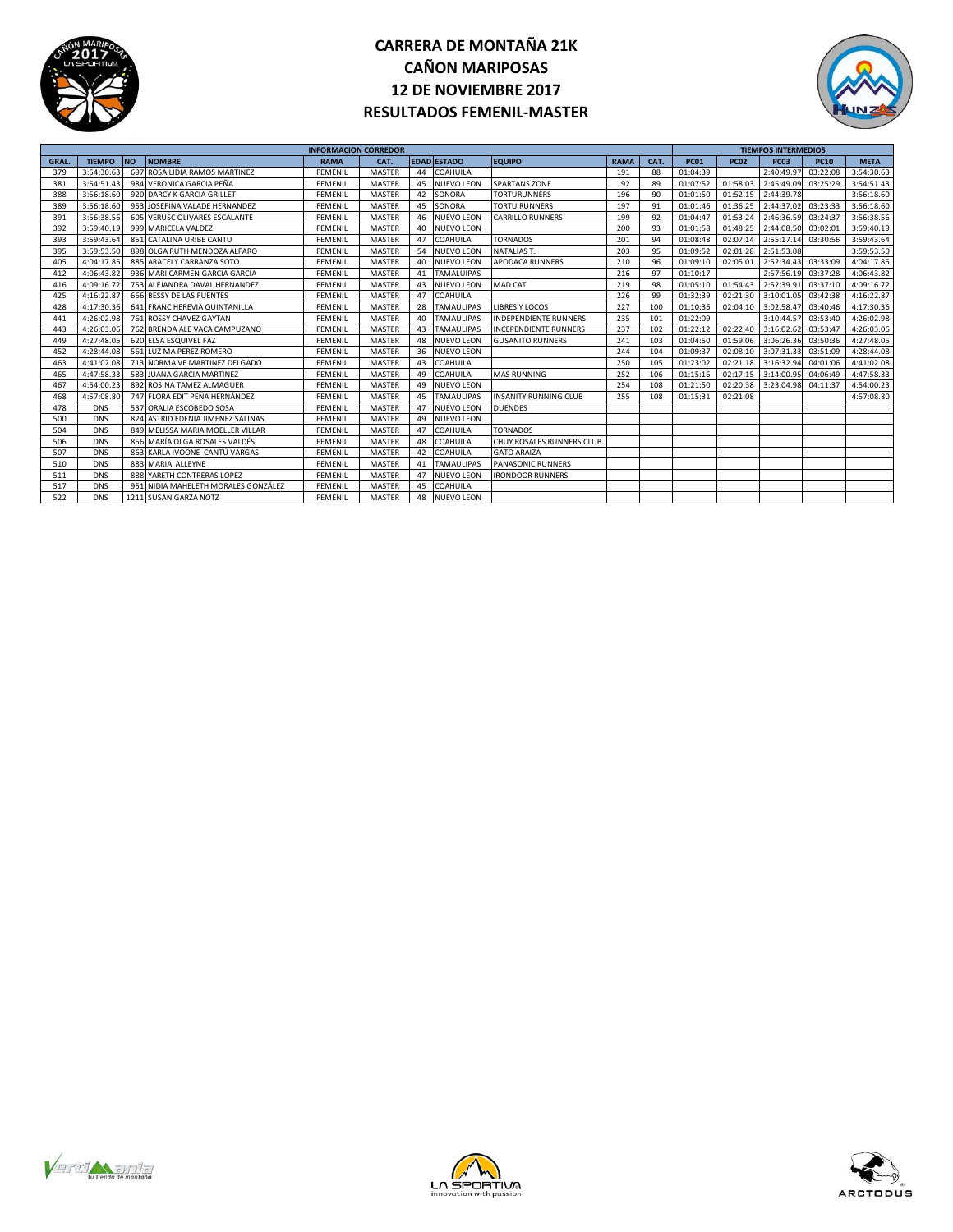



|             |               |           |                                     | <b>INFORMACION CORREDOR</b> |               |    |                    |                              |             |      |             |             | <b>TIEMPOS INTERMEDIOS</b> |             |             |
|-------------|---------------|-----------|-------------------------------------|-----------------------------|---------------|----|--------------------|------------------------------|-------------|------|-------------|-------------|----------------------------|-------------|-------------|
| <b>GRAL</b> | <b>TIEMPO</b> | <b>NO</b> | <b>NOMBRE</b>                       | <b>RAMA</b>                 | CAT.          |    | <b>EDAD ESTADO</b> | <b>EQUIPO</b>                | <b>RAMA</b> | CAT. | <b>PC01</b> | <b>PC02</b> | <b>PC03</b>                | <b>PC10</b> | <b>META</b> |
| 379         | 3:54:30.63    |           | 697 ROSA LIDIA RAMOS MARTINEZ       | <b>FEMENIL</b>              | <b>MASTER</b> | 44 | <b>COAHUILA</b>    |                              | 191         | 88   | 01:04:39    |             | 2:40:49.97                 | 03:22:08    | 3:54:30.63  |
| 381         | 3:54:51.43    |           | 984 VERONICA GARCIA PEÑA            | <b>FEMENIL</b>              | <b>MASTER</b> | 45 | <b>NUEVO LEON</b>  | <b>SPARTANS ZONE</b>         | 192         | 89   | 01:07:52    | 01:58:03    | 2:45:49.09                 | 03:25:29    | 3:54:51.43  |
| 388         | 3:56:18.60    |           | 920 DARCY K GARCIA GRILLET          | <b>FEMENIL</b>              | <b>MASTER</b> | 42 | SONORA             | <b>TORTURUNNERS</b>          | 196         | 90   | 01:01:50    | 01:52:15    | 2:44:39.78                 |             | 3:56:18.60  |
| 389         | 3:56:18.60    |           | 953 JOSEFINA VALADE HERNANDEZ       | <b>FEMENIL</b>              | <b>MASTER</b> | 45 | SONORA             | <b>TORTU RUNNERS</b>         | 197         | 91   | 01:01:46    | 01:36:25    | 2:44:37.02                 | 03:23:33    | 3:56:18.60  |
| 391         | 3:56:38.56    |           | 605 VERUSC OLIVARES ESCALANTE       | <b>FEMENIL</b>              | <b>MASTER</b> | 46 | <b>NUEVO LEON</b>  | <b>CARRILLO RUNNERS</b>      | 199         | 92   | 01:04:47    | 01:53:24    | 2:46:36.59                 | 03:24:37    | 3:56:38.56  |
| 392         | 3:59:40.19    |           | 999 MARICELA VALDEZ                 | <b>FEMENIL</b>              | <b>MASTER</b> | 40 | <b>NUEVO LEON</b>  |                              | 200         | 93   | 01:01:58    | 01:48:25    | 2:44:08.50                 | 03:02:01    | 3:59:40.19  |
| 393         | 3:59:43.64    |           | 851 CATALINA URIBE CANTU            | <b>FEMENIL</b>              | <b>MASTER</b> | 47 | COAHUILA           | <b>TORNADOS</b>              | 201         | 94   | 01:08:48    | 02:07:14    | 2:55:17.14                 | 03:30:56    | 3:59:43.64  |
| 395         | 3:59:53.50    |           | 898 OLGA RUTH MENDOZA ALFARO        | <b>FEMENIL</b>              | <b>MASTER</b> | 54 | <b>NUEVO LEON</b>  | <b>NATALIAS T.</b>           | 203         | 95   | 01:09:52    | 02:01:28    | 2:51:53.08                 |             | 3:59:53.50  |
| 405         | 4:04:17.85    |           | 885 ARACELY CARRANZA SOTO           | <b>FEMENIL</b>              | <b>MASTER</b> | 40 | <b>NUEVO LEON</b>  | <b>APODACA RUNNERS</b>       | 210         | 96   | 01:09:10    | 02:05:01    | 2:52:34.4                  | 03:33:09    | 4:04:17.85  |
| 412         | 4:06:43.82    |           | 936 MARI CARMEN GARCIA GARCIA       | <b>FEMENIL</b>              | <b>MASTER</b> | 41 | <b>TAMALUIPAS</b>  |                              | 216         | 97   | 01:10:17    |             | 2:57:56.19                 | 03:37:28    | 4:06:43.82  |
| 416         | 4:09:16.72    |           | 753 ALEJANDRA DAVAL HERNANDEZ       | <b>FEMENIL</b>              | <b>MASTER</b> | 43 | <b>NUEVO LEON</b>  | <b>MAD CAT</b>               | 219         | 98   | 01:05:10    | 01:54:43    | 2:52:39.9                  | 03:37:10    | 4:09:16.72  |
| 425         | 4:16:22.87    |           | 666 BESSY DE LAS FUENTES            | <b>FEMENIL</b>              | <b>MASTER</b> | 47 | COAHUILA           |                              | 226         | 99   | 01:32:39    | 02:21:30    | 3:10:01.0                  | 03:42:38    | 4:16:22.87  |
| 428         | 4:17:30.36    |           | 641 FRANC HEREVIA QUINTANILLA       | <b>FFMFNIL</b>              | <b>MASTER</b> | 28 | <b>TAMAULIPAS</b>  | <b>LIBRES Y LOCOS</b>        | 227         | 100  | 01:10:36    | 02:04:10    | 3:02:58.47                 | 03:40:46    | 4:17:30.36  |
| 441         | 4:26:02.98    |           | 761 ROSSY CHAVEZ GAYTAN             | <b>FEMENIL</b>              | <b>MASTER</b> | 40 | <b>TAMAULIPAS</b>  | <b>INDEPENDIENTE RUNNERS</b> | 235         | 101  | 01:22:09    |             | 3:10:44.57                 | 03:53:40    | 4:26:02.98  |
| 443         | 4:26:03.06    |           | 762 BRENDA ALE VACA CAMPUZANO       | <b>FEMENIL</b>              | <b>MASTER</b> | 43 | <b>TAMAULIPAS</b>  | <b>INCEPENDIENTE RUNNERS</b> | 237         | 102  | 01:22:12    | 02:22:40    | 3:16:02.6                  | 03:53:47    | 4:26:03.06  |
| 449         | 4:27:48.05    |           | 620 ELSA ESQUIVEL FAZ               | <b>FEMENIL</b>              | <b>MASTER</b> | 48 | <b>NUEVO LEON</b>  | <b>GUSANITO RUNNERS</b>      | 241         | 103  | 01:04:50    | 01:59:06    | 3:06:26.36                 | 03:50:36    | 4:27:48.05  |
| 452         | 4:28:44.08    |           | 561 LUZ MA PEREZ ROMERO             | <b>FEMENIL</b>              | <b>MASTER</b> | 36 | <b>NUEVO LEON</b>  |                              | 244         | 104  | 01:09:37    | 02:08:10    | 3:07:31.3                  | 03:51:09    | 4:28:44.08  |
| 463         | 4:41:02.08    |           | 713 NORMA VE MARTINEZ DELGADO       | <b>FEMENIL</b>              | <b>MASTER</b> | 43 | COAHUILA           |                              | 250         | 105  | 01:23:02    | 02:21:18    | 3:16:32.9                  | 04:01:06    | 4:41:02.08  |
| 465         | 4:47:58.33    |           | 583 JUANA GARCIA MARTINEZ           | FEMENII                     | <b>MASTER</b> | 49 | COAHUILA           | <b>MAS RUNNING</b>           | 252         | 106  | 01:15:16    | 02:17:15    | 3:14:00.9                  | 04:06:49    | 4:47:58.33  |
| 467         | 4:54:00.23    |           | 892 ROSINA TAMEZ ALMAGUER           | <b>FEMENIL</b>              | <b>MASTER</b> | 49 | <b>NUEVO LEON</b>  |                              | 254         | 108  | 01:21:50    | 02:20:38    | 3:23:04.98 04:11:37        |             | 4:54:00.23  |
| 468         | 4:57:08.80    |           | 747 FLORA EDIT PEÑA HERNÁNDEZ       | <b>FEMENIL</b>              | <b>MASTER</b> | 45 | <b>TAMAULIPAS</b>  | <b>INSANITY RUNNING CLUB</b> | 255         | 108  | 01:15:31    | 02:21:08    |                            |             | 4:57:08.80  |
| 478         | <b>DNS</b>    |           | 537 ORALIA ESCOBEDO SOSA            | <b>FEMENIL</b>              | <b>MASTER</b> | 47 | <b>NUEVO LEON</b>  | <b>DUENDES</b>               |             |      |             |             |                            |             |             |
| 500         | <b>DNS</b>    |           | 824 ASTRID EDENIA JIMENEZ SALINAS   | <b>FEMENIL</b>              | <b>MASTER</b> | 49 | <b>NUEVO LEON</b>  |                              |             |      |             |             |                            |             |             |
| 504         | <b>DNS</b>    |           | 849 MELISSA MARIA MOELLER VILLAR    | <b>FEMENIL</b>              | <b>MASTER</b> | 47 | COAHUILA           | <b>TORNADOS</b>              |             |      |             |             |                            |             |             |
| 506         | <b>DNS</b>    |           | 856 MARÍA OLGA ROSALES VALDES       | <b>FEMENIL</b>              | <b>MASTER</b> | 48 | COAHUILA           | CHUY ROSALES RUNNERS CLUB    |             |      |             |             |                            |             |             |
| 507         | <b>DNS</b>    |           | 863 KARLA IVOONE CANTÚ VARGAS       | <b>FEMENIL</b>              | <b>MASTER</b> | 42 | COAHUILA           | <b>GATO ARAIZA</b>           |             |      |             |             |                            |             |             |
| 510         | <b>DNS</b>    |           | 883 MARIA ALLEYNE                   | <b>FEMENIL</b>              | <b>MASTER</b> | 41 | <b>TAMAULIPAS</b>  | PANASONIC RUNNERS            |             |      |             |             |                            |             |             |
| 511         | <b>DNS</b>    |           | 888 YARETH CONTRERAS LOPEZ          | <b>FEMENIL</b>              | <b>MASTER</b> | 47 | <b>NUEVO LEON</b>  | <b>IRONDOOR RUNNERS</b>      |             |      |             |             |                            |             |             |
| 517         | <b>DNS</b>    |           | 951 NIDIA MAHELETH MORALES GONZÁLEZ | <b>FEMENIL</b>              | <b>MASTER</b> | 45 | COAHUILA           |                              |             |      |             |             |                            |             |             |
| 522         | <b>DNS</b>    |           | 1211 SUSAN GARZA NOTZ               | <b>FEMENIL</b>              | <b>MASTER</b> | 48 | <b>NUEVO LEON</b>  |                              |             |      |             |             |                            |             |             |





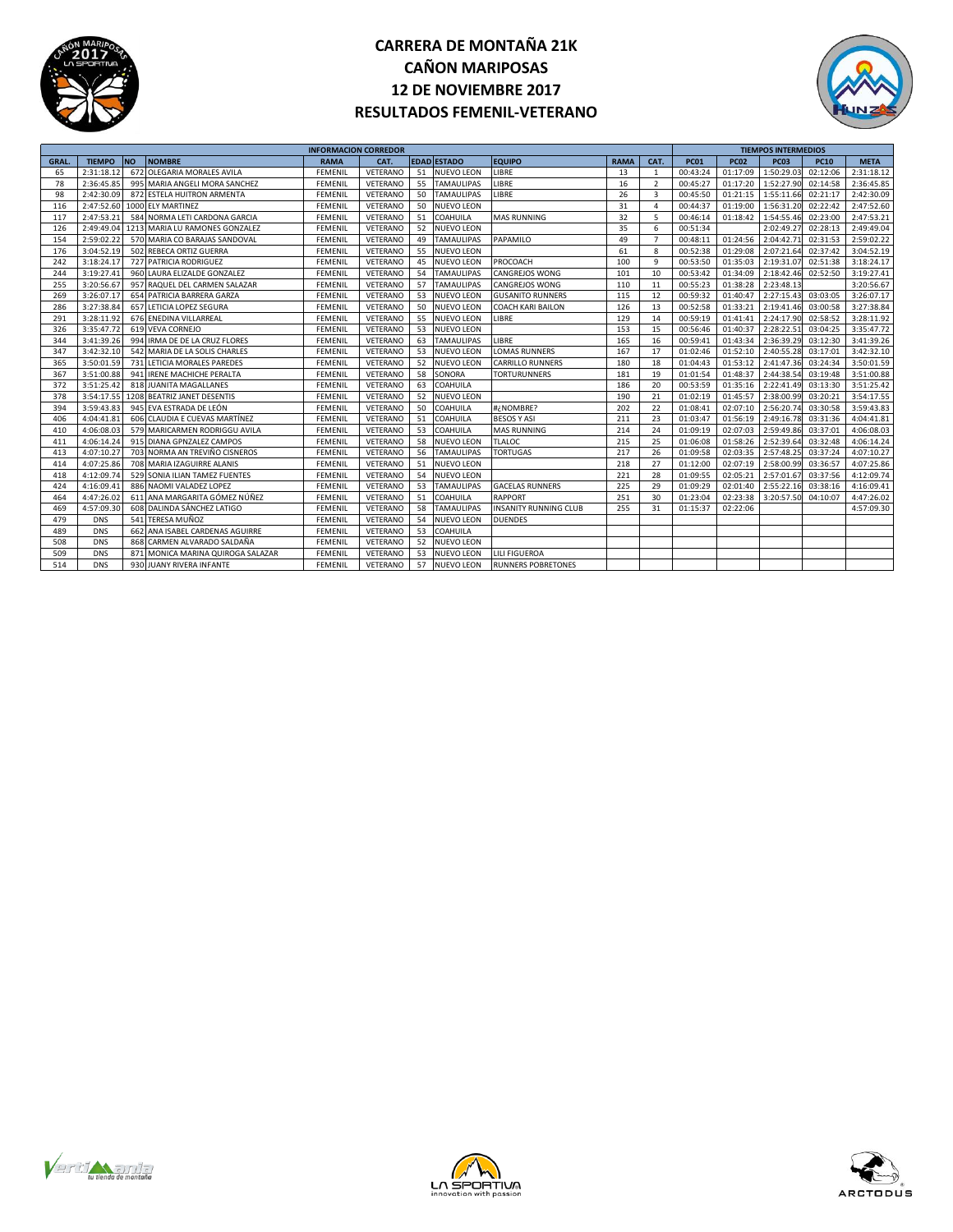



|             |               |           |                                   | <b>INFORMACION CORREDOR</b> |          |    |                    |                              |             |                |             |             | <b>TIEMPOS INTERMEDIOS</b> |             |             |
|-------------|---------------|-----------|-----------------------------------|-----------------------------|----------|----|--------------------|------------------------------|-------------|----------------|-------------|-------------|----------------------------|-------------|-------------|
| <b>GRAL</b> | <b>TIEMPO</b> | <b>NO</b> | <b>NOMBRE</b>                     | <b>RAMA</b>                 | CAT.     |    | <b>EDAD ESTADO</b> | <b>EQUIPO</b>                | <b>RAMA</b> | CAT.           | <b>PC01</b> | <b>PC02</b> | <b>PC03</b>                | <b>PC10</b> | <b>META</b> |
| 65          | 2:31:18.12    |           | 672 OLEGARIA MORALES AVILA        | <b>FEMENIL</b>              | VETERANO | 51 | <b>NUEVO LEON</b>  | LIBRE                        | 13          | $\mathbf{1}$   | 00:43:24    | 01:17:09    | 1:50:29.03                 | 02:12:06    | 2:31:18.12  |
| 78          | 2:36:45.85    |           | 995 MARIA ANGELI MORA SANCHEZ     | <b>FEMENIL</b>              | VETERANO | 55 | <b>TAMAULIPAS</b>  | LIBRE                        | 16          | $\overline{2}$ | 00:45:27    | 01:17:20    | 1:52:27.90                 | 02:14:58    | 2:36:45.85  |
| 98          | 2:42:30.09    |           | 872 ESTELA HUITRON ARMENTA        | <b>FEMENIL</b>              | VETERANO | 50 | <b>TAMAULIPAS</b>  | LIBRE                        | 26          | 3              | 00:45:50    | 01:21:15    | 1:55:11.66                 | 02:21:17    | 2:42:30.09  |
| 116         | 2:47:52.60    |           | 1000 ELY MARTINEZ                 | <b>FEMENIL</b>              | VETERANO | 50 | <b>NUEVO LEON</b>  |                              | 31          | 4              | 00:44:37    | 01:19:00    | 1:56:31.20                 | 02:22:42    | 2:47:52.60  |
| 117         | 2:47:53.21    |           | 584 NORMA LETI CARDONA GARCIA     | FEMENIL                     | VETERANO | 51 | COAHUILA           | <b>MAS RUNNING</b>           | 32          | 5              | 00:46:14    | 01:18:42    | 1:54:55.46                 | 02:23:00    | 2:47:53.21  |
| 126         | 2:49:49.04    |           | 1213 MARIA LU RAMONES GONZALEZ    | <b>FEMENIL</b>              | VETERANO | 52 | <b>NUEVO LEON</b>  |                              | 35          | 6              | 00:51:34    |             | 2:02:49.27                 | 02:28:13    | 2:49:49.04  |
| 154         | 2:59:02.22    |           | 570 MARIA CO BARAJAS SANDOVAL     | <b>FEMENIL</b>              | VETERANO | 49 | <b>TAMAULIPAS</b>  | PAPAMILO                     | 49          | 7              | 00:48:11    | 01:24:56    | 2:04:42.7                  | 02:31:53    | 2:59:02.22  |
| 176         | 3:04:52.19    |           | 502 REBECA ORTIZ GUERRA           | <b>FEMENIL</b>              | VETERANO | 55 | <b>NUEVO LEON</b>  |                              | 61          | 8              | 00:52:38    | 01:29:08    | 2:07:21.64                 | 02:37:42    | 3:04:52.19  |
| 242         | 3:18:24.17    |           | 727 PATRICIA RODRIGUEZ            | FEMENIL                     | VETERANO | 45 | NUEVO LEON         | PROCOACH                     | 100         | $\mathbf{q}$   | 00:53:50    | 01:35:03    | 2:19:31.07                 | 02:51:38    | 3:18:24.17  |
| 244         | 3:19:27.41    |           | 960 LAURA ELIZALDE GONZALEZ       | <b>FEMENIL</b>              | VETERANO | 54 | <b>TAMAULIPAS</b>  | <b>CANGREJOS WONG</b>        | 101         | 10             | 00:53:42    | 01:34:09    | 2:18:42.46                 | 02:52:50    | 3:19:27.41  |
| 255         | 3:20:56.67    |           | 957 RAQUEL DEL CARMEN SALAZAR     | <b>FEMENIL</b>              | VETERANO | 57 | <b>TAMAULIPAS</b>  | <b>CANGREJOS WONG</b>        | 110         | 11             | 00:55:23    | 01:38:28    | 2:23:48.13                 |             | 3:20:56.67  |
| 269         | 3:26:07.17    |           | 654 PATRICIA BARRERA GARZA        | <b>FEMENIL</b>              | VETERANO | 53 | <b>NUEVO LEON</b>  | <b>GUSANITO RUNNERS</b>      | 115         | 12             | 00:59:32    | 01:40:47    | 2:27:15.43                 | 03:03:05    | 3:26:07.17  |
| 286         | 3:27:38.84    |           | 657 LETICIA LOPEZ SEGURA          | <b>FEMENIL</b>              | VETERANO | 50 | <b>NUEVO LEON</b>  | <b>COACH KARI BAILON</b>     | 126         | 13             | 00:52:58    | 01:33:21    | 2:19:41.46                 | 03:00:58    | 3:27:38.84  |
| 291         | 3:28:11.92    |           | 676 ENEDINA VILLARREAL            | <b>FEMENIL</b>              | VETERANO | 55 | NUEVO LEON         | LIBRE                        | 129         | 14             | 00:59:19    | 01:41:41    | 2:24:17.90                 | 02:58:52    | 3:28:11.92  |
| 326         | 3:35:47.72    |           | 619 VEVA CORNEJO                  | <b>FEMENIL</b>              | VETERANO | 53 | <b>NUEVO LEON</b>  |                              | 153         | 15             | 00:56:46    | 01:40:37    | 2:28:22.51                 | 03:04:25    | 3:35:47.72  |
| 344         | 3:41:39.26    |           | 994 IRMA DE DE LA CRUZ FLORES     | <b>FEMENIL</b>              | VETERANO | 63 | <b>TAMAULIPAS</b>  | LIBRE                        | 165         | 16             | 00:59:41    | 01:43:34    | 2:36:39.29                 | 03:12:30    | 3:41:39.26  |
| 347         | 3:42:32.10    |           | 542 MARIA DE LA SOLIS CHARLES     | <b>FEMENIL</b>              | VETERANO | 53 | <b>NUEVO LEON</b>  | <b>LOMAS RUNNERS</b>         | 167         | 17             | 01:02:46    | 01:52:10    | 2:40:55.28                 | 03:17:01    | 3:42:32.10  |
| 365         | 3:50:01.59    |           | 731 LETICIA MORALES PAREDES       | <b>FEMENIL</b>              | VETERANO | 52 | NUEVO LEON         | <b>CARRILLO RUNNERS</b>      | 180         | 18             | 01:04:43    | 01:53:12    | 2:41:47.36                 | 03:24:34    | 3:50:01.59  |
| 367         | 3:51:00.88    |           | 941 IRENE MACHICHE PERALTA        | <b>FEMENIL</b>              | VETERANO | 58 | SONORA             | <b>TORTURUNNERS</b>          | 181         | 19             | 01:01:54    | 01:48:37    | 2:44:38.54                 | 03:19:48    | 3:51:00.88  |
| 372         | 3:51:25.42    |           | 818 JUANITA MAGALLANES            | <b>FEMENIL</b>              | VETERANO | 63 | COAHUILA           |                              | 186         | 20             | 00:53:59    | 01:35:16    | 2:22:41.49                 | 03:13:30    | 3:51:25.42  |
| 378         | 3:54:17.55    |           | 1208 BEATRIZ JANET DESENTIS       | <b>FEMENIL</b>              | VETERANO | 52 | NUEVO LEON         |                              | 190         | 21             | 01:02:19    | 01:45:57    | 2:38:00.99                 | 03:20:21    | 3:54:17.55  |
| 394         | 3:59:43.83    |           | 945 EVA ESTRADA DE LEÓN           | <b>FEMENIL</b>              | VETERANO | 50 | COAHUILA           | #¿NOMBRE?                    | 202         | 22             | 01:08:41    | 02:07:10    | 2:56:20.74                 | 03:30:58    | 3:59:43.83  |
| 406         | 4:04:41.81    |           | 606 CLAUDIA E CUEVAS MARTÍNEZ     | FEMENIL                     | VETERANO | 51 | COAHUILA           | <b>BESOS Y ASI</b>           | 211         | 23             | 01:03:47    | 01:56:19    | 2:49:16.78                 | 03:31:36    | 4:04:41.81  |
| 410         | 4:06:08.03    |           | 579 MARICARMEN RODRIGGU AVILA     | <b>FEMENIL</b>              | VETERANO | 53 | COAHUILA           | <b>MAS RUNNING</b>           | 214         | 24             | 01:09:19    | 02:07:03    | 2:59:49.86                 | 03:37:01    | 4:06:08.03  |
| 411         | 4:06:14.24    |           | 915 DIANA GPNZALEZ CAMPOS         | <b>FEMENIL</b>              | VETERANO | 58 | <b>NUEVO LEON</b>  | <b>TLALOC</b>                | 215         | 25             | 01:06:08    | 01:58:26    | 2:52:39.64                 | 03:32:48    | 4:06:14.24  |
| 413         | 4:07:10.27    |           | 703 NORMA AN TREVIÑO CISNEROS     | <b>FEMENIL</b>              | VETERANO | 56 | <b>TAMAULIPAS</b>  | <b>TORTUGAS</b>              | 217         | 26             | 01:09:58    | 02:03:35    | 2:57:48.25                 | 03:37:24    | 4:07:10.27  |
| 414         | 4:07:25.86    |           | 708 MARIA IZAGUIRRE ALANIS        | <b>FEMENIL</b>              | VETERANO | 51 | NUEVO LEON         |                              | 218         | 27             | 01:12:00    | 02:07:19    | 2:58:00.99                 | 03:36:57    | 4:07:25.86  |
| 418         | 4:12:09.74    |           | 529 SONIA ILIAN TAMEZ FUENTES     | <b>FEMENIL</b>              | VETERANO | 54 | <b>NUEVO LEON</b>  |                              | 221         | 28             | 01:09:55    | 02:05:21    | 2:57:01.67                 | 03:37:56    | 4:12:09.74  |
| 424         | 4:16:09.41    |           | 886 NAOMI VALADEZ LOPEZ           | FEMENIL                     | VETERANO | 53 | <b>TAMAULIPAS</b>  | <b>GACELAS RUNNERS</b>       | 225         | 29             | 01:09:29    | 02:01:40    | 2:55:22.16                 | 03:38:16    | 4:16:09.41  |
| 464         | 4:47:26.02    |           | 611 ANA MARGARITA GÓMEZ NÚÑEZ     | <b>FEMENIL</b>              | VETERANO | 51 | COAHUILA           | <b>RAPPORT</b>               | 251         | 30             | 01:23:04    | 02:23:38    | 3:20:57.50                 | 04:10:07    | 4:47:26.02  |
| 469         | 4:57:09.30    |           | 608 DALINDA SÁNCHEZ LATIGO        | <b>FEMENIL</b>              | VETERANO | 58 | <b>TAMAULIPAS</b>  | <b>INSANITY RUNNING CLUB</b> | 255         | 31             | 01:15:37    | 02:22:06    |                            |             | 4:57:09.30  |
| 479         | <b>DNS</b>    |           | 541 TERESA MUÑOZ                  | <b>FEMENIL</b>              | VETERANO | 54 | <b>NUEVO LEON</b>  | <b>DUENDES</b>               |             |                |             |             |                            |             |             |
| 489         | <b>DNS</b>    |           | 662 ANA ISABEL CARDENAS AGUIRRE   | <b>FEMENIL</b>              | VETERANO | 53 | COAHUILA           |                              |             |                |             |             |                            |             |             |
| 508         | <b>DNS</b>    |           | 868 CARMEN ALVARADO SALDAÑA       | <b>FEMENIL</b>              | VETERANO | 52 | NUEVO LEON         |                              |             |                |             |             |                            |             |             |
| 509         | <b>DNS</b>    |           | 871 MONICA MARINA QUIROGA SALAZAR | <b>FEMENIL</b>              | VETERANO | 53 | NUEVO LEON         | <b>LILI FIGUEROA</b>         |             |                |             |             |                            |             |             |
| 514         | <b>DNS</b>    |           | 930 JUANY RIVERA INFANTE          | <b>FEMENIL</b>              | VETERANO | 57 | <b>NUEVO LEON</b>  | <b>RUNNERS POBRETONES</b>    |             |                |             |             |                            |             |             |





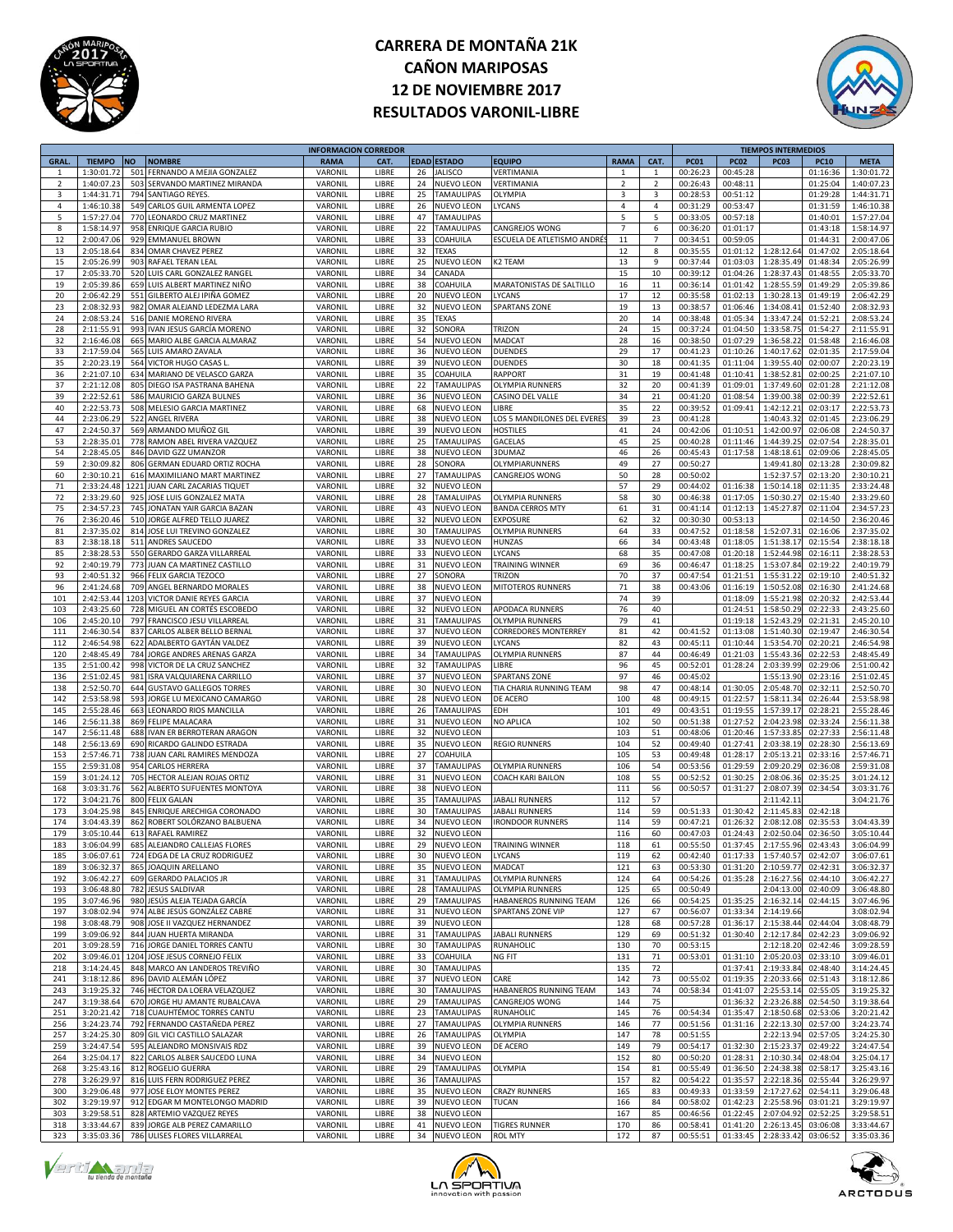

## **CARRERA DE MONTAÑA 21K CAÑON MARIPOSAS 12 DE NOVIEMBRE 2017 RESULTADOS VARONIL-LIBRE**



|                |               |           |                                 | <b>INFORMACION CORREDOR</b> |       |    |                   |                            |                |                |             |             | <b>TIEMPOS INTERMEDIOS</b> |             |             |
|----------------|---------------|-----------|---------------------------------|-----------------------------|-------|----|-------------------|----------------------------|----------------|----------------|-------------|-------------|----------------------------|-------------|-------------|
| <b>GRAL</b>    | <b>TIEMPO</b> | <b>NO</b> | <b>NOMBRE</b>                   | <b>RAMA</b>                 | CAT.  |    | EDAD ESTADO       | <b>EQUIPO</b>              | <b>RAMA</b>    | CAT.           | <b>PC01</b> | <b>PC02</b> | <b>PC03</b>                | <b>PC10</b> | <b>META</b> |
| $\overline{1}$ | 1:30:01.72    | 501       | FERNANDO A MEJIA GONZALEZ       | VARONIL                     | LIBRE | 26 | <b>JALISCO</b>    | VERTIMANIA                 | $\mathbf{1}$   | $\mathbf{1}$   | 00:26:23    | 00:45:28    |                            | 01:16:36    | 1:30:01.72  |
| $\overline{2}$ | 1:40:07.23    | 503       | SERVANDO MARTINEZ MIRANDA       | VARONIL                     | LIBRE | 24 | NUEVO LEON        | VERTIMANIA                 | $\overline{2}$ | $\overline{2}$ | 00:26:43    | 00:48:11    |                            | 01:25:04    | 1:40:07.23  |
|                | 1:44:31.71    | 794       |                                 | VARONIL                     |       |    | <b>TAMAULIPAS</b> |                            |                |                |             |             |                            | 01:29:28    | 1:44:31.71  |
| 3              |               |           | SANTIAGO REYES                  |                             | LIBRE | 25 |                   | <b>OLYMPIA</b>             | 3              | 3              | 00:28:53    | 00:51:12    |                            |             |             |
| $\overline{4}$ | 1:46:10.38    | 549       | CARLOS GUIL ARMENTA LOPEZ       | VARONIL                     | LIBRE | 26 | NUEVO LEON        | <b>YCANS</b>               | $\overline{4}$ | $\pmb{4}$      | 00:31:29    | 00:53:47    |                            | 01:31:59    | 1:46:10.38  |
| 5              | 1:57:27.04    |           | 770 LEONARDO CRUZ MARTINEZ      | VARONIL                     | LIBRE | 47 | <b>TAMAULIPAS</b> |                            | 5              | 5              | 00:33:05    | 00:57:18    |                            | 01:40:01    | 1:57:27.04  |
| 8              | 1:58:14.97    | 958       | ENRIQUE GARCIA RUBIO            | VARONIL                     | LIBRE | 22 | <b>TAMAULIPAS</b> | CANGREJOS WONG             | $\overline{7}$ | 6              | 00:36:20    | 01:01:17    |                            | 01:43:18    | 1:58:14.97  |
| 12             | 2:00:47.06    | 929       | <b>EMMANUEL BROWN</b>           | VARONIL                     | LIBRE | 33 | COAHUILA          | ESCUELA DE ATLETISMO ANDRÉ | 11             | $\overline{7}$ | 00:34:51    | 00:59:05    |                            | 01:44:31    | 2:00:47.06  |
| 13             | 2:05:18.64    | 834       | OMAR CHAVEZ PEREZ               | VARONIL                     | LIBRE | 32 | <b>TEXAS</b>      |                            | 12             | 8              | 00:35:55    | 01:01:12    | 1:28:12.64                 | 01:47:02    | 2:05:18.64  |
| 15             | 2:05:26.99    | 903       |                                 |                             |       | 25 |                   |                            | 13             | 9              |             | 01:03:03    |                            |             |             |
|                |               |           | RAFAEL TERAN LEAL               | VARONII                     | LIBRE |    | NUEVO LEON        | <b>&lt;2 TEAM</b>          |                |                | 00:37:44    |             | 1:28:35.49                 | 01:48:34    | 2:05:26.99  |
| 17             | 2:05:33.70    |           | 520 LUIS CARL GONZALEZ RANGEL   | VARONIL                     | LIBRE | 34 | CANADA            |                            | 15             | 10             | 00:39:12    | 01:04:26    | 1:28:37.43                 | 01:48:55    | 2:05:33.70  |
| 19             | 2:05:39.86    | 659       | LUIS ALBERT MARTINEZ NIÑO       | VARONIL                     | LIBRE | 38 | COAHUILA          | MARATONISTAS DE SALTILLO   | 16             | 11             | 00:36:14    | 01:01:42    | 1:28:55.59                 | 01:49:29    | 2:05:39.86  |
| 20             | 2:06:42.29    | 551       | GILBERTO ALEJ IPIÑA GOMEZ       | VARONIL                     | LIBRE | 20 | NUEVO LEON        | LYCANS                     | 17             | 12             | 00:35:58    | 01:02:13    | 1:30:28.1                  | 01:49:19    | 2:06:42.29  |
| 23             | 2:08:32.9     | 982       | OMAR ALEJAND LEDEZMA LARA       | VARONIL                     | LIBRE | 32 | NUEVO LEON        | <b>SPARTANS ZONE</b>       | 19             | 13             | 00:38:57    | 01:06:46    | 1:34:08.4                  | 01:52:40    | 2:08:32.93  |
| 24             | 2:08:53.2     | 516       | DANIE MORENO RIVERA             | VARONII                     | LIBRE | 35 | <b>TEXAS</b>      |                            | 20             | 14             | 00:38:48    | 01:05:34    | 1:33:47.2                  | 01:52:21    | 2:08:53.24  |
| 28             | 2:11:55.91    | 993       | IVAN JESUS GARCÍA MORENO        |                             | LIBRE | 32 | SONORA            | <b>TRIZON</b>              | 24             | 15             | 00:37:24    | 01:04:50    | 1:33:58.75                 | 01:54:27    | 2:11:55.91  |
|                |               |           |                                 | VARONIL                     |       |    |                   |                            |                |                |             |             |                            |             |             |
| 32             | 2:16:46.08    | 665       | MARIO ALBE GARCIA ALMARAZ       | VARONIL                     | LIBRE | 54 | NUEVO LEON        | MADCAT                     | 28             | 16             | 00:38:50    | 01:07:29    | 1:36:58.2                  | 01:58:48    | 2:16:46.08  |
| 33             | 2:17:59.04    | 565       | LUIS AMARO ZAVALA               | VARONIL                     | LIBRE | 36 | NUEVO LEON        | <b>DUENDES</b>             | 29             | 17             | 00:41:23    | 01:10:26    | 1:40:17.62                 | 02:01:35    | 2:17:59.04  |
| 35             | 2:20:23.19    | 564       | VICTOR HUGO CASAS               | VARONIL                     | LIBRE | 39 | NUEVO LEON        | DUENDES                    | 30             | 18             | 00:41:35    | 01:11:04    | 1:39:55.40                 | 02:00:07    | 2:20:23.19  |
| 36             | 2:21:07.10    | 634       | MARIANO DE VELASCO GARZA        | VARONII                     | LIBRE | 35 | COAHUILA          | RAPPORT                    | 31             | 19             | 00:41:48    | 01:10:41    | 1:38:52.8                  | 02:00:25    | 2:21:07.10  |
| 37             | 2:21:12.08    | 805       | DIEGO ISA PASTRANA BAHENA       | VARONIL                     | LIBRE | 22 | TAMAULIPAS        | <b>OLYMPIA RUNNERS</b>     | 32             | 20             | 00:41:39    | 01:09:01    | 1:37:49.60                 | 02:01:28    | 2:21:12.08  |
| 39             | 2:22:52.61    | 586       | MAURICIO GARZA BULNES           | VARONIL                     | LIBRE | 36 | NUEVO LEON        | CASINO DEL VALLE           | 34             | 21             | 00:41:20    | 01:08:54    | 1:39:00.3                  | 02:00:39    | 2:22:52.61  |
|                |               |           |                                 |                             |       |    |                   |                            |                |                |             |             |                            |             |             |
| 40             | 2:22:53.73    | 508       | MELESIO GARCIA MARTINEZ         | VARONIL                     | LIBRE | 68 | <b>NUEVO LEON</b> | LIBRE                      | 35             | 22             | 00:39:52    | 01:09:41    | 1:42:12.23                 | 02:03:17    | 2:22:53.73  |
| 44             | 2:23:06.29    | 522       | ANGEL RIVERA                    | VARONIL                     | LIBRE | 38 | NUEVO LEON        | LOS 5 MANDILONES DEL EVERE | 39             | 23             | 00:41:28    |             | 1:40:43.32                 | 02:01:45    | 2:23:06.29  |
| 47             | 2:24:50.37    | 569       | ARMANDO MUÑOZ GIL               | VARONII                     | LIBRE | 39 | <b>NUEVO LEON</b> | HOSTILES                   | 41             | 24             | 00:42:06    | 01:10:51    | 1:42:00.97                 | 02:06:08    | 2:24:50.37  |
| 53             | 2:28:35.01    |           | 778 RAMON ABEL RIVERA VAZQUEZ   | VARONIL                     | LIBRE | 25 | <b>TAMAULIPAS</b> | GACELAS                    | 45             | 25             | 00:40:28    | 01:11:46    | 1:44:39.25                 | 02:07:54    | 2:28:35.01  |
| 54             | 2:28:45.05    | 846       | DAVID GZZ UMANZOR               | VARONIL                     | LIBRE | 38 | NUEVO LEON        | 3DUMAZ                     | 46             | 26             | 00:45:43    | 01:17:58    | 1:48:18.63                 | 02:09:06    | 2:28:45.05  |
| 59             | 2:30:09.82    | 806       | GERMAN EDUARD ORTIZ ROCHA       | VARONIL                     | LIBRE | 28 | SONORA            | OLYMPIARUNNERS             | 49             | 27             | 00:50:27    |             | 1:49:41.80                 | 02:13:28    | 2:30:09.82  |
|                |               |           |                                 |                             |       |    |                   |                            |                |                |             |             |                            |             |             |
| 60             | 2:30:10.21    | 616       | MAXIMILIANO MART MARTINEZ       | VARONIL                     | LIBRE | 27 | <b>TAMAULIPAS</b> | CANGREJOS WONG             | 50             | 28             | 00:50:02    |             | 1:52:37.5                  | 02:13:20    | 2:30:10.21  |
| 71             | 2:33:24.48    | 1221      | JUAN CARL ZACARIAS TIQUET       | VARONII                     | LIBRE | 32 | NUEVO LEON        |                            | 57             | 29             | 00:44:02    | 01:16:38    | 1:50:14.18                 | 02:11:35    | 2:33:24.48  |
| 72             | 2:33:29.60    | 925       | JOSE LUIS GONZALEZ MATA         | VARONIL                     | LIBRE | 28 | <b>TAMALUIPAS</b> | <b>OLYMPIA RUNNERS</b>     | 58             | 30             | 00:46:38    | 01:17:05    | 1:50:30.27                 | 02:15:40    | 2:33:29.60  |
| 75             | 2:34:57.23    | 745       | JONATAN YAIR GARCIA BAZAN       | VARONIL                     | LIBRE | 43 | <b>NUEVO LEON</b> | <b>BANDA CERROS MTY</b>    | 61             | 31             | 00:41:14    | 01:12:13    | 1:45:27.87                 | 02:11:04    | 2:34:57.23  |
| 76             | 2:36:20.46    | 510       | JORGE ALFRED TELLO JUAREZ       | VARONIL                     | LIBRE | 32 | <b>NUEVO LEON</b> | <b>EXPOSURE</b>            | 62             | 32             | 00:30:30    | 00:53:13    |                            | 02:14:50    | 2:36:20.46  |
| 81             | 2:37:35.02    | 814       | JOSE LUI TREVINO GONZALEZ       | VARONIL                     | LIBRE | 30 | TAMAULIPAS        | OLYMPIA RUNNERS            | 64             | 33             | 00:47:52    | 01:18:58    | 1:52:07.3                  | 02:16:06    | 2:37:35.02  |
|                |               |           |                                 |                             |       |    |                   |                            |                |                |             |             |                            |             |             |
| 83             | 2:38:18.18    | 511       | ANDRES SAUCEDO                  | VARONII                     | LIBRE | 33 | <b>NUEVO LEON</b> | HUNZAS                     | 66             | 34             | 00:43:48    | 01:18:05    | 1:51:38.1                  | 02:15:54    | 2:38:18.18  |
| 85             | 2:38:28.53    | 550       | <b>GERARDO GARZA VILLARREAL</b> | VARONIL                     | LIBRE | 33 | NUEVO LEON        | LYCANS                     | 68             | 35             | 00:47:08    | 01:20:18    | 1:52:44.98                 | 02:16:11    | 2:38:28.53  |
| 92             | 2:40:19.79    | 773       | JUAN CA MARTINEZ CASTILLO       | VARONIL                     | LIBRE | 31 | <b>NUEVO LEON</b> | TRAINING WINNER            | 69             | 36             | 00:46:47    | 01:18:25    | 1:53:07.84                 | 02:19:22    | 2:40:19.79  |
| 93             | 2:40:51.32    | 966       | FELIX GARCIA TEZOCO             | VARONIL                     | LIBRE | 27 | SONORA            | <b>TRIZON</b>              | 70             | 37             | 00:47:54    | 01:21:51    | 1:55:31.2                  | 02:19:10    | 2:40:51.32  |
| 96             | 2:41:24.68    | 709       | ANGEL BERNARDO MORALES          | VARONIL                     | LIBRE | 38 | NUEVO LEON        | MITOTEROS RUNNERS          | 71             | 38             | 00:43:06    | 01:16:19    | 1:50:52.08                 | 02:16:30    | 2:41:24.68  |
| 101            | 2:42:53.44    | 1203      | VICTOR DANIE REYES GARCIA       | VARONII                     | LIBRE | 37 | NUEVO LEON        |                            | 74             | 39             |             | 01:18:09    | 1:55:21.98                 | 02:20:32    | 2:42:53.44  |
|                |               |           |                                 |                             |       |    |                   |                            | 76             | 40             |             |             |                            |             | 2:43:25.60  |
| 103            | 2:43:25.60    |           | 728 MIGUEL AN CORTÉS ESCOBEDC   | VARONIL                     | LIBRE | 32 | NUEVO LEON        | APODACA RUNNERS            |                |                |             | 01:24:51    | 1:58:50.29                 | 02:22:33    |             |
| 106            | 2:45:20.10    | 797       | FRANCISCO JESU VILLARREAL       | VARONIL                     | LIBRE | 31 | <b>TAMAULIPAS</b> | <b>OLYMPIA RUNNERS</b>     | 79             | 41             |             | 01:19:18    | 1:52:43.29                 | 02:21:31    | 2:45:20.10  |
| 111            | 2:46:30.54    | 837       | CARLOS ALBER BELLO BERNAL       | VARONIL                     | LIBRE | 37 | <b>NUEVO LEON</b> | CORREDORES MONTERREY       | 81             | 42             | 00:41:52    | 01:13:08    | 1:51:40.3                  | 02:19:47    | 2:46:30.54  |
| 112            | 2:46:54.98    | 622       | ADALBERTO GAYTÁN VALDEZ         | VARONIL                     | LIBRE | 39 | NUEVO LEON        | LYCANS                     | 82             | 43             | 00:45:11    | 01:10:44    | 1:53:54.7                  | 02:20:21    | 2:46:54.98  |
| 120            | 2:48:45.49    | 784       | JORGE ANDRES ARENAS GARZA       | VARONIL                     | LIBRE | 34 | <b>TAMAULIPAS</b> | <b>OLYMPIA RUNNERS</b>     | 87             | 44             | 00:46:49    | 01:21:03    | 1:55:43.36                 | 02:22:53    | 2:48:45.49  |
| 135            | 2:51:00.42    |           | 998 VICTOR DE LA CRUZ SANCHEZ   | VARONIL                     | LIBRE | 32 | <b>TAMAULIPAS</b> | LIBRE                      | 96             | 45             | 00:52:01    | 01:28:24    | 2:03:39.99                 | 02:29:06    | 2:51:00.42  |
| 136            | 2:51:02.45    | 981       | ISRA VALQUIARENA CARRILLO       | VARONIL                     | LIBRE | 37 | <b>NUEVO LEON</b> | <b>SPARTANS ZONE</b>       | 97             | 46             | 00:45:02    |             | 1:55:13.90                 | 02:23:16    | 2:51:02.45  |
|                |               |           |                                 |                             |       |    |                   |                            |                |                |             |             |                            |             |             |
| 138            | 2:52:50.70    | 644       | <b>GUSTAVO GALLEGOS TORRES</b>  | VARONIL                     | LIBRE | 30 | <b>NUEVO LEON</b> | TIA CHARIA RUNNING TEAM    | 98             | 47             | 00:48:14    | 01:30:05    | 2:05:48.7                  | 02:32:11    | 2:52:50.70  |
| 142            | 2:53:58.98    | 593       | JORGE LU MEXICANO CAMARGO       | VARONIL                     | LIBRE | 28 | <b>NUEVO LEON</b> | DE ACERO                   | 100            | 48             | 00:49:15    | 01:22:57    | 1:58:11.3                  | 02:26:44    | 2:53:58.98  |
| 145            | 2:55:28.46    | 663       | LEONARDO RIOS MANCILLA          | VARONIL                     | LIBRE | 26 | <b>TAMAULIPAS</b> | EDH                        | 101            | 49             | 00:43:51    | 01:19:55    | 1:57:39.1                  | 02:28:21    | 2:55:28.46  |
| 146            | 2:56:11.38    |           | 869 FELIPE MALACARA             | VARONIL                     | LIBRE | 31 | NUEVO LEON        | NO APLICA                  | 102            | 50             | 00:51:38    | 01:27:52    | 2:04:23.98                 | 02:33:24    | 2:56:11.38  |
| 147            | 2:56:11.48    | 688       | IVAN ER BERROTERAN ARAGON       | VARONIL                     | LIBRE | 32 | <b>NUEVO LEON</b> |                            | 103            | 51             | 00:48:06    | 01:20:46    | 1:57:33.8                  | 02:27:33    | 2:56:11.48  |
| 148            | 2:56:13.69    | 690       | RICARDO GALINDO ESTRADA         | VARONIL                     | LIBRE | 35 | NUEVO LEON        | <b>REGIO RUNNERS</b>       | 104            | 52             | 00:49:40    | 01:27:41    | 2:03:38.19                 | 02:28:30    | 2:56:13.69  |
| 153            | 2:57:46.7     | 738       | JUAN CARL RAMIRES MENDOZA       | VARONIL                     | LIBRE | 27 | COAHUILA          |                            | 105            | 53             | 00:49:48    | 01:28:17    | 2:05:13.2                  | 02:33:16    | 2:57:46.71  |
|                |               |           |                                 |                             |       |    |                   |                            |                |                |             |             |                            |             |             |
| 155            | 2:59:31.08    | 954       | <b>CARLOS HERRERA</b>           | VARONII                     | LIBRE | 37 | <b>TAMAULIPAS</b> | OLYMPIA RUNNERS            | 106            | 54             | 00:53:56    | 01:29:59    | 2:09:20.29                 | 02:36:08    | 2:59:31.08  |
| 159            | 3:01:24.12    | 705       | HECTOR ALEJAN ROJAS ORTIZ       | VARONIL                     | LIBRE | 31 | NUEVO LEON        | COACH KARI BAILON          | 108            | 55             | 00:52:52    | 01:30:25    | 2:08:06.36                 | 02:35:25    | 3:01:24.12  |
| 168            | 3:03:31.76    | 562       | ALBERTO SUFUENTES MONTOYA       | VARONIL                     | LIBRE | 38 | <b>NUEVO LEON</b> |                            | 111            | 56             | 00:50:57    | 01:31:27    | 2:08:07.39                 | 02:34:54    | 3:03:31.76  |
| 172            | 3:04:21.76    | 800       | <b>FELIX GALAN</b>              | VARONIL                     | LIBRE | 35 | <b>TAMAULIPAS</b> | JABALI RUNNERS             | 112            | 57             |             |             | 2:11:42.11                 |             | 3:04:21.76  |
| 173            | 3:04:25.98    | 845       | ENRIQUE ARECHIGA CORONADO       | VARONIL                     | LIBRE | 30 | <b>TAMAULIPAS</b> | JABALI RUNNERS             | 114            | 59             | 00:51:33    | 01:30:42    | 2:11:45.83                 | 02:42:18    |             |
| 174            | 3:04:43.39    | 862       | ROBERT SOLÓRZANO BALBUENA       | VARONIL                     | LIBRE | 34 | NUEVO LEON        | RONDOOR RUNNERS            | 114            | 59             | 00:47:21    | 01:26:32    | 2:08:12.08                 | 02:35:53    | 3:04:43.39  |
| 179            | 3:05:10.44    |           | 613 RAFAEL RAMIREZ              | VARONIL                     | LIBRE | 32 | NUEVO LEON        |                            | 116            | 60             | 00:47:03    | 01:24:43    | 2:02:50.04                 | 02:36:50    | 3:05:10.44  |
| 183            | 3.06.04.99    |           |                                 |                             |       | 29 |                   | <b>TRAINING WINNER</b>     |                | 61             | 00:55:50    | 01:37:45    | 2:17:55.96                 | 02.43.43    | 3:06:04.99  |
|                |               |           | 685 ALEJANDRO CALLEJAS FLORES   | VARONII                     | LIBRE |    | <b>NUEVO LEON</b> |                            | 118            |                |             |             |                            |             |             |
| 185            | 3:06:07.61    |           | 724 EDGA DE LA CRUZ RODRIGUEZ   | VARONIL                     | LIBRE | 30 | <b>NUEVO LEON</b> | LYCANS                     | 119            | 62             | 00:42:40    | 01:17:33    | 1:57:40.57                 | 02:42:07    | 3:06:07.61  |
| 189            | 3:06:32.37    | 865       | JOAQUIN ARELLANO                | VARONIL                     | LIBRE | 35 | <b>NUEVO LEON</b> | MADCAT                     | 121            | 63             | 00:53:30    | 01:31:20    | 2:10:59.77                 | 02:42:31    | 3:06:32.37  |
| 192            | 3:06:42.27    |           | 609 GERARDO PALACIOS JR         | VARONIL                     | LIBRE | 31 | <b>TAMAULIPAS</b> | OLYMPIA RUNNERS            | 124            | 64             | 00:54:26    | 01:35:28    | 2:16:27.56                 | 02:44:10    | 3:06:42.27  |
| 193            | 3:06:48.80    | 782       | <b>JESUS SALDIVAR</b>           | VARONIL                     | LIBRE | 28 | TAMAULIPAS        | OLYMPIA RUNNERS            | 125            | 65             | 00:50:49    |             | 2:04:13.00                 | 02:40:09    | 3:06:48.80  |
| 195            | 3:07:46.96    | 980       | JESÚS ALEJA TEJADA GARCÍA       | VARONIL                     | LIBRE | 29 | <b>TAMAULIPAS</b> | HABANEROS RUNNING TEAM     | 126            | 66             | 00:54:25    | 01:35:25    | 2:16:32.14                 | 02:44:15    | 3:07:46.96  |
| 197            | 3:08:02.94    |           | 974 ALBE JESÚS GONZÁLEZ CABRE   | VARONIL                     | LIBRE | 31 | NUEVO LEON        | SPARTANS ZONE VIP          | 127            | 67             | 00:56:07    | 01:33:34    | 2:14:19.66                 |             | 3:08:02.94  |
|                |               |           |                                 |                             |       |    |                   |                            |                |                |             |             |                            |             |             |
| 198            | 3:08:48.79    | 908       | JOSE II VAZQUEZ HERNANDEZ       | VARONIL                     | LIBRE | 39 | <b>NUEVO LEON</b> |                            | 128            | 68             | 00:57:28    | 01:36:17    | 2:15:38.44                 | 02:44:04    | 3:08:48.79  |
| 199            | 3:09:06.92    | 844       | JUAN HUERTA MIRANDA             | VARONIL                     | LIBRE | 31 | <b>TAMAULIPAS</b> | JABALI RUNNERS             | 129            | 69             | 00:51:32    | 01:30:40    | 2:12:17.84                 | 02:42:23    | 3:09:06.92  |
| 201            | 3:09:28.59    |           | 716 JORGE DANIEL TORRES CANTU   | VARONIL                     | LIBRE | 30 | TAMAULIPAS        | <b>RUNAHOLIC</b>           | 130            | 70             | 00:53:15    |             | 2:12:18.20                 | 02:42:46    | 3:09:28.59  |
| 202            | 3:09:46.01    | 1204      | JOSE JESUS CORNEJO FELIX        | VARONIL                     | LIBRE | 33 | COAHUILA          | NG FIT                     | 131            | 71             | 00:53:01    | 01:31:10    | 2:05:20.03                 | 02:33:10    | 3:09:46.01  |
| 218            | 3:14:24.45    |           | 848 MARCO AN LANDEROS TREVIÑO   | VARONIL                     | LIBRE | 30 | <b>TAMAULIPAS</b> |                            | 135            | 72             |             | 01:37:41    | 2:19:33.84                 | 02:48:40    | 3:14:24.45  |
| 241            | 3:18:12.86    |           | 896 DAVID ALEMÁN LÓPEZ          | VARONIL                     | LIBRE | 37 | NUEVO LEON        | CARE                       | 142            | 73             | 00:55:02    | 01:19:35    | 2:20:33.66                 | 02:51:43    | 3:18:12.86  |
|                | 3:19:25.32    |           | 746 HECTOR DA LOERA VELAZQUEZ   |                             |       | 30 |                   | HABANEROS RUNNING TEAM     | 143            | 74             | 00:58:34    |             |                            | 02:55:05    |             |
| 243            |               |           |                                 | VARONIL                     | LIBRE |    | <b>TAMAULIPAS</b> |                            |                |                |             | 01:41:07    | 2:25:53.14                 |             | 3:19:25.32  |
| 247            | 3:19:38.64    |           | 670 JORGE HU AMANTE RUBALCAVA   | VARONIL                     | LIBRE | 29 | <b>TAMAULIPAS</b> | CANGREJOS WONG             | 144            | 75             |             | 01:36:32    | 2:23:26.88                 | 02:54:50    | 3:19:38.64  |
| 251            | 3:20:21.42    |           | 718 CUAUHTÉMOC TORRES CANTU     | VARONIL                     | LIBRE | 23 | <b>TAMAULIPAS</b> | RUNAHOLIC                  | 145            | 76             | 00:54:34    | 01:35:47    | 2:18:50.68                 | 02:53:06    | 3:20:21.42  |
| 256            | 3:24:23.74    | 792       | FERNANDO CASTAÑEDA PEREZ        | VARONIL                     | LIBRE | 27 | <b>TAMAULIPAS</b> | OLYMPIA RUNNERS            | 146            | 77             | 00:51:56    | 01:31:16    | 2:22:13.30                 | 02:57:00    | 3:24:23.74  |
| 257            | 3:24:25.30    | 809       | GIL VICI CASTILLO SALAZAR       | VARONIL                     | LIBRE | 26 | <b>TAMAULIPAS</b> | OLYMPIA                    | 147            | 78             | 00:51:55    |             | 2:22:13.94                 | 02:57:05    | 3:24:25.30  |
| 259            | 3:24:47.54    | 595       | ALEJANDRO MONSIVAIS RDZ         | VARONIL                     | LIBRE | 39 | NUEVO LEON        | DE ACERO                   | 149            | 79             | 00:54:17    | 01:32:30    | 2:15:23.37                 | 02:49:22    | 3:24:47.54  |
| 264            | 3:25:04.17    | 822       | CARLOS ALBER SAUCEDO LUNA       | VARONIL                     | LIBRE | 34 | NUEVO LEON        |                            | 152            | 80             | 00:50:20    | 01:28:31    | 2:10:30.34                 | 02:48:04    | 3:25:04.17  |
|                | 3:25:43.16    | 812       |                                 |                             |       | 29 |                   |                            | 154            |                |             |             |                            |             |             |
| 268            |               |           | ROGELIO GUERRA                  | VARONIL                     | LIBRE |    | <b>TAMAULIPAS</b> | OLYMPIA                    |                | 81             | 00:55:49    | 01:36:50    | 2:24:38.38                 | 02:58:17    | 3:25:43.16  |
| 278            | 3:26:29.97    | 816       | LUIS FERN RODRIGUEZ PEREZ       | VARONIL                     | LIBRE | 36 | <b>TAMAULIPAS</b> |                            | 157            | 82             | 00:54:22    | 01:35:57    | 2:22:18.36                 | 02:55:44    | 3:26:29.97  |
| 300            | 3:29:06.48    | 977       | JOSE ELOY MONTES PEREZ          | VARONIL                     | LIBRE | 35 | NUEVO LEON        | <b>CRAZY RUNNERS</b>       | 165            | 83             | 00:49:33    | 01:33:59    | 2:17:27.62                 | 02:54:11    | 3:29:06.48  |
| 302            | 3:29:19.97    | 912       | EDGAR M MONTELONGO MADRID       | VARONIL                     | LIBRE | 39 | NUEVO LEON        | TUCAN                      | 166            | 84             | 00:58:02    | 01:42:23    | 2:25:58.96                 | 03:01:21    | 3:29:19.97  |
| 303            | 3:29:58.51    | 828       | ARTEMIO VAZQUEZ REYES           | VARONIL                     | LIBRE | 38 | <b>NUEVO LEON</b> |                            | 167            | 85             | 00:46:56    | 01:22:45    | 2:07:04.92                 | 02:52:25    | 3:29:58.51  |
| 318            | 3:33:44.67    | 839       | JORGE ALB PEREZ CAMARILLO       | VARONIL                     | LIBRE | 41 | NUEVO LEON        | <b>TIGRES RUNNER</b>       | 170            | 86             | 00:58:41    | 01:41:20    | 2:26:13.45                 | 03:06:08    | 3:33:44.67  |
|                |               |           | 786 ULISES FLORES VILLARREAL    |                             |       |    |                   |                            | 172            | 87             |             |             |                            |             |             |
| 323            | 3:35:03.36    |           |                                 | VARONIL                     | LIBRE | 34 | <b>NUEVO LEON</b> | <b>ROL MTY</b>             |                |                | 00:55:51    | 01:33:45    | 2:28:33.42                 | 03:06:52    | 3:35:03.36  |





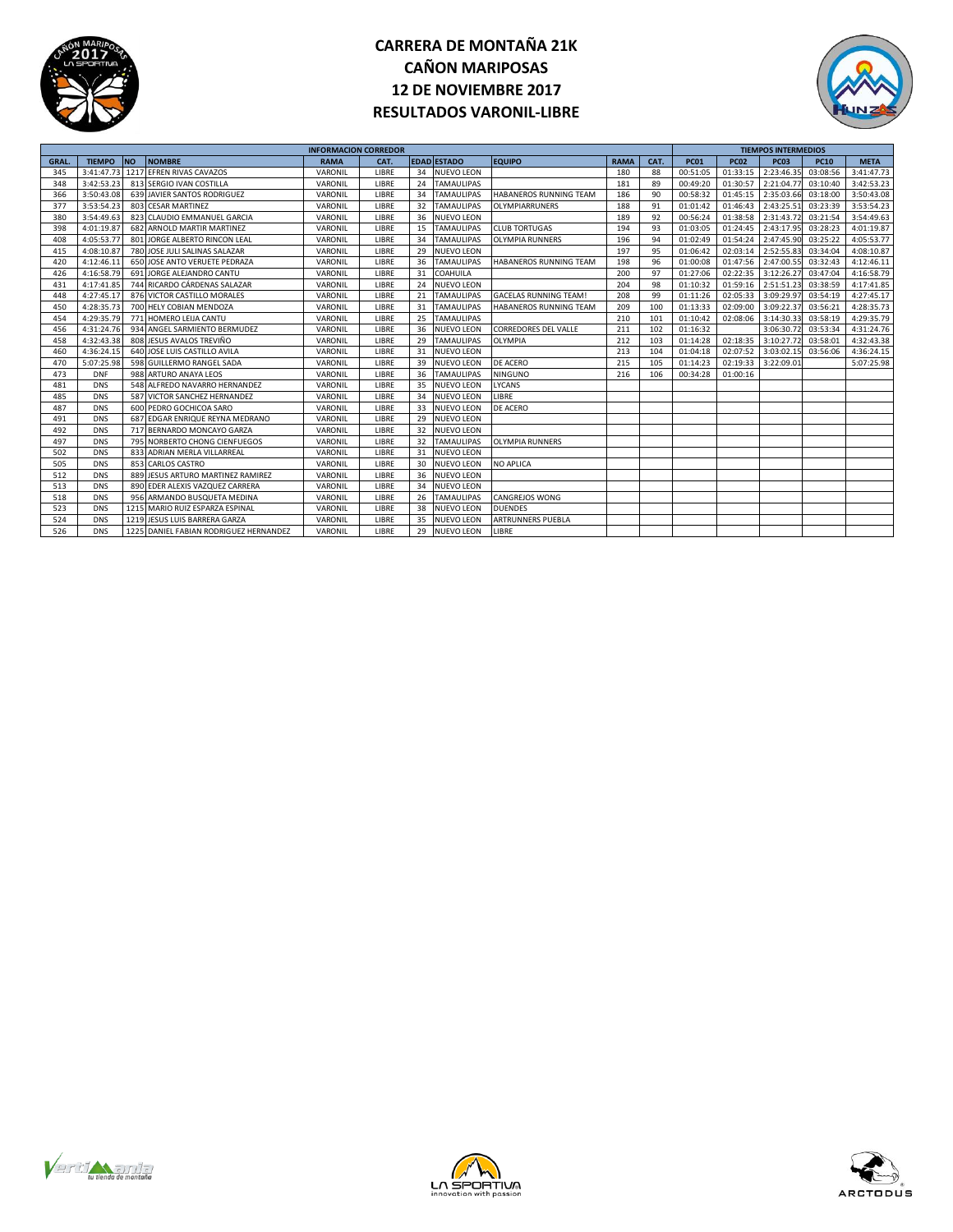

## **CARRERA DE MONTAÑA 21K CAÑON MARIPOSAS 12 DE NOVIEMBRE 2017 RESULTADOS VARONIL-LIBRE**



| <b>INFORMACION CORREDOR</b> |               |           |                                        |             |       |    |                    |                               |             |      |             |             | <b>TIEMPOS INTERMEDIOS</b> |             |             |  |  |
|-----------------------------|---------------|-----------|----------------------------------------|-------------|-------|----|--------------------|-------------------------------|-------------|------|-------------|-------------|----------------------------|-------------|-------------|--|--|
| <b>GRAL</b>                 | <b>TIEMPO</b> | <b>NO</b> | <b>NOMBRE</b>                          | <b>RAMA</b> | CAT.  |    | <b>EDAD ESTADO</b> | <b>EQUIPO</b>                 | <b>RAMA</b> | CAT. | <b>PC01</b> | <b>PC02</b> | <b>PC03</b>                | <b>PC10</b> | <b>META</b> |  |  |
| 345                         | 3:41:47.73    |           | 1217 EFREN RIVAS CAVAZOS               | VARONIL     | LIBRE | 34 | <b>NUEVO LEON</b>  |                               | 180         | 88   | 00:51:05    | 01:33:15    | 2:23:46.35                 | 03:08:56    | 3:41:47.73  |  |  |
| 348                         | 3:42:53.23    |           | 813 SERGIO IVAN COSTILLA               | VARONIL     | LIBRE | 24 | <b>TAMAULIPAS</b>  |                               | 181         | 89   | 00:49:20    | 01:30:57    | 2:21:04.77                 | 03:10:40    | 3:42:53.23  |  |  |
| 366                         | 3:50:43.08    |           | 639 JAVIER SANTOS RODRIGUEZ            | VARONIL     | LIBRE | 34 | <b>TAMAULIPAS</b>  | <b>HABANEROS RUNNING TEAM</b> | 186         | 90   | 00:58:32    | 01:45:15    | 2:35:03.6                  | 03:18:00    | 3:50:43.08  |  |  |
| 377                         | 3:53:54.23    |           | 803 CESAR MARTINEZ                     | VARONIL     | LIBRE | 32 | <b>TAMAULIPAS</b>  | OLYMPIARRUNERS                | 188         | 91   | 01:01:42    | 01:46:43    | 2:43:25.5                  | 03:23:39    | 3:53:54.23  |  |  |
| 380                         | 3:54:49.63    |           | 823 CLAUDIO EMMANUEL GARCIA            | VARONIL     | LIBRE | 36 | <b>NUEVO LEON</b>  |                               | 189         | 92   | 00:56:24    | 01:38:58    | 2:31:43.7                  | 03:21:54    | 3:54:49.63  |  |  |
| 398                         | 4:01:19.87    |           | 682 ARNOLD MARTIR MARTINEZ             | VARONIL     | LIBRE | 15 | <b>TAMAULIPAS</b>  | <b>CLUB TORTUGAS</b>          | 194         | 93   | 01:03:05    | 01:24:45    | 2:43:17.9                  | 03:28:23    | 4:01:19.87  |  |  |
| 408                         | 4:05:53.77    |           | 801 JORGE ALBERTO RINCON LEAL          | VARONIL     | LIBRE | 34 | <b>TAMAULIPAS</b>  | <b>OLYMPIA RUNNERS</b>        | 196         | 94   | 01:02:49    | 01:54:24    | 2:47:45.90                 | 03:25:22    | 4:05:53.77  |  |  |
| 415                         | 4:08:10.87    |           | 780 JOSE JULI SALINAS SALAZAR          | VARONIL     | LIBRE | 29 | <b>NUEVO LEON</b>  |                               | 197         | 95   | 01:06:42    | 02:03:14    | 2:52:55.8                  | 03:34:04    | 4:08:10.87  |  |  |
| 420                         | 4:12:46.1     |           | 650 JOSE ANTO VERUETE PEDRAZA          | VARONIL     | LIBRE | 36 | <b>TAMAULIPAS</b>  | <b>HABANEROS RUNNING TEAM</b> | 198         | 96   | 01:00:08    | 01:47:56    | 2:47:00.5                  | 03:32:43    | 4:12:46.11  |  |  |
| 426                         | 4:16:58.79    |           | 691 JORGE ALEJANDRO CANTU              | VARONIL     | LIBRE | 31 | COAHUILA           |                               | 200         | 97   | 01:27:06    | 02:22:35    | 3:12:26.2                  | 03:47:04    | 4:16:58.79  |  |  |
| 431                         | 4:17:41.85    |           | 744 RICARDO CÁRDENAS SALAZAR           | VARONIL     | LIBRE | 24 | <b>NUEVO LEON</b>  |                               | 204         | 98   | 01:10:32    | 01:59:16    | 2:51:51.2                  | 03:38:59    | 4:17:41.85  |  |  |
| 448                         | 4:27:45.17    |           | 876 VICTOR CASTILLO MORALES            | VARONIL     | LIBRE | 21 | <b>TAMAULIPAS</b>  | <b>GACELAS RUNNING TEAM!</b>  | 208         | 99   | 01:11:26    | 02:05:33    | 3:09:29.9                  | 03:54:19    | 4:27:45.17  |  |  |
| 450                         | 4:28:35.73    |           | 700 HELY COBIAN MENDOZA                | VARONIL     | LIBRE | 31 | <b>TAMAULIPAS</b>  | <b>HABANEROS RUNNING TEAM</b> | 209         | 100  | 01:13:33    | 02:09:00    | 3:09:22.3                  | 03:56:21    | 4:28:35.73  |  |  |
| 454                         | 4:29:35.79    |           | 771 HOMERO LEIJA CANTU                 | VARONIL     | LIBRE | 25 | <b>TAMAULIPAS</b>  |                               | 210         | 101  | 01:10:42    | 02:08:06    | 3:14:30.3                  | 03:58:19    | 4:29:35.79  |  |  |
| 456                         | 4:31:24.76    |           | 934 ANGEL SARMIENTO BERMUDEZ           | VARONIL     | LIBRE | 36 | <b>NUEVO LEON</b>  | <b>CORREDORES DEL VALLE</b>   | 211         | 102  | 01:16:32    |             | 3:06:30.7                  | 03:53:34    | 4:31:24.76  |  |  |
| 458                         | 4:32:43.38    |           | 808 JESUS AVALOS TREVIÑO               | VARONIL     | LIBRE | 29 | <b>TAMAULIPAS</b>  | <b>OLYMPIA</b>                | 212         | 103  | 01:14:28    | 02:18:35    | 3:10:27.7                  | 03:58:01    | 4:32:43.38  |  |  |
| 460                         | 4:36:24.15    |           | 640 JOSE LUIS CASTILLO AVILA           | VARONIL     | LIBRE | 31 | <b>NUEVO LEON</b>  |                               | 213         | 104  | 01:04:18    | 02:07:52    | 3:03:02.1                  | 03:56:06    | 4:36:24.15  |  |  |
| 470                         | 5:07:25.98    |           | 598 GUILLERMO RANGEL SADA              | VARONIL     | LIBRE | 39 | <b>NUEVO LEON</b>  | DE ACERO                      | 215         | 105  | 01:14:23    | 02:19:33    | 3:22:09.0                  |             | 5:07:25.98  |  |  |
| 473                         | <b>DNF</b>    |           | 988 ARTURO ANAYA LEOS                  | VARONIL     | LIBRE | 36 | <b>TAMAULIPAS</b>  | <b>NINGUNO</b>                | 216         | 106  | 00:34:28    | 01:00:16    |                            |             |             |  |  |
| 481                         | <b>DNS</b>    |           | 548 ALFREDO NAVARRO HERNANDEZ          | VARONIL     | LIBRE | 35 | NUEVO LEON         | <b>LYCANS</b>                 |             |      |             |             |                            |             |             |  |  |
| 485                         | <b>DNS</b>    |           | 587 VICTOR SANCHEZ HERNANDEZ           | VARONIL     | LIBRE | 34 | <b>NUEVO LEON</b>  | LIBRE                         |             |      |             |             |                            |             |             |  |  |
| 487                         | <b>DNS</b>    |           | 600 PEDRO GOCHICOA SARO                | VARONIL     | LIBRE | 33 | <b>NUEVO LEON</b>  | <b>DE ACERO</b>               |             |      |             |             |                            |             |             |  |  |
| 491                         | <b>DNS</b>    |           | 687 EDGAR ENRIQUE REYNA MEDRANO        | VARONIL     | LIBRE | 29 | <b>NUEVO LEON</b>  |                               |             |      |             |             |                            |             |             |  |  |
| 492                         | <b>DNS</b>    |           | 717 BERNARDO MONCAYO GARZA             | VARONIL     | LIBRE | 32 | <b>NUEVO LEON</b>  |                               |             |      |             |             |                            |             |             |  |  |
| 497                         | <b>DNS</b>    |           | 795 NORBERTO CHONG CIENFUEGOS          | VARONIL     | LIBRE | 32 | <b>TAMAULIPAS</b>  | <b>OLYMPIA RUNNERS</b>        |             |      |             |             |                            |             |             |  |  |
| 502                         | <b>DNS</b>    |           | 833 ADRIAN MERLA VILLARREAL            | VARONIL     | LIBRE | 31 | <b>NUEVO LEON</b>  |                               |             |      |             |             |                            |             |             |  |  |
| 505                         | <b>DNS</b>    |           | 853 CARLOS CASTRO                      | VARONIL     | LIBRE | 30 | <b>NUEVO LEON</b>  | <b>NO APLICA</b>              |             |      |             |             |                            |             |             |  |  |
| 512                         | <b>DNS</b>    |           | 889 JESUS ARTURO MARTINEZ RAMIREZ      | VARONIL     | LIBRE | 36 | <b>NUEVO LEON</b>  |                               |             |      |             |             |                            |             |             |  |  |
| 513                         | <b>DNS</b>    |           | 890 EDER ALEXIS VAZQUEZ CARRERA        | VARONIL     | LIBRE | 34 | <b>NUEVO LEON</b>  |                               |             |      |             |             |                            |             |             |  |  |
| 518                         | <b>DNS</b>    |           | 956 ARMANDO BUSQUETA MEDINA            | VARONIL     | LIBRE | 26 | <b>TAMAULIPAS</b>  | <b>CANGREJOS WONG</b>         |             |      |             |             |                            |             |             |  |  |
| 523                         | <b>DNS</b>    |           | 1215 MARIO RUIZ ESPARZA ESPINAL        | VARONIL     | LIBRE | 38 | <b>NUEVO LEON</b>  | <b>DUENDES</b>                |             |      |             |             |                            |             |             |  |  |
| 524                         | <b>DNS</b>    |           | 1219 JESUS LUIS BARRERA GARZA          | VARONIL     | LIBRE | 35 | <b>NUEVO LEON</b>  | <b>ARTRUNNERS PUEBLA</b>      |             |      |             |             |                            |             |             |  |  |
| 526                         | <b>DNS</b>    |           | 1225 DANIEL FABIAN RODRIGUEZ HERNANDEZ | VARONIL     | LIBRE | 29 | <b>NUEVO LEON</b>  | LIBRE                         |             |      |             |             |                            |             |             |  |  |





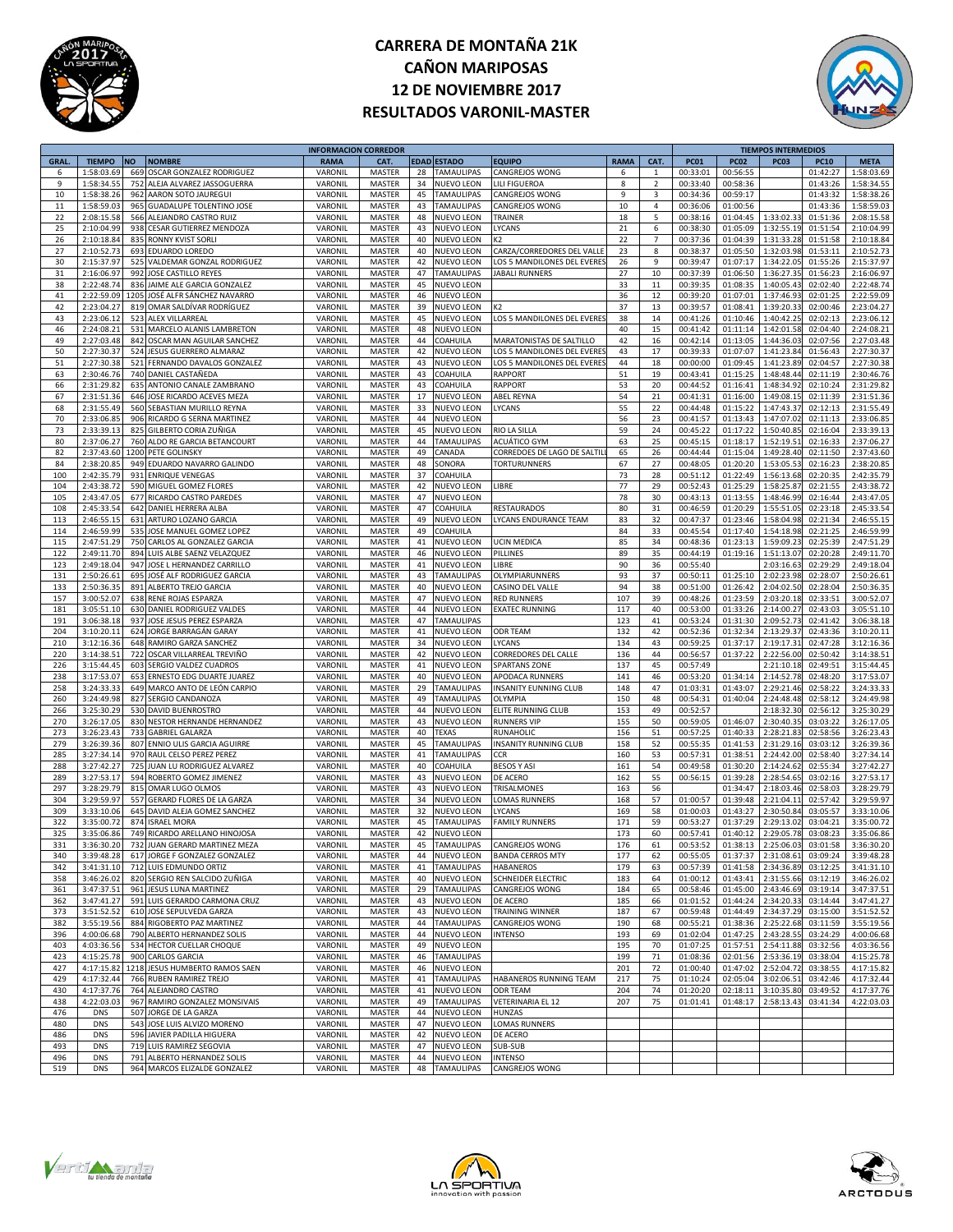

## **CARRERA DE MONTAÑA 21K CAÑON MARIPOSAS 12 DE NOVIEMBRE 2017 RESULTADOS VARONIL-MASTER**



|             |               |           |                                 | <b>INFORMACION CORREDOR</b> |                  |    |                    |                              |             |                |             |             | <b>TIEMPOS INTERMEDIOS</b> |             |             |
|-------------|---------------|-----------|---------------------------------|-----------------------------|------------------|----|--------------------|------------------------------|-------------|----------------|-------------|-------------|----------------------------|-------------|-------------|
| <b>GRAL</b> | <b>TIEMPO</b> | <b>NO</b> | <b>NOMBRE</b>                   | <b>RAMA</b>                 | CAT.             |    | EDAD ESTADO        | <b>EQUIPO</b>                | <b>RAMA</b> | CAT.           | <b>PC01</b> | <b>PC02</b> | <b>PC03</b>                | <b>PC10</b> | <b>META</b> |
| 6           | 1:58:03.69    | 669       | OSCAR GONZALEZ RODRIGUEZ        | VARONI                      | MASTER           | 28 | TAMAULIPAS         | CANGREJOS WONG               | 6           | $\mathbf{1}$   | 00:33:01    | 00:56:55    |                            | 01:42:27    | 1:58:03.69  |
| 9           | 1:58:34.55    | 752       | ALEJA ALVAREZ JASSOGUERRA       | VARONIL                     | MASTER           | 34 | <b>NUEVO LEON</b>  | <b>LILI FIGUEROA</b>         | 8           | $\overline{2}$ | 00:33:40    | 00:58:36    |                            | 01:43:26    | 1:58:34.55  |
| 10          | 1:58:38.26    | 962       | AARON SOTO JAUREGUI             | VARONIL                     |                  | 45 | TAMAULIPAS         |                              | 9           |                |             | 00:59:17    |                            | 01:43:32    | 1:58:38.26  |
|             |               |           |                                 |                             | MASTER           |    |                    | CANGREJOS WONG               |             | 3              | 00:34:36    |             |                            |             |             |
| $11\,$      | 1:58:59.03    | 965       | <b>GUADALUPE TOLENTINO JOSE</b> | VARONII                     | MASTER           | 43 | TAMAULIPAS         | CANGREJOS WONG               | $10\,$      | 4              | 00:36:06    | 01:00:56    |                            | 01:43:36    | 1:58:59.03  |
| 22          | 2:08:15.58    | 566       | ALEJANDRO CASTRO RUIZ           | VARONII                     | MASTER           | 48 | <b>NUEVO LEON</b>  | TRAINER                      | 18          | 5              | 00:38:16    | 01:04:45    | 1:33:02.33                 | 01:51:36    | 2:08:15.58  |
| 25          | 2:10:04.99    | 938       | <b>CESAR GUTIERREZ MENDOZA</b>  | VARONII                     | <b>MASTER</b>    | 43 | NUEVO LEON         | LYCANS                       | 21          | 6              | 00:38:30    | 01:05:09    | 1:32:55.19                 | 01:51:54    | 2:10:04.99  |
| 26          | 2:10:18.84    | 835       | <b>RONNY KVIST SORLI</b>        | VARONIL                     | MASTER           | 40 | <b>NUEVO LEON</b>  | K2                           | 22          | $\overline{7}$ | 00:37:36    | 01:04:39    | 1:31:33.28                 | 01:51:58    | 2:10:18.84  |
| 27          | 2:10:52.7     | 693       | <b>EDUARDO LOREDO</b>           | VARONIL                     | MASTER           | 40 | <b>NUEVO LEON</b>  | CARZA/CORREDORES DEL VALL    | 23          | 8              | 00:38:37    | 01:05:50    | 1:32:03.98                 | 01:53:11    | 2:10:52.73  |
| 30          | 2:15:37.97    | 525       | VALDEMAR GONZAL RODRIGUEZ       | VARONI                      | <b>MASTER</b>    | 42 | NUEVO LEON         | LOS 5 MANDILONES DEL EVERES  | 26          | 9              | 00:39:47    | 01:07:17    | 1:34:22.09                 | 01:55:26    | 2:15:37.97  |
|             |               |           |                                 |                             |                  |    |                    |                              | 27          |                |             |             |                            |             |             |
| 31          | 2:16:06.97    | 992       | JOSE CASTILLO REYES             | VARONII                     | MASTER           | 47 | <b>TAMAULIPAS</b>  | <b>JABALI RUNNERS</b>        |             | 10             | 00:37:39    | 01:06:50    | 1:36:27.35                 | 01:56:23    | 2:16:06.97  |
| 38          | 2:22:48.74    | 836       | JAIME ALE GARCIA GONZALEZ       | VARONII                     | MASTER           | 45 | <b>NUEVO LEON</b>  |                              | 33          | 11             | 00:39:35    | 01:08:35    | 1:40:05.43                 | 02:02:40    | 2:22:48.74  |
| 41          | 2:22:59.09    | 1205      | JOSÉ ALFR SÁNCHEZ NAVARRO       | VARONIL                     | MASTER           | 46 | <b>NUEVO LEON</b>  |                              | 36          | 12             | 00:39:20    | 01:07:01    | 1:37:46.93                 | 02:01:25    | 2:22:59.09  |
| 42          | 2:23:04.2     | 819       | OMAR SALDIVAR RODRIGUEZ         | VARONIL                     | MASTER           | 39 | <b>NUEVO LEON</b>  |                              | 37          | 13             | 00:39:57    | 01:08:41    | 1:39:20.33                 | 02:00:46    | 2:23:04.27  |
| 43          | 2:23:06.1     | 523       | ALEX VILLARREAL                 | VARONI                      | <b>MASTER</b>    | 45 | <b>NUEVO LEON</b>  | LOS 5 MANDILONES DEL EVERES  | 38          | 14             | 00:41:26    | 01:10:46    | 1:40:42.2                  | 02:02:13    | 2:23:06.12  |
| 46          | 2:24:08.21    |           | 531 MARCELO ALANIS LAMBRETON    | VARONII                     | MASTER           | 48 | <b>NUEVO LEON</b>  |                              | 40          | 15             | 00:41:42    | 01:11:14    | 1:42:01.58                 | 02:04:40    | 2:24:08.21  |
| 49          | 2:27:03.48    | 842       | OSCAR MAN AGUILAR SANCHEZ       | VARONII                     | MASTER           | 44 | COAHUILA           | MARATONISTAS DE SALTILLO     | 42          | 16             | 00:42:14    | 01:13:05    | 1:44:36.03                 | 02:07:56    | 2:27:03.48  |
| 50          | 2:27:30.37    | 524       | <b>JESUS GUERRERO ALMARAZ</b>   | VARONIL                     | MASTER           | 42 | <b>NUEVO LEON</b>  | LOS 5 MANDILONES DEL EVERE   | 43          | 17             | 00:39:33    | 01:07:07    | 1:41:23.84                 | 01:56:43    | 2:27:30.37  |
|             |               |           |                                 |                             |                  |    |                    |                              |             |                |             |             |                            |             |             |
| 51          | 2:27:30.38    | 521       | FERNANDO DAVALOS GONZALEZ       | VARONIL                     | MASTER           | 43 | <b>NUEVO LEON</b>  | LOS 5 MANDILONES DEL EVERE   | 44          | 18             | 00:00:00    | 01:09:45    | 1:41:23.8                  | 02:04:57    | 2:27:30.38  |
| 63          | 2:30:46.76    |           | 740 DANIEL CASTAÑEDA            | VARONI                      | <b>MASTER</b>    | 43 | COAHUILA           | <b>RAPPORT</b>               | 51          | 19             | 00:43:41    | 01:15:25    | 1:48:48.4                  | 02:11:19    | 2:30:46.76  |
| 66          | 2:31:29.82    | 635       | ANTONIO CANALE ZAMBRANO         | VARONII                     | MASTER           | 43 | COAHUILA           | <b>RAPPORT</b>               | 53          | 20             | 00:44:52    | 01:16:41    | 1:48:34.92                 | 02:10:24    | 2:31:29.82  |
| 67          | 2:31:51.36    | 646       | JOSE RICARDO ACEVES MEZA        | VARONII                     | MASTER           | 17 | NUEVO LEON         | <b>ABEL REYNA</b>            | 54          | 21             | 00:41:31    | 01:16:00    | 1:49:08.1                  | 02:11:39    | 2:31:51.36  |
| 68          | 2:31:55.49    | 560       | SEBASTIAN MURILLO REYNA         | VARONIL                     | MASTER           | 33 | <b>NUEVO LEON</b>  | LYCANS                       | 55          | 22             | 00:44:48    | 01:15:22    | 1:47:43.3                  | 02:12:13    | 2:31:55.49  |
| 70          | 2:33:06.8     | 906       | RICARDO G SERNA MARTINEZ        | VARONIL                     | <b>MASTER</b>    | 44 | <b>NUEVO LEON</b>  |                              | 56          | 23             | 00:41:57    | 01:13:43    | 1:47:07.02                 | 02:11:13    | 2:33:06.85  |
| 73          | 2:33:39.1     |           |                                 |                             |                  | 45 |                    |                              | 59          | 24             |             | 01:17:22    |                            |             |             |
|             |               | 825       | GILBERTO CORIA ZUÑIGA           | VARONI                      | <b>MASTER</b>    |    | <b>NUEVO LEON</b>  | RIO LA SILLA                 |             |                | 00:45:22    |             | 1:50:40.8                  | 02:16:04    | 2:33:39.13  |
| 80          | 2:37:06.27    |           | 760 ALDO RE GARCIA BETANCOURT   | VARONII                     | MASTER           | 44 | <b>TAMAULIPAS</b>  | ACUÁTICO GYM                 | 63          | 25             | 00:45:15    | 01:18:17    | 1:52:19.51                 | 02:16:33    | 2:37:06.27  |
| 82          | 2:37:43.60    |           | 1200 PETE GOLINSKY              | VARONII                     | MASTER           | 49 | CANADA             | CORREDOES DE LAGO DE SALTII  | 65          | 26             | 00:44:44    | 01:15:04    | 1:49:28.40                 | 02:11:50    | 2:37:43.60  |
| 84          | 2:38:20.85    | 949       | EDUARDO NAVARRO GALINDO         | VARONIL                     | MASTER           | 48 | SONORA             | <b>TORTURUNNERS</b>          | 67          | 27             | 00:48:05    | 01:20:20    | 1:53:05.5                  | 02:16:23    | 2:38:20.85  |
| 100         | 2:42:35.79    | 931       | <b>ENRIQUE VENEGAS</b>          | VARONIL                     | <b>MASTER</b>    | 37 | COAHUILA           |                              | 73          | 28             | 00:51:12    | 01:22:49    | 1:56:13.68                 | 02:20:35    | 2:42:35.79  |
| 104         | 2:43:38.7     | 590       | MIGUEL GOMEZ FLORES             | VARONII                     | <b>MASTER</b>    | 42 | <b>NUEVO LEON</b>  | LIBRE                        | 77          | 29             | 00:52:43    | 01:25:29    | 1:58:25.87                 | 02:21:55    | 2:43:38.72  |
| 105         | 2:43:47.05    |           | 677 RICARDO CASTRO PAREDES      | VARONIL                     | MASTER           | 47 | <b>NUEVO LEON</b>  |                              | 78          | 30             | 00:43:13    | 01:13:55    | 1:48:46.99                 | 02:16:44    | 2:43:47.05  |
| 108         | 2:45:33.54    |           |                                 |                             |                  |    | COAHUILA           |                              | 80          |                | 00:46:59    |             |                            |             |             |
|             |               | 642       | DANIEL HERRERA ALBA             | VARONIL                     | MASTER           | 47 |                    | <b>RESTAURADOS</b>           |             | 31             |             | 01:20:29    | 1:55:51.05                 | 02:23:18    | 2:45:33.54  |
| 113         | 2:46:55.1     | 631       | ARTURO LOZANO GARCIA            | VARONIL                     | MASTER           | 49 | <b>NUEVO LEON</b>  | <b>LYCANS ENDURANCE TEAM</b> | 83          | 32             | 00:47:37    | 01:23:46    | 1:58:04.98                 | 02:21:34    | 2:46:55.15  |
| 114         | 2:46:59.99    | 535       | JOSE MANUEL GOMEZ LOPEZ         | VARONIL                     | <b>MASTER</b>    | 49 | COAHUILA           |                              | 84          | 33             | 00:45:54    | 01:17:40    | 1:54:18.98                 | 02:21:25    | 2:46:59.99  |
| 115         | 2:47:51.2     | 750       | CARLOS AL GONZALEZ GARCIA       | VARONII                     | <b>MASTER</b>    | 41 | NUEVO LEON         | <b>UCIN MEDICA</b>           | 85          | 34             | 00:48:36    | 01:23:13    | 1:59:09.2                  | 02:25:39    | 2:47:51.29  |
| 122         | 2:49:11.70    |           | 894 LUIS ALBE SAENZ VELAZQUEZ   | VARONII                     | MASTER           | 46 | <b>NUEVO LEON</b>  | PILLINES                     | 89          | 35             | 00:44:19    | 01:19:16    | 1:51:13.07                 | 02:20:28    | 2:49:11.70  |
| 123         | 2:49:18.04    | 947       | JOSE L HERNANDEZ CARRILLO       | VARONII                     | MASTER           | 41 | <b>NUEVO LEON</b>  | LIBRE                        | 90          | 36             | 00:55:40    |             | 2:03:16.63                 | 02:29:29    | 2:49:18.04  |
| 131         | 2:50:26.61    | 695       | JOSÉ ALF RODRIGUEZ GARCIA       | VARONIL                     | MASTER           | 43 | TAMAULIPAS         | OLYMPIARUNNERS               | 93          | 37             | 00:50:11    | 01:25:10    | 2:02:23.98                 | 02:28:07    | 2:50:26.61  |
|             |               |           |                                 |                             |                  |    |                    |                              |             |                |             |             |                            |             |             |
| 133         | 2:50:36.35    | 891       | ALBERTO TREJO GARCIA            | VARONIL                     | MASTER           | 40 | <b>NUEVO LEON</b>  | CASINO DEL VALLE             | 94          | 38             | 00:51:00    | 01:26:42    | 2:04:02.50                 | 02:28:04    | 2:50:36.35  |
| 157         | 3:00:52.07    |           | <b>638 RENE ROJAS ESPARZA</b>   | VARONII                     | MASTER           | 47 | <b>NUEVO LEON</b>  | <b>RED RUNNERS</b>           | 107         | 39             | 00:48:26    | 01:23:59    | 2:03:20.18                 | 02:33:51    | 3:00:52.07  |
| 181         | 3:05:51.10    |           | 630 DANIEL RODRIGUEZ VALDES     | VARONII                     | MASTER           | 44 | <b>NUEVO LEON</b>  | <b>EXATEC RUNNING</b>        | 117         | 40             | 00:53:00    | 01:33:26    | 2:14:00.27                 | 02:43:03    | 3:05:51.10  |
| 191         | 3:06:38.18    | 937       | JOSE JESUS PEREZ ESPARZA        | VARONII                     | MASTER           | 47 | <b>TAMAULIPAS</b>  |                              | 123         | 41             | 00:53:24    | 01:31:30    | 2:09:52.73                 | 02:41:42    | 3:06:38.18  |
| 204         | 3:10:20.13    | 624       | JORGE BARRAGÁN GARAY            | VARONIL                     | MASTER           | 41 | NUEVO LEON         | ODR TEAM                     | 132         | 42             | 00:52:36    | 01:32:34    | 2:13:29.37                 | 02:43:36    | 3:10:20.11  |
| 210         | 3:12:16.36    | 648       | RAMIRO GARZA SANCHEZ            | VARONII                     | <b>MASTER</b>    | 34 | <b>NUEVO LEON</b>  | LYCANS                       | 134         | 43             | 00:59:25    | 01:37:17    | 2:19:17.3                  | 02:47:28    | 3:12:16.36  |
| 220         | 3:14:38.5     | 722       | OSCAR VILLARREAL TREVIÑO        | VARONII                     | MASTER           | 42 | <b>NUEVO LEON</b>  | CORREDORES DEL CALLE         | 136         | 44             | 00:56:57    | 01:37:22    | 2:22:56.00                 | 02:50:42    | 3:14:38.51  |
|             |               |           |                                 |                             |                  |    |                    |                              |             |                |             |             |                            |             |             |
| 226         | 3:15:44.45    | 603       | SERGIO VALDEZ CUADROS           | VARONIL                     | MASTER           | 41 | <b>NUEVO LEON</b>  | <b>SPARTANS ZONE</b>         | 137         | 45             | 00:57:49    |             | 2:21:10.18                 | 02:49:51    | 3:15:44.45  |
| 238         | 3:17:53.07    | 653       | ERNESTO EDG DUARTE JUAREZ       | VARONIL                     | MASTER           | 40 | <b>NUEVO LEON</b>  | APODACA RUNNERS              | 141         | 46             | 00:53:20    | 01:34:14    | 2:14:52.78                 | 02:48:20    | 3:17:53.07  |
| 258         | 3:24:33.33    |           | 649 MARCO ANTO DE LEÓN CARPIO   | VARONIL                     | MASTER           | 29 | <b>TAMAULIPAS</b>  | INSANITY EUNNING CLUB        | 148         | 47             | 01:03:31    | 01:43:07    | 2:29:21.46                 | 02:58:22    | 3:24:33.33  |
| 260         | 3:24:49.98    | 827       | SERGIO CANDANOZA                | VARONII                     | <b>MASTER</b>    | 49 | <b>TAMAULIPAS</b>  | OLYMPIA                      | 150         | 48             | 00:54:31    | 01:40:04    | 2:24:48.48                 | 02:58:12    | 3:24:49.98  |
| 266         | 3:25:30.29    |           | 530 DAVID BUENROSTRO            | VARONII                     | MASTER           | 44 | <b>NUEVO LEON</b>  | ELITE RUNNING CLUB           | 153         | 49             | 00:52:57    |             | 2:18:32.30                 | 02:56:12    | 3:25:30.29  |
| 270         | 3:26:17.05    |           | 830 NESTOR HERNANDE HERNANDEZ   | VARONII                     | MASTER           | 43 | <b>NUEVO LEON</b>  | <b>RUNNERS VIP</b>           | 155         | 50             | 00:59:05    | 01:46:07    | 2:30:40.35                 | 03:03:22    | 3:26:17.05  |
| 273         | 3:26:23.43    | 733       | <b>GABRIEL GALARZA</b>          | VARONIL                     | MASTER           | 40 | TEXAS              | RUNAHOLIC                    | 156         | 51             | 00:57:25    | 01:40:33    | 2:28:21.83                 | 02:58:56    | 3:26:23.43  |
|             |               |           |                                 |                             |                  |    |                    |                              |             |                |             |             |                            |             |             |
| 279         | 3:26:39.36    | 807       | ENNIO ULIS GARCIA AGUIRRE       | VARONIL                     | MASTER           | 45 | <b>TAMAULIPAS</b>  | <b>INSANITY RUNNING CLUB</b> | 158         | 52             | 00:55:35    | 01:41:53    | 2:31:29.16                 | 03:03:12    | 3:26:39.36  |
| 285         | 3:27:34.1     |           | 970 RAUL CELSO PEREZ PEREZ      | VARONII                     | <b>MASTER</b>    | 41 | <b>TAMAULIPAS</b>  | CCR                          | 160         | 53             | 00:57:31    | 01:38:51    | 2:24:42.00                 | 02:58:40    | 3:27:34.14  |
| 288         | 3:27:42.2     | 725       | JUAN LU RODRIGUEZ ALVAREZ       | VARONII                     | MASTER           | 40 | COAHUILA           | <b>BESOS Y ASI</b>           | 161         | 54             | 00:49:58    | 01:30:20    | 2:14:24.62                 | 02:55:34    | 3:27:42.27  |
| 289         | 3:27:53.17    |           | 594 ROBERTO GOMEZ JIMENEZ       | VARONII                     | MASTER           | 43 | <b>NUEVO LEON</b>  | DE ACERO                     | 162         | 55             | 00:56:15    | 01:39:28    | 2:28:54.65                 | 03:02:16    | 3:27:53.17  |
| 297         | 3:28:29.79    | 815       | OMAR LUGO OLMOS                 | VARONIL                     | MASTER           | 43 | <b>NUEVO LEON</b>  | TRISALMONES                  | 163         | 56             |             | 01:34:47    | 2:18:03.46                 | 02:58:03    | 3:28:29.79  |
| 304         | 3:29:59.97    | 557       | GERARD FLORES DE LA GARZA       | VARONIL                     | MASTER           | 34 | <b>NUEVO LEON</b>  | <b>LOMAS RUNNERS</b>         | 168         | 57             | 01:00:57    | 01:39:48    | 2:21:04.11                 | 02:57:42    | 3:29:59.97  |
| 309         | 3:33:10.06    | 645       | DAVID ALEJA GOMEZ SANCHEZ       | VARONII                     | <b>MASTER</b>    | 32 | NUEVO LEON         | LYCANS                       | 169         | 58             | 01:00:03    | 01:43:27    | 2:30:50.84                 | 03:05:57    | 3:33:10.06  |
| 322         | 3:35:00.7     | 874       | <b>ISRAEL MORA</b>              | VARONII                     | <b>MASTER</b>    | 45 | <b>TAMAULIPAS</b>  | <b>FAMILY RUNNERS</b>        | 171         | 59             | 00:53:27    | 01:37:29    | 2:29:13.02                 | 03:04:21    | 3:35:00.72  |
|             |               |           | 749 RICARDO ARELLANO HINOJOSA   |                             |                  |    |                    |                              |             |                |             |             |                            |             |             |
| 325         | 3:35:06.86    |           |                                 | VARONIL                     | MASTER<br>MASTER | 42 | <b>NUEVO LEON</b>  |                              | 173         | 60             | 00:57:41    | 01:40:12    | 2:29:05.78                 | 03:08:23    | 3:35:06.86  |
| 331         | 3.36.30       |           | 732 JUAN GERARD MARTINEZ MEZA   | VARONII                     |                  | 45 | <b>TAMALILIPAS</b> | <b>CANGREJOS WONG</b>        | 176         | 61             | 00.53.52    | 01:38:13    | 2:25:06.03                 | 03:01:58    | 3:36:30.20  |
| 340         | 3:39:48.28    |           | 617 JORGE F GONZALEZ GONZALEZ   | VARONIL                     | MASTER           | 44 | <b>NUEVO LEON</b>  | <b>BANDA CERROS MTY</b>      | 177         | 62             | 00:55:05    |             | 01:37:37 2:31:08.61        | 03:09:24    | 3:39:48.28  |
| 342         | 3:41:31.10    |           | 712 LUIS EDMUNDO ORTIZ          | VARONIL                     | MASTER           | 41 | <b>TAMAULIPAS</b>  | <b>HABANEROS</b>             | 179         | 63             | 00:57:39    | 01:41:58    | 2:34:36.89                 | 03:12:25    | 3:41:31.10  |
| 358         | 3:46:26.02    |           | 820 SERGIO REN SALCIDO ZUÑIGA   | VARONIL                     | MASTER           | 40 | NUEVO LEON         | <b>SCHNEIDER ELECTRIC</b>    | 183         | 64             | 01:00:12    | 01:43:41    | 2:31:55.66                 | 03:12:19    | 3:46:26.02  |
| 361         | 3:47:37.51    |           | 961 JESUS LUNA MARTINEZ         | VARONIL                     | MASTER           | 29 | TAMAULIPAS         | CANGREJOS WONG               | 184         | 65             | 00:58:46    | 01:45:00    | 2:43:46.69                 | 03:19:14    | 3:47:37.51  |
| 362         | 3:47:41.27    |           | 591 LUIS GERARDO CARMONA CRUZ   | VARONIL                     | MASTER           | 43 | <b>NUEVO LEON</b>  | DE ACERO                     | 185         | 66             | 01:01:52    | 01:44:24    | 2:34:20.33                 | 03:14:44    | 3:47:41.27  |
| 373         | 3:51:52.52    |           | 610 JOSE SEPULVEDA GARZA        | VARONIL                     | MASTER           | 43 | <b>NUEVO LEON</b>  | <b>TRAINING WINNER</b>       | 187         | 67             | 00:59:48    | 01:44:49    | 2:34:37.29                 | 03:15:00    | 3:51:52.52  |
|             |               |           |                                 |                             |                  |    |                    |                              |             |                |             |             |                            |             |             |
| 382         | 3:55:19.56    |           | 884 RIGOBERTO PAZ MARTINEZ      | VARONIL                     | MASTER           | 44 | <b>TAMAULIPAS</b>  | <b>CANGREJOS WONG</b>        | 190         | 68             | 00:55:21    | 01:38:36    | 2:25:22.68                 | 03:11:59    | 3:55:19.56  |
| 396         | 4:00:06.68    |           | 790 ALBERTO HERNANDEZ SOLIS     | VARONIL                     | MASTER           | 44 | <b>NUEVO LEON</b>  | <b>INTENSO</b>               | 193         | 69             | 01:02:04    | 01:47:25    | 2:43:28.55                 | 03:24:29    | 4:00:06.68  |
| 403         | 4:03:36.56    |           | 534 HECTOR CUELLAR CHOQUE       | VARONIL                     | MASTER           | 49 | <b>NUEVO LEON</b>  |                              | 195         | 70             | 01:07:25    | 01:57:51    | 2:54:11.88                 | 03:32:56    | 4:03:36.56  |
| 423         | 4:15:25.78    |           | 900 CARLOS GARCIA               | VARONIL                     | MASTER           | 46 | TAMAULIPAS         |                              | 199         | 71             | 01:08:36    | 02:01:56    | 2:53:36.19                 | 03:38:04    | 4:15:25.78  |
| 427         | 4:17:15.82    |           | 1218 JESUS HUMBERTO RAMOS SAEN  | VARONIL                     | MASTER           | 46 | <b>NUEVO LEON</b>  |                              | 201         | 72             | 01:00:40    | 01:47:02    | 2:52:04.72                 | 03:38:55    | 4:17:15.82  |
| 429         | 4:17:32.44    |           | 766 RUBEN RAMIREZ TREJO         | VARONIL                     | MASTER           | 41 | <b>TAMAULIPAS</b>  | HABANEROS RUNNING TEAM       | 217         | 75             | 01:10:24    | 02:05:04    | 3:02:06.51                 | 03:42:46    | 4:17:32.44  |
| 430         | 4:17:37.76    |           | 764 ALEJANDRO CASTRO            | VARONIL                     | MASTER           | 41 | NUEVO LEON         |                              | 204         | 74             | 01:20:20    | 02:18:11    | 3:10:35.80                 | 03:49:52    | 4:17:37.76  |
|             |               |           |                                 |                             |                  |    |                    | <b>ODR TEAM</b>              |             |                |             |             |                            |             |             |
| 438         | 4:22:03.03    |           | 967 RAMIRO GONZALEZ MONSIVAIS   | VARONIL                     | MASTER           | 49 | <b>TAMAULIPAS</b>  | <b>VETERINARIA EL 12</b>     | 207         | 75             | 01:01:41    | 01:48:17    | 2:58:13.43                 | 03:41:34    | 4:22:03.03  |
| 476         | DNS           | 507       | JORGE DE LA GARZA               | VARONIL                     | MASTER           | 44 | <b>NUEVO LEON</b>  | <b>HUNZAS</b>                |             |                |             |             |                            |             |             |
| 480         | DNS           |           | 543 JOSE LUIS ALVIZO MORENO     | VARONIL                     | MASTER           | 47 | NUEVO LEON         | <b>LOMAS RUNNERS</b>         |             |                |             |             |                            |             |             |
| 486         | <b>DNS</b>    |           | 596 JAVIER PADILLA HIGUERA      | VARONIL                     | MASTER           | 42 | <b>NUEVO LEON</b>  | DE ACERO                     |             |                |             |             |                            |             |             |
| 493         | <b>DNS</b>    |           | 719 LUIS RAMIREZ SEGOVIA        | VARONIL                     | MASTER           | 47 | <b>NUEVO LEON</b>  | SUB-SUB                      |             |                |             |             |                            |             |             |
| 496         | DNS           |           | 791 ALBERTO HERNANDEZ SOLIS     | VARONIL                     | MASTER           | 44 | <b>NUEVO LEON</b>  | <b>INTENSO</b>               |             |                |             |             |                            |             |             |
| 519         | <b>DNS</b>    |           | 964 MARCOS ELIZALDE GONZALEZ    | VARONIL                     | MASTER           | 48 | <b>TAMAULIPAS</b>  | CANGREJOS WONG               |             |                |             |             |                            |             |             |
|             |               |           |                                 |                             |                  |    |                    |                              |             |                |             |             |                            |             |             |